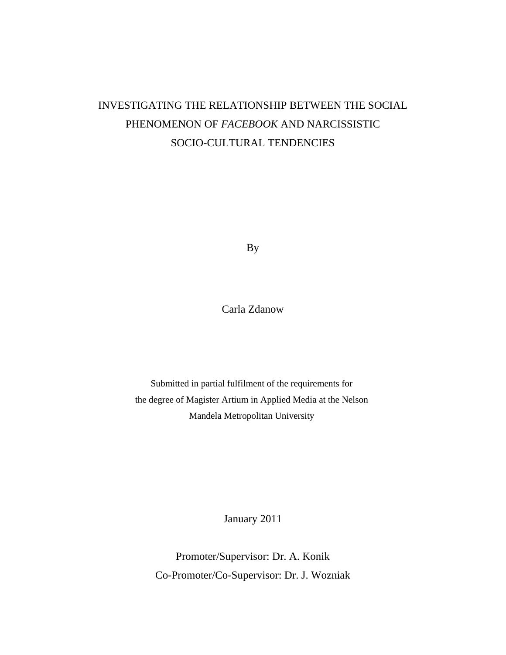# INVESTIGATING THE RELATIONSHIP BETWEEN THE SOCIAL PHENOMENON OF *FACEBOOK* AND NARCISSISTIC SOCIO-CULTURAL TENDENCIES

By

Carla Zdanow

Submitted in partial fulfilment of the requirements for the degree of Magister Artium in Applied Media at the Nelson Mandela Metropolitan University

January 2011

Promoter/Supervisor: Dr. A. Konik Co-Promoter/Co-Supervisor: Dr. J. Wozniak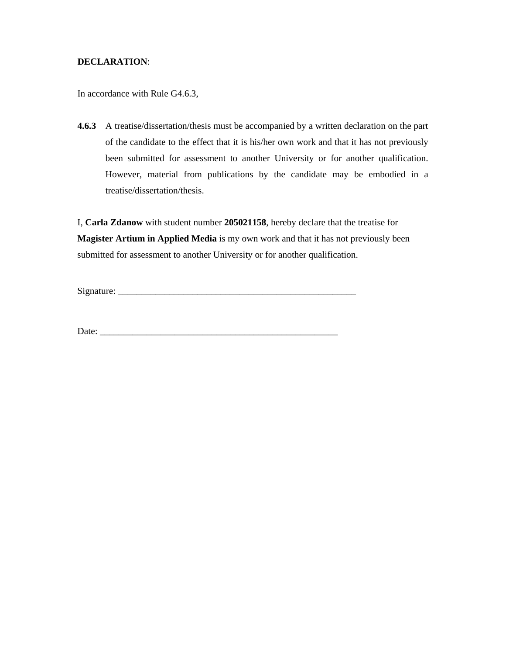### **DECLARATION**:

In accordance with Rule G4.6.3,

**4.6.3** A treatise/dissertation/thesis must be accompanied by a written declaration on the part of the candidate to the effect that it is his/her own work and that it has not previously been submitted for assessment to another University or for another qualification. However, material from publications by the candidate may be embodied in a treatise/dissertation/thesis.

I, **Carla Zdanow** with student number **205021158**, hereby declare that the treatise for **Magister Artium in Applied Media** is my own work and that it has not previously been submitted for assessment to another University or for another qualification.

Signature: \_\_\_\_\_\_\_\_\_\_\_\_\_\_\_\_\_\_\_\_\_\_\_\_\_\_\_\_\_\_\_\_\_\_\_\_\_\_\_\_\_\_\_\_\_\_\_\_\_\_\_

Date: \_\_\_\_\_\_\_\_\_\_\_\_\_\_\_\_\_\_\_\_\_\_\_\_\_\_\_\_\_\_\_\_\_\_\_\_\_\_\_\_\_\_\_\_\_\_\_\_\_\_\_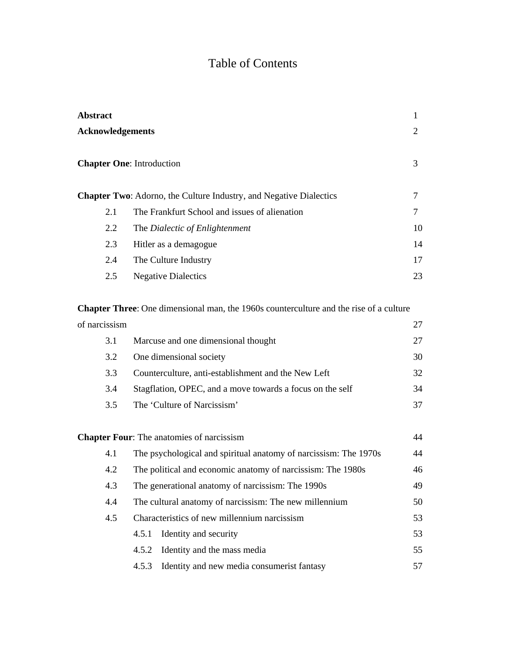## Table of Contents

| <b>Abstract</b>                                                                                              | 1  |
|--------------------------------------------------------------------------------------------------------------|----|
| <b>Acknowledgements</b>                                                                                      | 2  |
| <b>Chapter One:</b> Introduction                                                                             | 3  |
| <b>Chapter Two:</b> Adorno, the Culture Industry, and Negative Dialectics                                    | 7  |
| The Frankfurt School and issues of alienation<br>2.1                                                         | 7  |
| 2.2<br>The Dialectic of Enlightenment                                                                        | 10 |
| 2.3<br>Hitler as a demagogue                                                                                 | 14 |
| 2.4<br>The Culture Industry                                                                                  | 17 |
| <b>Negative Dialectics</b><br>2.5                                                                            | 23 |
| $\Omega$ contain Thomas $\Omega$ as dimensional mean, the 1060s counterpartitions and the nice of a subvivor |    |

**Chapter Three**: One dimensional man, the 1960s counterculture and the rise of a culture of narcissism 27 3.1 Marcuse and one dimensional thought 27

| J . 1 | <b>Transace and one unnendended</b> inought               |    |
|-------|-----------------------------------------------------------|----|
| 3.2   | One dimensional society                                   | 30 |
| 3.3   | Counterculture, anti-establishment and the New Left       | 32 |
| 3.4   | Stagflation, OPEC, and a move towards a focus on the self | 34 |
| 3.5   | The 'Culture of Narcissism'                               |    |

## **Chapter Four:** The anatomies of narcissism 44 4.1 The psychological and spiritual anatomy of narcissism: The 1970s 44 4.2 The political and economic anatomy of narcissism: The 1980s 46 4.3 The generational anatomy of narcissism: The 1990s 49 4.4 The cultural anatomy of narcissism: The new millennium 50 4.5 Characteristics of new millennium narcissism 53 4.5.1 Identity and security 53 4.5.2 Identity and the mass media 55 4.5.3 Identity and new media consumerist fantasy 57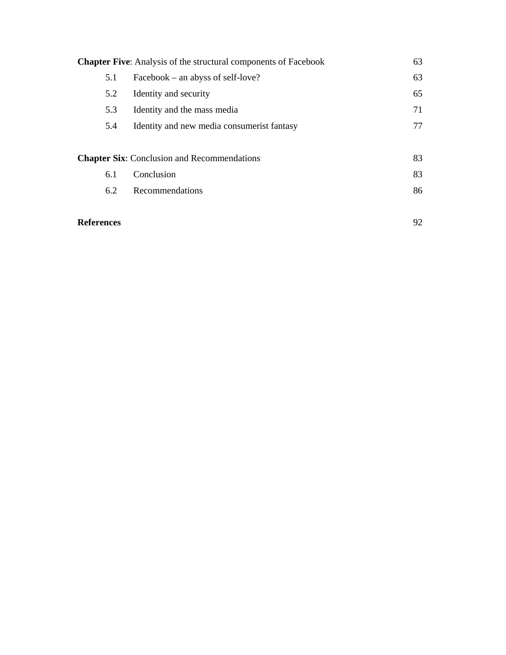|     | <b>Chapter Five:</b> Analysis of the structural components of Facebook | 63 |
|-----|------------------------------------------------------------------------|----|
| 5.1 | Facebook – an abyss of self-love?                                      | 63 |
| 5.2 | Identity and security                                                  | 65 |
| 5.3 | Identity and the mass media                                            | 71 |
| 5.4 | Identity and new media consumerist fantasy                             | 77 |
|     |                                                                        |    |
|     | <b>Chapter Six:</b> Conclusion and Recommendations                     | 83 |
| 6.1 | Conclusion                                                             | 83 |
| 6.2 | Recommendations                                                        | 86 |
|     |                                                                        |    |

| <b>References</b> |  |
|-------------------|--|
|                   |  |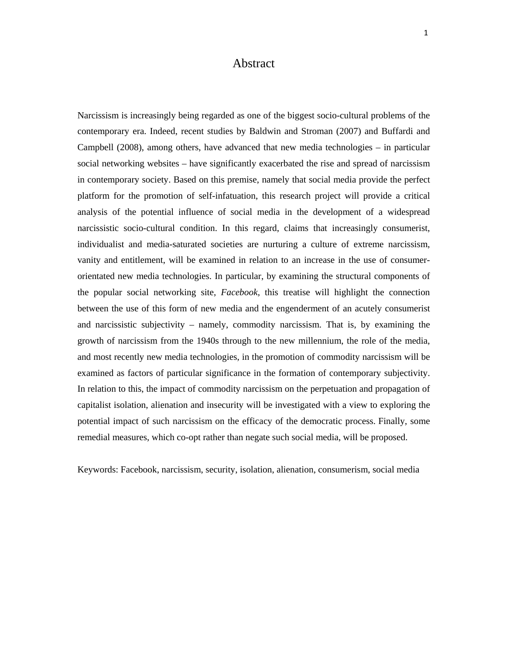## Abstract

Narcissism is increasingly being regarded as one of the biggest socio-cultural problems of the contemporary era. Indeed, recent studies by Baldwin and Stroman (2007) and Buffardi and Campbell (2008), among others, have advanced that new media technologies – in particular social networking websites – have significantly exacerbated the rise and spread of narcissism in contemporary society. Based on this premise, namely that social media provide the perfect platform for the promotion of self-infatuation, this research project will provide a critical analysis of the potential influence of social media in the development of a widespread narcissistic socio-cultural condition. In this regard, claims that increasingly consumerist, individualist and media-saturated societies are nurturing a culture of extreme narcissism, vanity and entitlement, will be examined in relation to an increase in the use of consumerorientated new media technologies. In particular, by examining the structural components of the popular social networking site, *Facebook*, this treatise will highlight the connection between the use of this form of new media and the engenderment of an acutely consumerist and narcissistic subjectivity – namely, commodity narcissism. That is, by examining the growth of narcissism from the 1940s through to the new millennium, the role of the media, and most recently new media technologies, in the promotion of commodity narcissism will be examined as factors of particular significance in the formation of contemporary subjectivity. In relation to this, the impact of commodity narcissism on the perpetuation and propagation of capitalist isolation, alienation and insecurity will be investigated with a view to exploring the potential impact of such narcissism on the efficacy of the democratic process. Finally, some remedial measures, which co-opt rather than negate such social media, will be proposed.

Keywords: Facebook, narcissism, security, isolation, alienation, consumerism, social media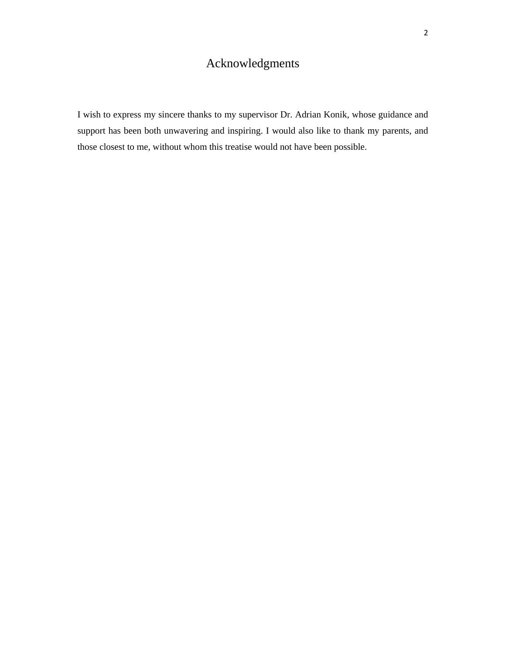## Acknowledgments

I wish to express my sincere thanks to my supervisor Dr. Adrian Konik, whose guidance and support has been both unwavering and inspiring. I would also like to thank my parents, and those closest to me, without whom this treatise would not have been possible.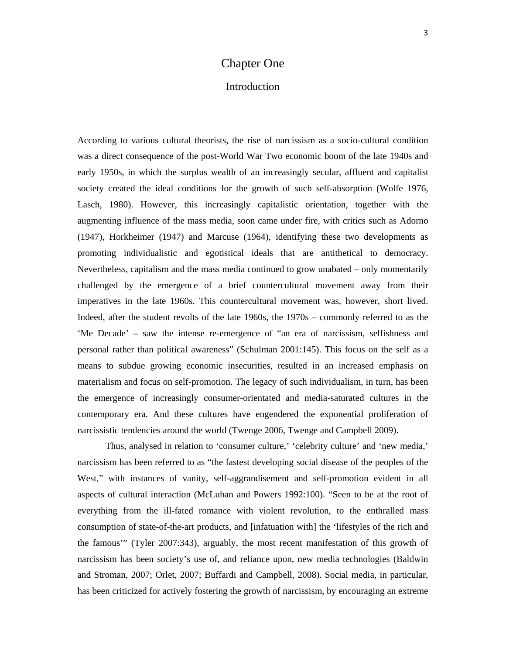## Chapter One

### Introduction

According to various cultural theorists, the rise of narcissism as a socio-cultural condition was a direct consequence of the post-World War Two economic boom of the late 1940s and early 1950s, in which the surplus wealth of an increasingly secular, affluent and capitalist society created the ideal conditions for the growth of such self-absorption (Wolfe 1976, Lasch, 1980). However, this increasingly capitalistic orientation, together with the augmenting influence of the mass media, soon came under fire, with critics such as Adorno (1947), Horkheimer (1947) and Marcuse (1964), identifying these two developments as promoting individualistic and egotistical ideals that are antithetical to democracy. Nevertheless, capitalism and the mass media continued to grow unabated – only momentarily challenged by the emergence of a brief countercultural movement away from their imperatives in the late 1960s. This countercultural movement was, however, short lived. Indeed, after the student revolts of the late 1960s, the 1970s – commonly referred to as the 'Me Decade' – saw the intense re-emergence of "an era of narcissism, selfishness and personal rather than political awareness" (Schulman 2001:145). This focus on the self as a means to subdue growing economic insecurities, resulted in an increased emphasis on materialism and focus on self-promotion. The legacy of such individualism, in turn, has been the emergence of increasingly consumer-orientated and media-saturated cultures in the contemporary era. And these cultures have engendered the exponential proliferation of narcissistic tendencies around the world (Twenge 2006, Twenge and Campbell 2009).

Thus, analysed in relation to 'consumer culture,' 'celebrity culture' and 'new media,' narcissism has been referred to as "the fastest developing social disease of the peoples of the West," with instances of vanity, self-aggrandisement and self-promotion evident in all aspects of cultural interaction (McLuhan and Powers 1992:100). "Seen to be at the root of everything from the ill-fated romance with violent revolution, to the enthralled mass consumption of state-of-the-art products, and [infatuation with] the 'lifestyles of the rich and the famous'" (Tyler 2007:343), arguably, the most recent manifestation of this growth of narcissism has been society's use of, and reliance upon, new media technologies (Baldwin and Stroman, 2007; Orlet, 2007; Buffardi and Campbell, 2008). Social media, in particular, has been criticized for actively fostering the growth of narcissism, by encouraging an extreme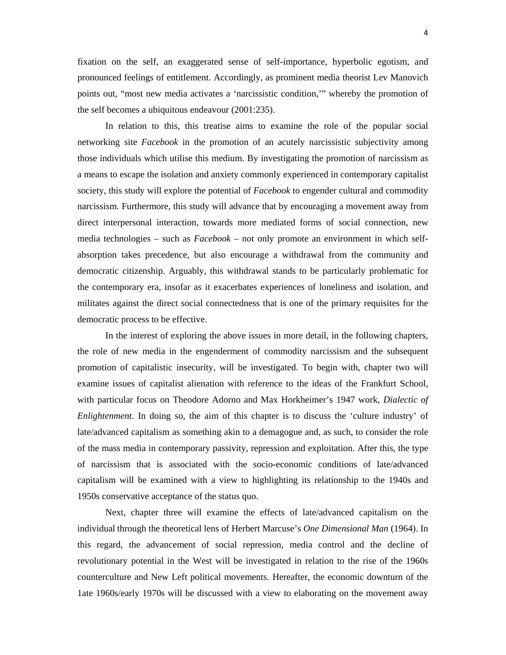fixation on the self, an exaggerated sense of self-importance, hyperbolic egotism, and pronounced feelings of entitlement. Accordingly, as prominent media theorist Lev Manovich points out, "most new media activates a 'narcissistic condition,'" whereby the promotion of the self becomes a ubiquitous endeavour (2001:235).

In relation to this, this treatise aims to examine the role of the popular social networking site *Facebook* in the promotion of an acutely narcissistic subjectivity among those individuals which utilise this medium. By investigating the promotion of narcissism as a means to escape the isolation and anxiety commonly experienced in contemporary capitalist society, this study will explore the potential of *Facebook* to engender cultural and commodity narcissism. Furthermore, this study will advance that by encouraging a movement away from direct interpersonal interaction, towards more mediated forms of social connection, new media technologies – such as *Facebook* – not only promote an environment in which selfabsorption takes precedence, but also encourage a withdrawal from the community and democratic citizenship. Arguably, this withdrawal stands to be particularly problematic for the contemporary era, insofar as it exacerbates experiences of loneliness and isolation, and militates against the direct social connectedness that is one of the primary requisites for the democratic process to be effective.

In the interest of exploring the above issues in more detail, in the following chapters, the role of new media in the engenderment of commodity narcissism and the subsequent promotion of capitalistic insecurity, will be investigated. To begin with, chapter two will examine issues of capitalist alienation with reference to the ideas of the Frankfurt School, with particular focus on Theodore Adorno and Max Horkheimer's 1947 work, *Dialectic of Enlightenment*. In doing so, the aim of this chapter is to discuss the 'culture industry' of late/advanced capitalism as something akin to a demagogue and, as such, to consider the role of the mass media in contemporary passivity, repression and exploitation. After this, the type of narcissism that is associated with the socio-economic conditions of late/advanced capitalism will be examined with a view to highlighting its relationship to the 1940s and 1950s conservative acceptance of the status quo.

Next, chapter three will examine the effects of late/advanced capitalism on the individual through the theoretical lens of Herbert Marcuse's *One Dimensional Man* (1964). In this regard, the advancement of social repression, media control and the decline of revolutionary potential in the West will be investigated in relation to the rise of the 1960s counterculture and New Left political movements. Hereafter, the economic downturn of the 1ate 1960s/early 1970s will be discussed with a view to elaborating on the movement away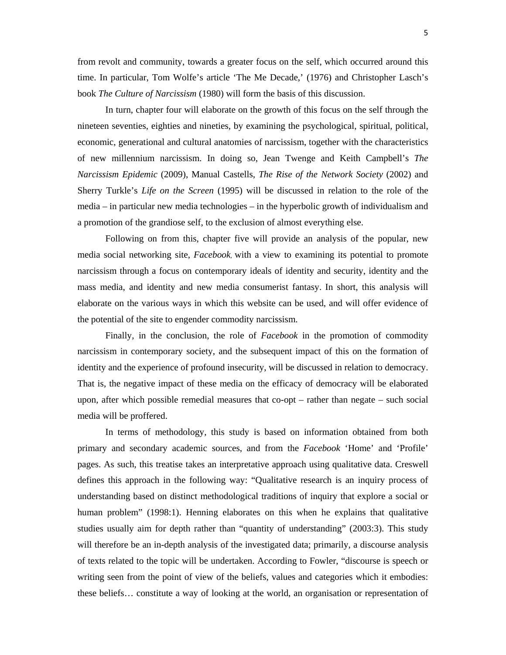from revolt and community, towards a greater focus on the self, which occurred around this time. In particular, Tom Wolfe's article 'The Me Decade,' (1976) and Christopher Lasch's book *The Culture of Narcissism* (1980) will form the basis of this discussion.

In turn, chapter four will elaborate on the growth of this focus on the self through the nineteen seventies, eighties and nineties, by examining the psychological, spiritual, political, economic, generational and cultural anatomies of narcissism, together with the characteristics of new millennium narcissism. In doing so, Jean Twenge and Keith Campbell's *The Narcissism Epidemic* (2009), Manual Castells, *The Rise of the Network Society* (2002) and Sherry Turkle's *Life on the Screen* (1995) will be discussed in relation to the role of the media – in particular new media technologies – in the hyperbolic growth of individualism and a promotion of the grandiose self, to the exclusion of almost everything else.

Following on from this, chapter five will provide an analysis of the popular, new media social networking site, *Facebook*, with a view to examining its potential to promote narcissism through a focus on contemporary ideals of identity and security, identity and the mass media, and identity and new media consumerist fantasy. In short, this analysis will elaborate on the various ways in which this website can be used, and will offer evidence of the potential of the site to engender commodity narcissism.

Finally, in the conclusion, the role of *Facebook* in the promotion of commodity narcissism in contemporary society, and the subsequent impact of this on the formation of identity and the experience of profound insecurity, will be discussed in relation to democracy. That is, the negative impact of these media on the efficacy of democracy will be elaborated upon, after which possible remedial measures that co-opt – rather than negate – such social media will be proffered.

 In terms of methodology, this study is based on information obtained from both primary and secondary academic sources, and from the *Facebook* 'Home' and 'Profile' pages. As such, this treatise takes an interpretative approach using qualitative data. Creswell defines this approach in the following way: "Qualitative research is an inquiry process of understanding based on distinct methodological traditions of inquiry that explore a social or human problem" (1998:1). Henning elaborates on this when he explains that qualitative studies usually aim for depth rather than "quantity of understanding" (2003:3). This study will therefore be an in-depth analysis of the investigated data; primarily, a discourse analysis of texts related to the topic will be undertaken. According to Fowler, "discourse is speech or writing seen from the point of view of the beliefs, values and categories which it embodies: these beliefs… constitute a way of looking at the world, an organisation or representation of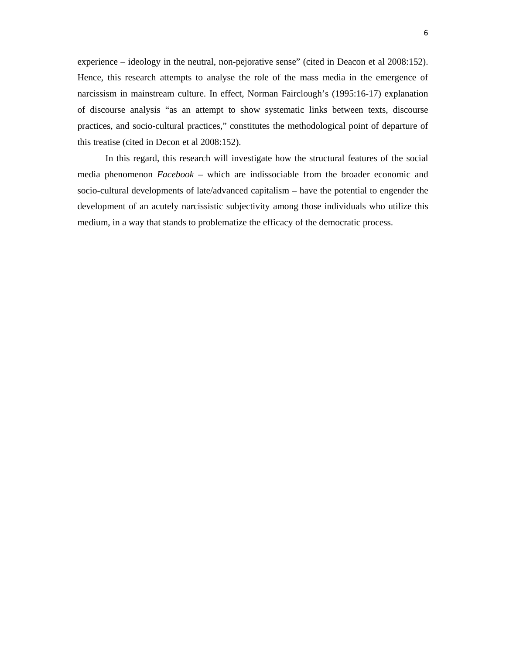experience – ideology in the neutral, non-pejorative sense" (cited in Deacon et al 2008:152). Hence, this research attempts to analyse the role of the mass media in the emergence of narcissism in mainstream culture. In effect, Norman Fairclough's (1995:16-17) explanation of discourse analysis "as an attempt to show systematic links between texts, discourse practices, and socio-cultural practices," constitutes the methodological point of departure of this treatise (cited in Decon et al 2008:152).

In this regard, this research will investigate how the structural features of the social media phenomenon *Facebook –* which are indissociable from the broader economic and socio-cultural developments of late/advanced capitalism – have the potential to engender the development of an acutely narcissistic subjectivity among those individuals who utilize this medium, in a way that stands to problematize the efficacy of the democratic process.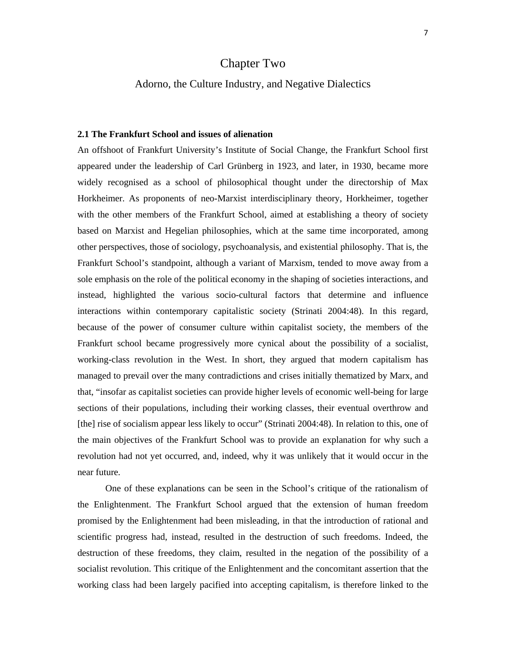## Chapter Two

### Adorno, the Culture Industry, and Negative Dialectics

#### **2.1 The Frankfurt School and issues of alienation**

An offshoot of Frankfurt University's Institute of Social Change, the Frankfurt School first appeared under the leadership of Carl Grünberg in 1923, and later, in 1930, became more widely recognised as a school of philosophical thought under the directorship of Max Horkheimer. As proponents of neo-Marxist interdisciplinary theory, Horkheimer, together with the other members of the Frankfurt School, aimed at establishing a theory of society based on Marxist and Hegelian philosophies, which at the same time incorporated, among other perspectives, those of sociology, psychoanalysis, and existential philosophy. That is, the Frankfurt School's standpoint, although a variant of Marxism, tended to move away from a sole emphasis on the role of the political economy in the shaping of societies interactions, and instead, highlighted the various socio-cultural factors that determine and influence interactions within contemporary capitalistic society (Strinati 2004:48). In this regard, because of the power of consumer culture within capitalist society, the members of the Frankfurt school became progressively more cynical about the possibility of a socialist, working-class revolution in the West. In short, they argued that modern capitalism has managed to prevail over the many contradictions and crises initially thematized by Marx, and that, "insofar as capitalist societies can provide higher levels of economic well-being for large sections of their populations, including their working classes, their eventual overthrow and [the] rise of socialism appear less likely to occur" (Strinati 2004:48). In relation to this, one of the main objectives of the Frankfurt School was to provide an explanation for why such a revolution had not yet occurred, and, indeed, why it was unlikely that it would occur in the near future.

 One of these explanations can be seen in the School's critique of the rationalism of the Enlightenment. The Frankfurt School argued that the extension of human freedom promised by the Enlightenment had been misleading, in that the introduction of rational and scientific progress had, instead, resulted in the destruction of such freedoms. Indeed, the destruction of these freedoms, they claim, resulted in the negation of the possibility of a socialist revolution. This critique of the Enlightenment and the concomitant assertion that the working class had been largely pacified into accepting capitalism, is therefore linked to the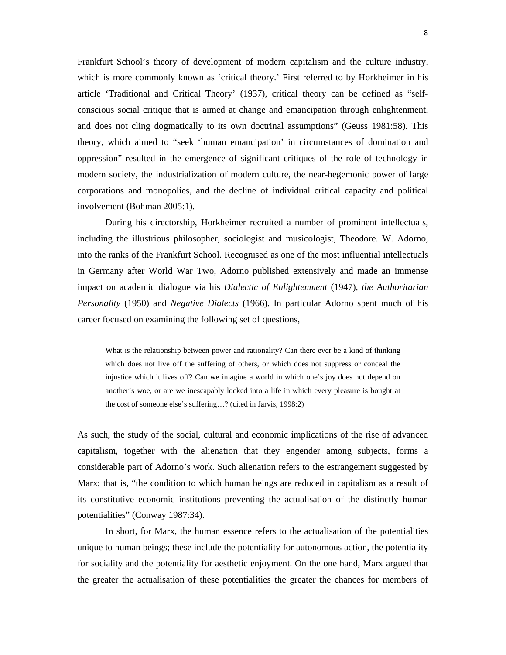Frankfurt School's theory of development of modern capitalism and the culture industry, which is more commonly known as 'critical theory.' First referred to by Horkheimer in his article 'Traditional and Critical Theory' (1937), critical theory can be defined as "selfconscious social critique that is aimed at change and emancipation through enlightenment, and does not cling dogmatically to its own doctrinal assumptions" (Geuss 1981:58). This theory, which aimed to "seek 'human emancipation' in circumstances of domination and oppression" resulted in the emergence of significant critiques of the role of technology in modern society, the industrialization of modern culture, the near-hegemonic power of large corporations and monopolies, and the decline of individual critical capacity and political involvement (Bohman 2005:1).

During his directorship, Horkheimer recruited a number of prominent intellectuals, including the illustrious philosopher, sociologist and musicologist, Theodore. W. Adorno, into the ranks of the Frankfurt School. Recognised as one of the most influential intellectuals in Germany after World War Two, Adorno published extensively and made an immense impact on academic dialogue via his *Dialectic of Enlightenment* (1947), *the Authoritarian Personality* (1950) and *Negative Dialects* (1966). In particular Adorno spent much of his career focused on examining the following set of questions,

What is the relationship between power and rationality? Can there ever be a kind of thinking which does not live off the suffering of others, or which does not suppress or conceal the injustice which it lives off? Can we imagine a world in which one's joy does not depend on another's woe, or are we inescapably locked into a life in which every pleasure is bought at the cost of someone else's suffering…? (cited in Jarvis, 1998:2)

As such, the study of the social, cultural and economic implications of the rise of advanced capitalism, together with the alienation that they engender among subjects, forms a considerable part of Adorno's work. Such alienation refers to the estrangement suggested by Marx; that is, "the condition to which human beings are reduced in capitalism as a result of its constitutive economic institutions preventing the actualisation of the distinctly human potentialities" (Conway 1987:34).

In short, for Marx, the human essence refers to the actualisation of the potentialities unique to human beings; these include the potentiality for autonomous action, the potentiality for sociality and the potentiality for aesthetic enjoyment. On the one hand, Marx argued that the greater the actualisation of these potentialities the greater the chances for members of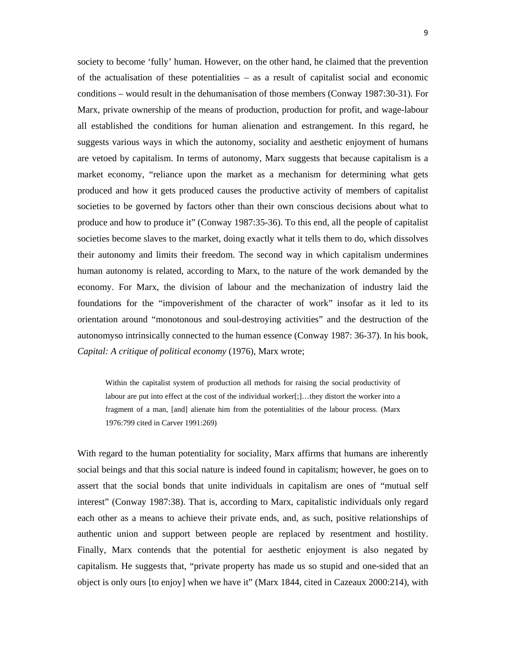society to become 'fully' human. However, on the other hand, he claimed that the prevention of the actualisation of these potentialities – as a result of capitalist social and economic conditions – would result in the dehumanisation of those members (Conway 1987:30-31). For Marx, private ownership of the means of production, production for profit, and wage-labour all established the conditions for human alienation and estrangement. In this regard, he suggests various ways in which the autonomy, sociality and aesthetic enjoyment of humans are vetoed by capitalism. In terms of autonomy, Marx suggests that because capitalism is a market economy, "reliance upon the market as a mechanism for determining what gets produced and how it gets produced causes the productive activity of members of capitalist societies to be governed by factors other than their own conscious decisions about what to produce and how to produce it" (Conway 1987:35-36). To this end, all the people of capitalist societies become slaves to the market, doing exactly what it tells them to do, which dissolves their autonomy and limits their freedom. The second way in which capitalism undermines human autonomy is related, according to Marx, to the nature of the work demanded by the economy. For Marx, the division of labour and the mechanization of industry laid the foundations for the "impoverishment of the character of work" insofar as it led to its orientation around "monotonous and soul-destroying activities" and the destruction of the autonomyso intrinsically connected to the human essence (Conway 1987: 36-37). In his book, *Capital: A critique of political economy* (1976), Marx wrote;

Within the capitalist system of production all methods for raising the social productivity of labour are put into effect at the cost of the individual worker[;]…they distort the worker into a fragment of a man, [and] alienate him from the potentialities of the labour process. (Marx 1976:799 cited in Carver 1991:269)

With regard to the human potentiality for sociality, Marx affirms that humans are inherently social beings and that this social nature is indeed found in capitalism; however, he goes on to assert that the social bonds that unite individuals in capitalism are ones of "mutual self interest" (Conway 1987:38). That is, according to Marx, capitalistic individuals only regard each other as a means to achieve their private ends, and, as such, positive relationships of authentic union and support between people are replaced by resentment and hostility. Finally, Marx contends that the potential for aesthetic enjoyment is also negated by capitalism. He suggests that, "private property has made us so stupid and one-sided that an object is only ours [to enjoy] when we have it" (Marx 1844, cited in Cazeaux 2000:214), with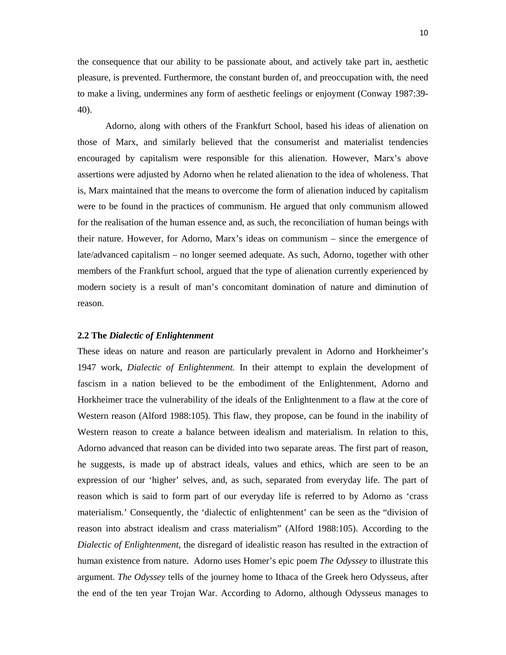the consequence that our ability to be passionate about, and actively take part in, aesthetic pleasure, is prevented. Furthermore, the constant burden of, and preoccupation with, the need to make a living, undermines any form of aesthetic feelings or enjoyment (Conway 1987:39- 40).

 Adorno, along with others of the Frankfurt School, based his ideas of alienation on those of Marx, and similarly believed that the consumerist and materialist tendencies encouraged by capitalism were responsible for this alienation. However, Marx's above assertions were adjusted by Adorno when he related alienation to the idea of wholeness. That is, Marx maintained that the means to overcome the form of alienation induced by capitalism were to be found in the practices of communism. He argued that only communism allowed for the realisation of the human essence and, as such, the reconciliation of human beings with their nature. However, for Adorno, Marx's ideas on communism – since the emergence of late/advanced capitalism – no longer seemed adequate. As such, Adorno, together with other members of the Frankfurt school, argued that the type of alienation currently experienced by modern society is a result of man's concomitant domination of nature and diminution of reason.

#### **2.2 The** *Dialectic of Enlightenment*

These ideas on nature and reason are particularly prevalent in Adorno and Horkheimer's 1947 work, *Dialectic of Enlightenment.* In their attempt to explain the development of fascism in a nation believed to be the embodiment of the Enlightenment, Adorno and Horkheimer trace the vulnerability of the ideals of the Enlightenment to a flaw at the core of Western reason (Alford 1988:105). This flaw, they propose, can be found in the inability of Western reason to create a balance between idealism and materialism. In relation to this, Adorno advanced that reason can be divided into two separate areas. The first part of reason, he suggests, is made up of abstract ideals, values and ethics, which are seen to be an expression of our 'higher' selves, and, as such, separated from everyday life. The part of reason which is said to form part of our everyday life is referred to by Adorno as 'crass materialism.' Consequently, the 'dialectic of enlightenment' can be seen as the "division of reason into abstract idealism and crass materialism" (Alford 1988:105). According to the *Dialectic of Enlightenment*, the disregard of idealistic reason has resulted in the extraction of human existence from nature. Adorno uses Homer's epic poem *The Odyssey* to illustrate this argument. *The Odyssey* tells of the journey home to Ithaca of the Greek hero Odysseus, after the end of the ten year Trojan War. According to Adorno, although Odysseus manages to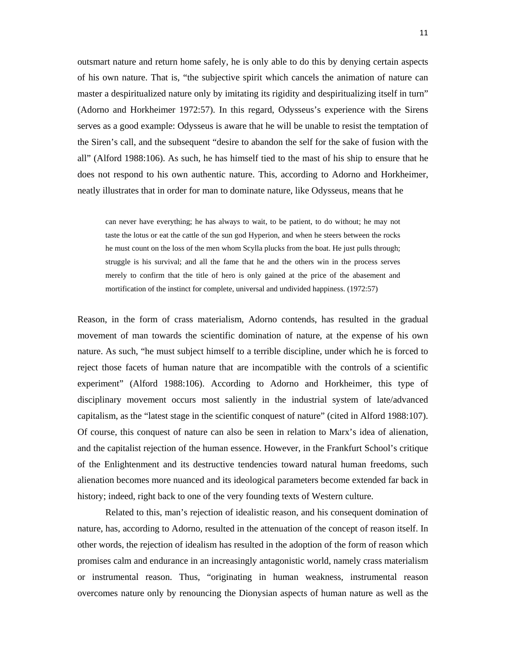outsmart nature and return home safely, he is only able to do this by denying certain aspects of his own nature. That is, "the subjective spirit which cancels the animation of nature can master a despiritualized nature only by imitating its rigidity and despiritualizing itself in turn" (Adorno and Horkheimer 1972:57). In this regard, Odysseus's experience with the Sirens serves as a good example: Odysseus is aware that he will be unable to resist the temptation of the Siren's call, and the subsequent "desire to abandon the self for the sake of fusion with the all" (Alford 1988:106). As such, he has himself tied to the mast of his ship to ensure that he does not respond to his own authentic nature. This, according to Adorno and Horkheimer, neatly illustrates that in order for man to dominate nature, like Odysseus, means that he

can never have everything; he has always to wait, to be patient, to do without; he may not taste the lotus or eat the cattle of the sun god Hyperion, and when he steers between the rocks he must count on the loss of the men whom Scylla plucks from the boat. He just pulls through; struggle is his survival; and all the fame that he and the others win in the process serves merely to confirm that the title of hero is only gained at the price of the abasement and mortification of the instinct for complete, universal and undivided happiness. (1972:57)

Reason, in the form of crass materialism, Adorno contends, has resulted in the gradual movement of man towards the scientific domination of nature, at the expense of his own nature. As such, "he must subject himself to a terrible discipline, under which he is forced to reject those facets of human nature that are incompatible with the controls of a scientific experiment" (Alford 1988:106). According to Adorno and Horkheimer, this type of disciplinary movement occurs most saliently in the industrial system of late/advanced capitalism, as the "latest stage in the scientific conquest of nature" (cited in Alford 1988:107). Of course, this conquest of nature can also be seen in relation to Marx's idea of alienation, and the capitalist rejection of the human essence. However, in the Frankfurt School's critique of the Enlightenment and its destructive tendencies toward natural human freedoms, such alienation becomes more nuanced and its ideological parameters become extended far back in history; indeed, right back to one of the very founding texts of Western culture.

Related to this, man's rejection of idealistic reason, and his consequent domination of nature, has, according to Adorno, resulted in the attenuation of the concept of reason itself. In other words, the rejection of idealism has resulted in the adoption of the form of reason which promises calm and endurance in an increasingly antagonistic world, namely crass materialism or instrumental reason. Thus, "originating in human weakness, instrumental reason overcomes nature only by renouncing the Dionysian aspects of human nature as well as the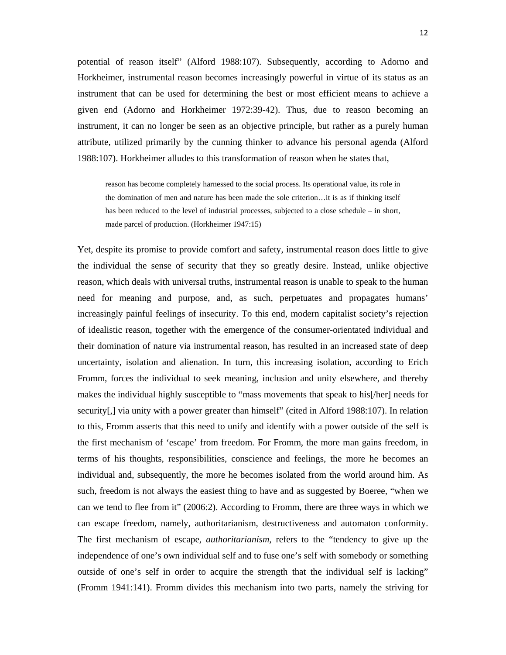potential of reason itself" (Alford 1988:107). Subsequently, according to Adorno and Horkheimer, instrumental reason becomes increasingly powerful in virtue of its status as an instrument that can be used for determining the best or most efficient means to achieve a given end (Adorno and Horkheimer 1972:39-42). Thus, due to reason becoming an instrument, it can no longer be seen as an objective principle, but rather as a purely human attribute, utilized primarily by the cunning thinker to advance his personal agenda (Alford 1988:107). Horkheimer alludes to this transformation of reason when he states that,

 reason has become completely harnessed to the social process. Its operational value, its role in the domination of men and nature has been made the sole criterion…it is as if thinking itself has been reduced to the level of industrial processes, subjected to a close schedule – in short, made parcel of production. (Horkheimer 1947:15)

Yet, despite its promise to provide comfort and safety, instrumental reason does little to give the individual the sense of security that they so greatly desire. Instead, unlike objective reason, which deals with universal truths, instrumental reason is unable to speak to the human need for meaning and purpose, and, as such, perpetuates and propagates humans' increasingly painful feelings of insecurity. To this end, modern capitalist society's rejection of idealistic reason, together with the emergence of the consumer-orientated individual and their domination of nature via instrumental reason, has resulted in an increased state of deep uncertainty, isolation and alienation. In turn, this increasing isolation, according to Erich Fromm, forces the individual to seek meaning, inclusion and unity elsewhere, and thereby makes the individual highly susceptible to "mass movements that speak to his[/her] needs for security[,] via unity with a power greater than himself" (cited in Alford 1988:107). In relation to this, Fromm asserts that this need to unify and identify with a power outside of the self is the first mechanism of 'escape' from freedom. For Fromm, the more man gains freedom, in terms of his thoughts, responsibilities, conscience and feelings, the more he becomes an individual and, subsequently, the more he becomes isolated from the world around him. As such, freedom is not always the easiest thing to have and as suggested by Boeree, "when we can we tend to flee from it" (2006:2). According to Fromm, there are three ways in which we can escape freedom, namely, authoritarianism, destructiveness and automaton conformity. The first mechanism of escape, *authoritarianism*, refers to the "tendency to give up the independence of one's own individual self and to fuse one's self with somebody or something outside of one's self in order to acquire the strength that the individual self is lacking" (Fromm 1941:141). Fromm divides this mechanism into two parts, namely the striving for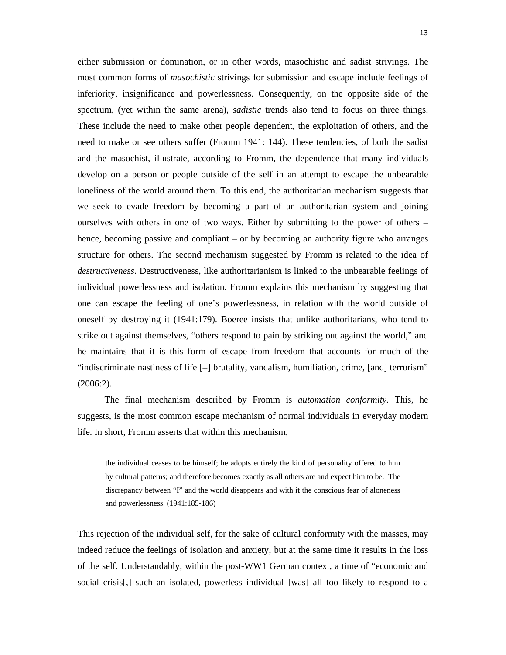either submission or domination, or in other words, masochistic and sadist strivings. The most common forms of *masochistic* strivings for submission and escape include feelings of inferiority, insignificance and powerlessness. Consequently, on the opposite side of the spectrum, (yet within the same arena), *sadistic* trends also tend to focus on three things. These include the need to make other people dependent, the exploitation of others, and the need to make or see others suffer (Fromm 1941: 144). These tendencies, of both the sadist and the masochist, illustrate, according to Fromm, the dependence that many individuals develop on a person or people outside of the self in an attempt to escape the unbearable loneliness of the world around them. To this end, the authoritarian mechanism suggests that we seek to evade freedom by becoming a part of an authoritarian system and joining ourselves with others in one of two ways. Either by submitting to the power of others – hence, becoming passive and compliant – or by becoming an authority figure who arranges structure for others. The second mechanism suggested by Fromm is related to the idea of *destructiveness*. Destructiveness, like authoritarianism is linked to the unbearable feelings of individual powerlessness and isolation. Fromm explains this mechanism by suggesting that one can escape the feeling of one's powerlessness, in relation with the world outside of oneself by destroying it (1941:179). Boeree insists that unlike authoritarians, who tend to strike out against themselves, "others respond to pain by striking out against the world," and he maintains that it is this form of escape from freedom that accounts for much of the "indiscriminate nastiness of life [–] brutality, vandalism, humiliation, crime, [and] terrorism" (2006:2).

The final mechanism described by Fromm is *automation conformity.* This, he suggests, is the most common escape mechanism of normal individuals in everyday modern life. In short, Fromm asserts that within this mechanism,

the individual ceases to be himself; he adopts entirely the kind of personality offered to him by cultural patterns; and therefore becomes exactly as all others are and expect him to be. The discrepancy between "I" and the world disappears and with it the conscious fear of aloneness and powerlessness. (1941:185-186)

This rejection of the individual self, for the sake of cultural conformity with the masses, may indeed reduce the feelings of isolation and anxiety, but at the same time it results in the loss of the self. Understandably, within the post-WW1 German context, a time of "economic and social crisis[,] such an isolated, powerless individual [was] all too likely to respond to a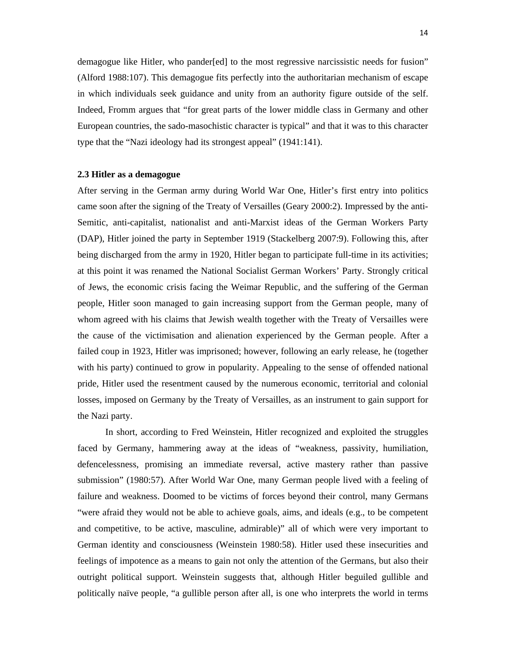demagogue like Hitler, who pander[ed] to the most regressive narcissistic needs for fusion" (Alford 1988:107). This demagogue fits perfectly into the authoritarian mechanism of escape in which individuals seek guidance and unity from an authority figure outside of the self. Indeed, Fromm argues that "for great parts of the lower middle class in Germany and other European countries, the sado-masochistic character is typical" and that it was to this character type that the "Nazi ideology had its strongest appeal" (1941:141).

#### **2.3 Hitler as a demagogue**

After serving in the German army during World War One, Hitler's first entry into politics came soon after the signing of the Treaty of Versailles (Geary 2000:2). Impressed by the anti-Semitic, anti-capitalist, nationalist and anti-Marxist ideas of the German Workers Party (DAP), Hitler joined the party in September 1919 (Stackelberg 2007:9). Following this, after being discharged from the army in 1920, Hitler began to participate full-time in its activities; at this point it was renamed the National Socialist German Workers' Party. Strongly critical of Jews, the economic crisis facing the Weimar Republic, and the suffering of the German people, Hitler soon managed to gain increasing support from the German people, many of whom agreed with his claims that Jewish wealth together with the Treaty of Versailles were the cause of the victimisation and alienation experienced by the German people. After a failed coup in 1923, Hitler was imprisoned; however, following an early release, he (together with his party) continued to grow in popularity. Appealing to the sense of offended national pride, Hitler used the resentment caused by the numerous economic, territorial and colonial losses, imposed on Germany by the Treaty of Versailles, as an instrument to gain support for the Nazi party.

In short, according to Fred Weinstein, Hitler recognized and exploited the struggles faced by Germany, hammering away at the ideas of "weakness, passivity, humiliation, defencelessness, promising an immediate reversal, active mastery rather than passive submission" (1980:57). After World War One, many German people lived with a feeling of failure and weakness. Doomed to be victims of forces beyond their control, many Germans "were afraid they would not be able to achieve goals, aims, and ideals (e.g., to be competent and competitive, to be active, masculine, admirable)" all of which were very important to German identity and consciousness (Weinstein 1980:58). Hitler used these insecurities and feelings of impotence as a means to gain not only the attention of the Germans, but also their outright political support. Weinstein suggests that, although Hitler beguiled gullible and politically naïve people, "a gullible person after all, is one who interprets the world in terms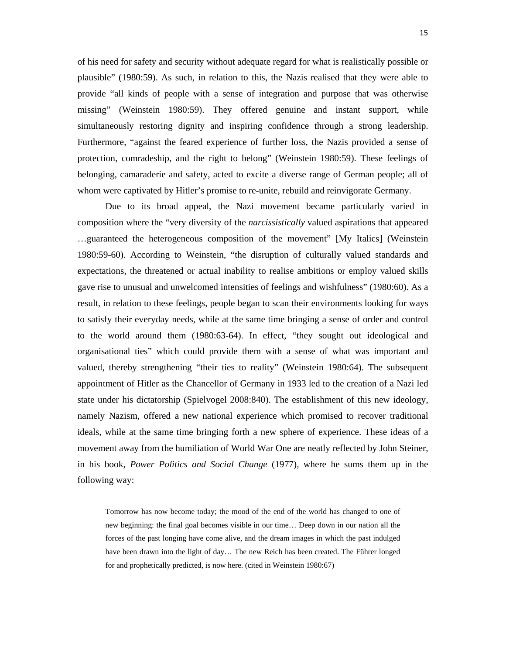of his need for safety and security without adequate regard for what is realistically possible or plausible" (1980:59). As such, in relation to this, the Nazis realised that they were able to provide "all kinds of people with a sense of integration and purpose that was otherwise missing" (Weinstein 1980:59). They offered genuine and instant support, while simultaneously restoring dignity and inspiring confidence through a strong leadership. Furthermore, "against the feared experience of further loss, the Nazis provided a sense of protection, comradeship, and the right to belong" (Weinstein 1980:59). These feelings of belonging, camaraderie and safety, acted to excite a diverse range of German people; all of whom were captivated by Hitler's promise to re-unite, rebuild and reinvigorate Germany.

Due to its broad appeal, the Nazi movement became particularly varied in composition where the "very diversity of the *narcissistically* valued aspirations that appeared …guaranteed the heterogeneous composition of the movement" [My Italics] (Weinstein 1980:59-60). According to Weinstein, "the disruption of culturally valued standards and expectations, the threatened or actual inability to realise ambitions or employ valued skills gave rise to unusual and unwelcomed intensities of feelings and wishfulness" (1980:60). As a result, in relation to these feelings, people began to scan their environments looking for ways to satisfy their everyday needs, while at the same time bringing a sense of order and control to the world around them (1980:63-64). In effect, "they sought out ideological and organisational ties" which could provide them with a sense of what was important and valued, thereby strengthening "their ties to reality" (Weinstein 1980:64). The subsequent appointment of Hitler as the Chancellor of Germany in 1933 led to the creation of a Nazi led state under his dictatorship (Spielvogel 2008:840). The establishment of this new ideology, namely Nazism, offered a new national experience which promised to recover traditional ideals, while at the same time bringing forth a new sphere of experience. These ideas of a movement away from the humiliation of World War One are neatly reflected by John Steiner, in his book, *Power Politics and Social Change* (1977), where he sums them up in the following way:

Tomorrow has now become today; the mood of the end of the world has changed to one of new beginning: the final goal becomes visible in our time… Deep down in our nation all the forces of the past longing have come alive, and the dream images in which the past indulged have been drawn into the light of day… The new Reich has been created. The Führer longed for and prophetically predicted, is now here. (cited in Weinstein 1980:67)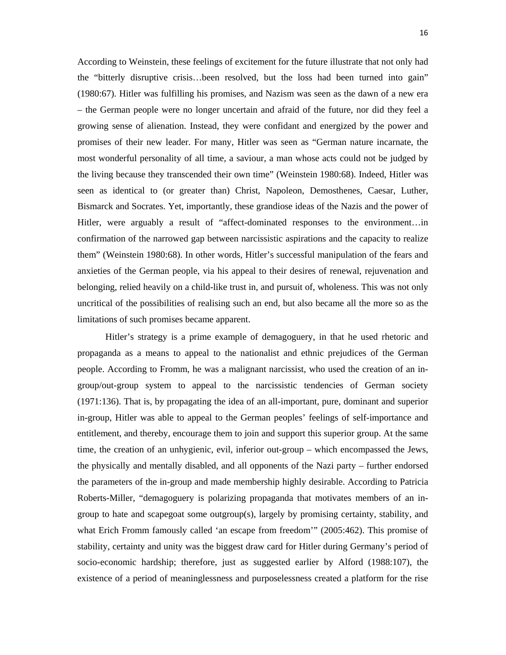According to Weinstein, these feelings of excitement for the future illustrate that not only had the "bitterly disruptive crisis…been resolved, but the loss had been turned into gain" (1980:67). Hitler was fulfilling his promises, and Nazism was seen as the dawn of a new era – the German people were no longer uncertain and afraid of the future, nor did they feel a growing sense of alienation. Instead, they were confidant and energized by the power and promises of their new leader. For many, Hitler was seen as "German nature incarnate, the most wonderful personality of all time, a saviour, a man whose acts could not be judged by the living because they transcended their own time" (Weinstein 1980:68). Indeed, Hitler was seen as identical to (or greater than) Christ, Napoleon, Demosthenes, Caesar, Luther, Bismarck and Socrates. Yet, importantly, these grandiose ideas of the Nazis and the power of Hitler, were arguably a result of "affect-dominated responses to the environment…in confirmation of the narrowed gap between narcissistic aspirations and the capacity to realize them" (Weinstein 1980:68). In other words, Hitler's successful manipulation of the fears and anxieties of the German people, via his appeal to their desires of renewal, rejuvenation and belonging, relied heavily on a child-like trust in, and pursuit of, wholeness. This was not only uncritical of the possibilities of realising such an end, but also became all the more so as the limitations of such promises became apparent.

Hitler's strategy is a prime example of demagoguery, in that he used rhetoric and propaganda as a means to appeal to the nationalist and ethnic prejudices of the German people. According to Fromm, he was a malignant narcissist, who used the creation of an ingroup/out-group system to appeal to the narcissistic tendencies of German society (1971:136). That is, by propagating the idea of an all-important, pure, dominant and superior in-group, Hitler was able to appeal to the German peoples' feelings of self-importance and entitlement, and thereby, encourage them to join and support this superior group. At the same time, the creation of an unhygienic, evil, inferior out-group – which encompassed the Jews, the physically and mentally disabled, and all opponents of the Nazi party – further endorsed the parameters of the in-group and made membership highly desirable. According to Patricia Roberts-Miller, "demagoguery is polarizing propaganda that motivates members of an ingroup to hate and scapegoat some outgroup(s), largely by promising certainty, stability, and what Erich Fromm famously called 'an escape from freedom'" (2005:462). This promise of stability, certainty and unity was the biggest draw card for Hitler during Germany's period of socio-economic hardship; therefore, just as suggested earlier by Alford (1988:107), the existence of a period of meaninglessness and purposelessness created a platform for the rise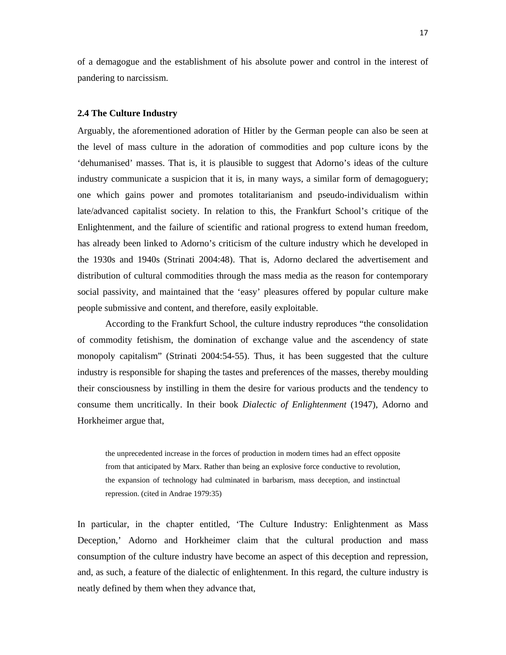of a demagogue and the establishment of his absolute power and control in the interest of pandering to narcissism.

#### **2.4 The Culture Industry**

Arguably, the aforementioned adoration of Hitler by the German people can also be seen at the level of mass culture in the adoration of commodities and pop culture icons by the 'dehumanised' masses. That is, it is plausible to suggest that Adorno's ideas of the culture industry communicate a suspicion that it is, in many ways, a similar form of demagoguery; one which gains power and promotes totalitarianism and pseudo-individualism within late/advanced capitalist society. In relation to this, the Frankfurt School's critique of the Enlightenment, and the failure of scientific and rational progress to extend human freedom, has already been linked to Adorno's criticism of the culture industry which he developed in the 1930s and 1940s (Strinati 2004:48). That is, Adorno declared the advertisement and distribution of cultural commodities through the mass media as the reason for contemporary social passivity, and maintained that the 'easy' pleasures offered by popular culture make people submissive and content, and therefore, easily exploitable.

According to the Frankfurt School, the culture industry reproduces "the consolidation of commodity fetishism, the domination of exchange value and the ascendency of state monopoly capitalism" (Strinati 2004:54-55). Thus, it has been suggested that the culture industry is responsible for shaping the tastes and preferences of the masses, thereby moulding their consciousness by instilling in them the desire for various products and the tendency to consume them uncritically. In their book *Dialectic of Enlightenment* (1947), Adorno and Horkheimer argue that,

the unprecedented increase in the forces of production in modern times had an effect opposite from that anticipated by Marx. Rather than being an explosive force conductive to revolution, the expansion of technology had culminated in barbarism, mass deception, and instinctual repression. (cited in Andrae 1979:35)

In particular, in the chapter entitled, 'The Culture Industry: Enlightenment as Mass Deception,' Adorno and Horkheimer claim that the cultural production and mass consumption of the culture industry have become an aspect of this deception and repression, and, as such, a feature of the dialectic of enlightenment. In this regard, the culture industry is neatly defined by them when they advance that,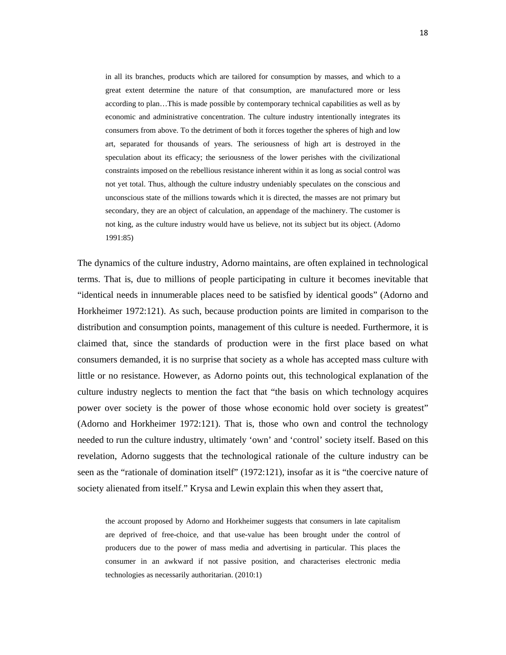in all its branches, products which are tailored for consumption by masses, and which to a great extent determine the nature of that consumption, are manufactured more or less according to plan…This is made possible by contemporary technical capabilities as well as by economic and administrative concentration. The culture industry intentionally integrates its consumers from above. To the detriment of both it forces together the spheres of high and low art, separated for thousands of years. The seriousness of high art is destroyed in the speculation about its efficacy; the seriousness of the lower perishes with the civilizational constraints imposed on the rebellious resistance inherent within it as long as social control was not yet total. Thus, although the culture industry undeniably speculates on the conscious and unconscious state of the millions towards which it is directed, the masses are not primary but secondary, they are an object of calculation, an appendage of the machinery. The customer is not king, as the culture industry would have us believe, not its subject but its object. (Adorno 1991:85)

The dynamics of the culture industry, Adorno maintains, are often explained in technological terms. That is, due to millions of people participating in culture it becomes inevitable that "identical needs in innumerable places need to be satisfied by identical goods" (Adorno and Horkheimer 1972:121). As such, because production points are limited in comparison to the distribution and consumption points, management of this culture is needed. Furthermore, it is claimed that, since the standards of production were in the first place based on what consumers demanded, it is no surprise that society as a whole has accepted mass culture with little or no resistance. However, as Adorno points out, this technological explanation of the culture industry neglects to mention the fact that "the basis on which technology acquires power over society is the power of those whose economic hold over society is greatest" (Adorno and Horkheimer 1972:121). That is, those who own and control the technology needed to run the culture industry, ultimately 'own' and 'control' society itself. Based on this revelation, Adorno suggests that the technological rationale of the culture industry can be seen as the "rationale of domination itself" (1972:121), insofar as it is "the coercive nature of society alienated from itself." Krysa and Lewin explain this when they assert that,

the account proposed by Adorno and Horkheimer suggests that consumers in late capitalism are deprived of free-choice, and that use-value has been brought under the control of producers due to the power of mass media and advertising in particular. This places the consumer in an awkward if not passive position, and characterises electronic media technologies as necessarily authoritarian. (2010:1)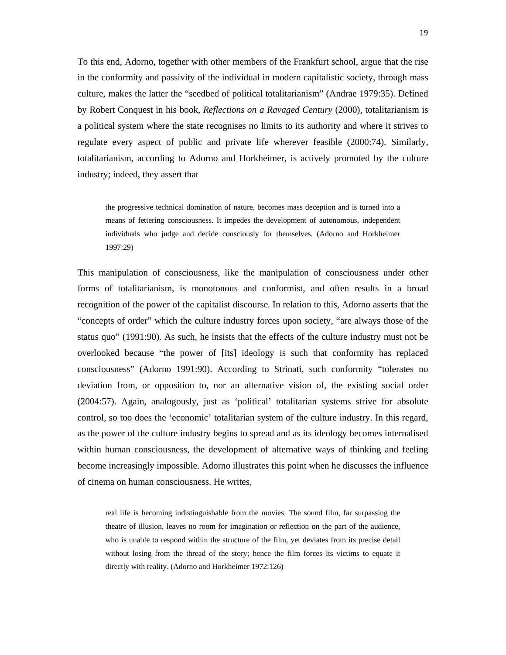To this end, Adorno, together with other members of the Frankfurt school, argue that the rise in the conformity and passivity of the individual in modern capitalistic society, through mass culture, makes the latter the "seedbed of political totalitarianism" (Andrae 1979:35). Defined by Robert Conquest in his book, *Reflections on a Ravaged Century* (2000), totalitarianism is a political system where the state recognises no limits to its authority and where it strives to regulate every aspect of public and private life wherever feasible (2000:74). Similarly, totalitarianism, according to Adorno and Horkheimer, is actively promoted by the culture industry; indeed, they assert that

the progressive technical domination of nature, becomes mass deception and is turned into a means of fettering consciousness. It impedes the development of autonomous, independent individuals who judge and decide consciously for themselves. (Adorno and Horkheimer 1997:29)

This manipulation of consciousness, like the manipulation of consciousness under other forms of totalitarianism, is monotonous and conformist, and often results in a broad recognition of the power of the capitalist discourse. In relation to this, Adorno asserts that the "concepts of order" which the culture industry forces upon society, "are always those of the status quo" (1991:90). As such, he insists that the effects of the culture industry must not be overlooked because "the power of [its] ideology is such that conformity has replaced consciousness" (Adorno 1991:90). According to Strinati, such conformity "tolerates no deviation from, or opposition to, nor an alternative vision of, the existing social order (2004:57). Again, analogously, just as 'political' totalitarian systems strive for absolute control, so too does the 'economic' totalitarian system of the culture industry. In this regard, as the power of the culture industry begins to spread and as its ideology becomes internalised within human consciousness, the development of alternative ways of thinking and feeling become increasingly impossible. Adorno illustrates this point when he discusses the influence of cinema on human consciousness. He writes,

real life is becoming indistinguishable from the movies. The sound film, far surpassing the theatre of illusion, leaves no room for imagination or reflection on the part of the audience, who is unable to respond within the structure of the film, yet deviates from its precise detail without losing from the thread of the story; hence the film forces its victims to equate it directly with reality. (Adorno and Horkheimer 1972:126)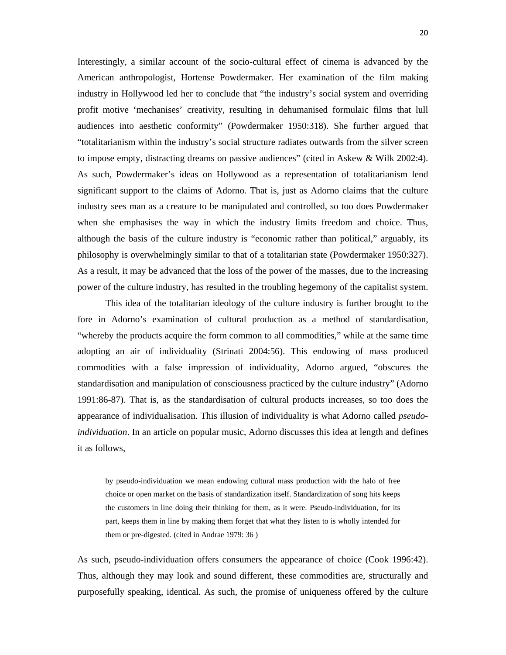Interestingly, a similar account of the socio-cultural effect of cinema is advanced by the American anthropologist, Hortense Powdermaker. Her examination of the film making industry in Hollywood led her to conclude that "the industry's social system and overriding profit motive 'mechanises' creativity, resulting in dehumanised formulaic films that lull audiences into aesthetic conformity" (Powdermaker 1950:318). She further argued that "totalitarianism within the industry's social structure radiates outwards from the silver screen to impose empty, distracting dreams on passive audiences" (cited in Askew & Wilk 2002:4). As such, Powdermaker's ideas on Hollywood as a representation of totalitarianism lend significant support to the claims of Adorno. That is, just as Adorno claims that the culture industry sees man as a creature to be manipulated and controlled, so too does Powdermaker when she emphasises the way in which the industry limits freedom and choice. Thus, although the basis of the culture industry is "economic rather than political," arguably, its philosophy is overwhelmingly similar to that of a totalitarian state (Powdermaker 1950:327). As a result, it may be advanced that the loss of the power of the masses, due to the increasing power of the culture industry, has resulted in the troubling hegemony of the capitalist system.

 This idea of the totalitarian ideology of the culture industry is further brought to the fore in Adorno's examination of cultural production as a method of standardisation, "whereby the products acquire the form common to all commodities," while at the same time adopting an air of individuality (Strinati 2004:56). This endowing of mass produced commodities with a false impression of individuality, Adorno argued, "obscures the standardisation and manipulation of consciousness practiced by the culture industry" (Adorno 1991:86-87). That is, as the standardisation of cultural products increases, so too does the appearance of individualisation. This illusion of individuality is what Adorno called *pseudoindividuation*. In an article on popular music, Adorno discusses this idea at length and defines it as follows,

by pseudo-individuation we mean endowing cultural mass production with the halo of free choice or open market on the basis of standardization itself. Standardization of song hits keeps the customers in line doing their thinking for them, as it were. Pseudo-individuation, for its part, keeps them in line by making them forget that what they listen to is wholly intended for them or pre-digested. (cited in Andrae 1979: 36 )

As such, pseudo-individuation offers consumers the appearance of choice (Cook 1996:42). Thus, although they may look and sound different, these commodities are, structurally and purposefully speaking, identical. As such, the promise of uniqueness offered by the culture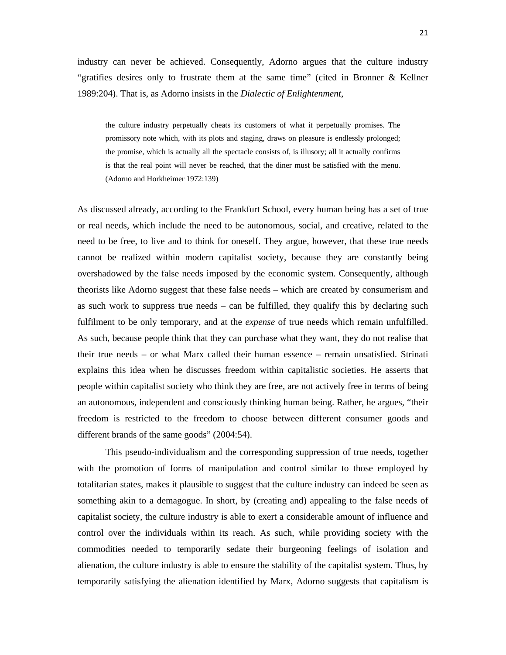industry can never be achieved. Consequently, Adorno argues that the culture industry "gratifies desires only to frustrate them at the same time" (cited in Bronner & Kellner 1989:204). That is, as Adorno insists in the *Dialectic of Enlightenment*,

the culture industry perpetually cheats its customers of what it perpetually promises. The promissory note which, with its plots and staging, draws on pleasure is endlessly prolonged; the promise, which is actually all the spectacle consists of, is illusory; all it actually confirms is that the real point will never be reached, that the diner must be satisfied with the menu. (Adorno and Horkheimer 1972:139)

As discussed already, according to the Frankfurt School, every human being has a set of true or real needs, which include the need to be autonomous, social, and creative, related to the need to be free, to live and to think for oneself. They argue, however, that these true needs cannot be realized within modern capitalist society, because they are constantly being overshadowed by the false needs imposed by the economic system. Consequently, although theorists like Adorno suggest that these false needs – which are created by consumerism and as such work to suppress true needs – can be fulfilled, they qualify this by declaring such fulfilment to be only temporary, and at the *expense* of true needs which remain unfulfilled. As such, because people think that they can purchase what they want, they do not realise that their true needs – or what Marx called their human essence – remain unsatisfied. Strinati explains this idea when he discusses freedom within capitalistic societies. He asserts that people within capitalist society who think they are free, are not actively free in terms of being an autonomous, independent and consciously thinking human being. Rather, he argues, "their freedom is restricted to the freedom to choose between different consumer goods and different brands of the same goods" (2004:54).

 This pseudo-individualism and the corresponding suppression of true needs, together with the promotion of forms of manipulation and control similar to those employed by totalitarian states, makes it plausible to suggest that the culture industry can indeed be seen as something akin to a demagogue. In short, by (creating and) appealing to the false needs of capitalist society, the culture industry is able to exert a considerable amount of influence and control over the individuals within its reach. As such, while providing society with the commodities needed to temporarily sedate their burgeoning feelings of isolation and alienation, the culture industry is able to ensure the stability of the capitalist system. Thus, by temporarily satisfying the alienation identified by Marx, Adorno suggests that capitalism is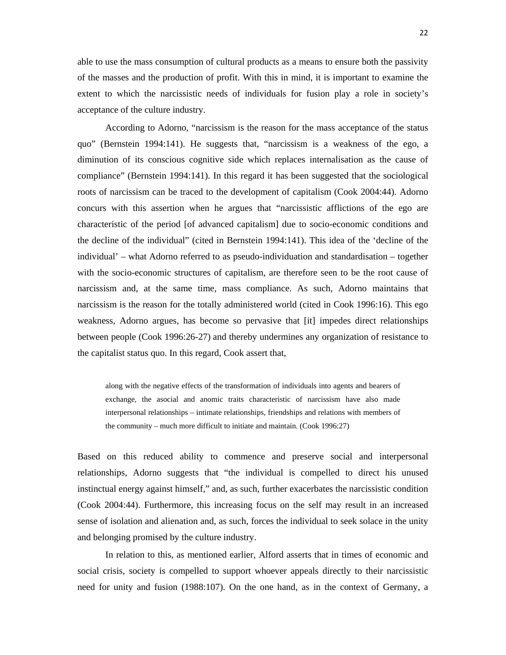able to use the mass consumption of cultural products as a means to ensure both the passivity of the masses and the production of profit. With this in mind, it is important to examine the extent to which the narcissistic needs of individuals for fusion play a role in society's acceptance of the culture industry.

According to Adorno, "narcissism is the reason for the mass acceptance of the status quo" (Bernstein 1994:141). He suggests that, "narcissism is a weakness of the ego, a diminution of its conscious cognitive side which replaces internalisation as the cause of compliance" (Bernstein 1994:141). In this regard it has been suggested that the sociological roots of narcissism can be traced to the development of capitalism (Cook 2004:44). Adorno concurs with this assertion when he argues that "narcissistic afflictions of the ego are characteristic of the period [of advanced capitalism] due to socio-economic conditions and the decline of the individual" (cited in Bernstein 1994:141). This idea of the 'decline of the individual' – what Adorno referred to as pseudo-individuation and standardisation – together with the socio-economic structures of capitalism, are therefore seen to be the root cause of narcissism and, at the same time, mass compliance. As such, Adorno maintains that narcissism is the reason for the totally administered world (cited in Cook 1996:16). This ego weakness, Adorno argues, has become so pervasive that [it] impedes direct relationships between people (Cook 1996:26-27) and thereby undermines any organization of resistance to the capitalist status quo. In this regard, Cook assert that,

along with the negative effects of the transformation of individuals into agents and bearers of exchange, the asocial and anomic traits characteristic of narcissism have also made interpersonal relationships – intimate relationships, friendships and relations with members of the community – much more difficult to initiate and maintain. (Cook 1996:27)

Based on this reduced ability to commence and preserve social and interpersonal relationships, Adorno suggests that "the individual is compelled to direct his unused instinctual energy against himself," and, as such, further exacerbates the narcissistic condition (Cook 2004:44). Furthermore, this increasing focus on the self may result in an increased sense of isolation and alienation and, as such, forces the individual to seek solace in the unity and belonging promised by the culture industry.

In relation to this, as mentioned earlier, Alford asserts that in times of economic and social crisis, society is compelled to support whoever appeals directly to their narcissistic need for unity and fusion (1988:107). On the one hand, as in the context of Germany, a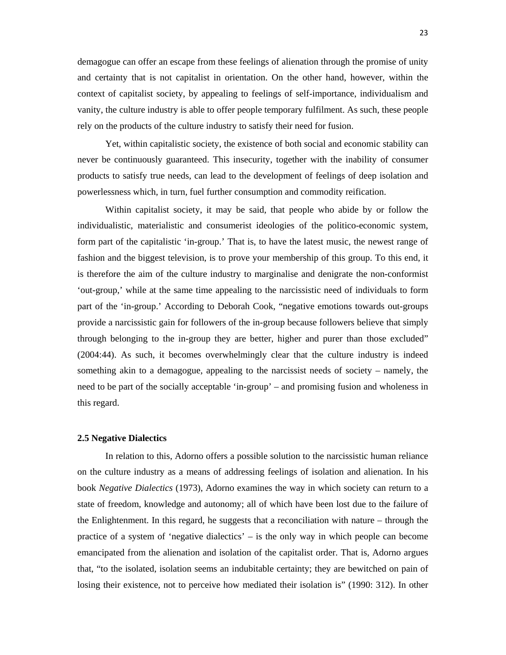demagogue can offer an escape from these feelings of alienation through the promise of unity and certainty that is not capitalist in orientation. On the other hand, however, within the context of capitalist society, by appealing to feelings of self-importance, individualism and vanity, the culture industry is able to offer people temporary fulfilment. As such, these people rely on the products of the culture industry to satisfy their need for fusion.

Yet, within capitalistic society, the existence of both social and economic stability can never be continuously guaranteed. This insecurity, together with the inability of consumer products to satisfy true needs, can lead to the development of feelings of deep isolation and powerlessness which, in turn, fuel further consumption and commodity reification.

Within capitalist society, it may be said, that people who abide by or follow the individualistic, materialistic and consumerist ideologies of the politico-economic system, form part of the capitalistic 'in-group.' That is, to have the latest music, the newest range of fashion and the biggest television, is to prove your membership of this group. To this end, it is therefore the aim of the culture industry to marginalise and denigrate the non-conformist 'out-group,' while at the same time appealing to the narcissistic need of individuals to form part of the 'in-group.' According to Deborah Cook, "negative emotions towards out-groups provide a narcissistic gain for followers of the in-group because followers believe that simply through belonging to the in-group they are better, higher and purer than those excluded" (2004:44). As such, it becomes overwhelmingly clear that the culture industry is indeed something akin to a demagogue, appealing to the narcissist needs of society – namely, the need to be part of the socially acceptable 'in-group' – and promising fusion and wholeness in this regard.

#### **2.5 Negative Dialectics**

In relation to this, Adorno offers a possible solution to the narcissistic human reliance on the culture industry as a means of addressing feelings of isolation and alienation. In his book *Negative Dialectics* (1973), Adorno examines the way in which society can return to a state of freedom, knowledge and autonomy; all of which have been lost due to the failure of the Enlightenment. In this regard, he suggests that a reconciliation with nature – through the practice of a system of 'negative dialectics' – is the only way in which people can become emancipated from the alienation and isolation of the capitalist order. That is, Adorno argues that, "to the isolated, isolation seems an indubitable certainty; they are bewitched on pain of losing their existence, not to perceive how mediated their isolation is" (1990: 312). In other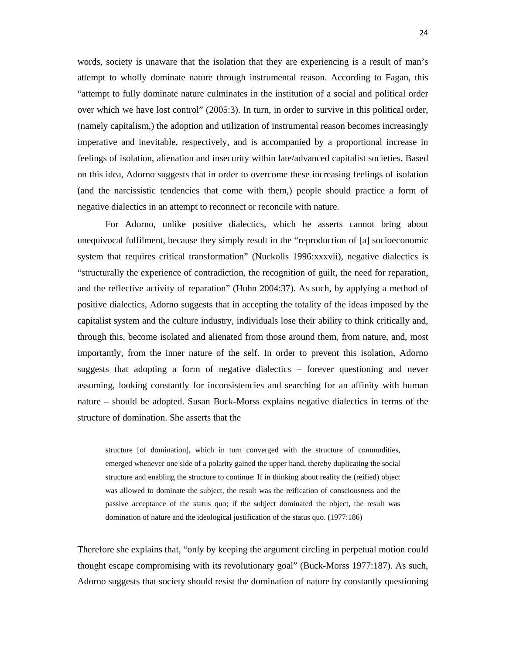words, society is unaware that the isolation that they are experiencing is a result of man's attempt to wholly dominate nature through instrumental reason. According to Fagan, this "attempt to fully dominate nature culminates in the institution of a social and political order over which we have lost control" (2005:3). In turn, in order to survive in this political order, (namely capitalism,) the adoption and utilization of instrumental reason becomes increasingly imperative and inevitable, respectively, and is accompanied by a proportional increase in feelings of isolation, alienation and insecurity within late/advanced capitalist societies. Based on this idea, Adorno suggests that in order to overcome these increasing feelings of isolation (and the narcissistic tendencies that come with them,) people should practice a form of negative dialectics in an attempt to reconnect or reconcile with nature.

For Adorno, unlike positive dialectics, which he asserts cannot bring about unequivocal fulfilment, because they simply result in the "reproduction of [a] socioeconomic system that requires critical transformation" (Nuckolls 1996:xxxvii), negative dialectics is "structurally the experience of contradiction, the recognition of guilt, the need for reparation, and the reflective activity of reparation" (Huhn 2004:37). As such, by applying a method of positive dialectics, Adorno suggests that in accepting the totality of the ideas imposed by the capitalist system and the culture industry, individuals lose their ability to think critically and, through this, become isolated and alienated from those around them, from nature, and, most importantly, from the inner nature of the self. In order to prevent this isolation, Adorno suggests that adopting a form of negative dialectics – forever questioning and never assuming, looking constantly for inconsistencies and searching for an affinity with human nature – should be adopted. Susan Buck-Morss explains negative dialectics in terms of the structure of domination. She asserts that the

structure [of domination], which in turn converged with the structure of commodities, emerged whenever one side of a polarity gained the upper hand, thereby duplicating the social structure and enabling the structure to continue: If in thinking about reality the (reified) object was allowed to dominate the subject, the result was the reification of consciousness and the passive acceptance of the status quo; if the subject dominated the object, the result was domination of nature and the ideological justification of the status quo. (1977:186)

Therefore she explains that, "only by keeping the argument circling in perpetual motion could thought escape compromising with its revolutionary goal" (Buck-Morss 1977:187). As such, Adorno suggests that society should resist the domination of nature by constantly questioning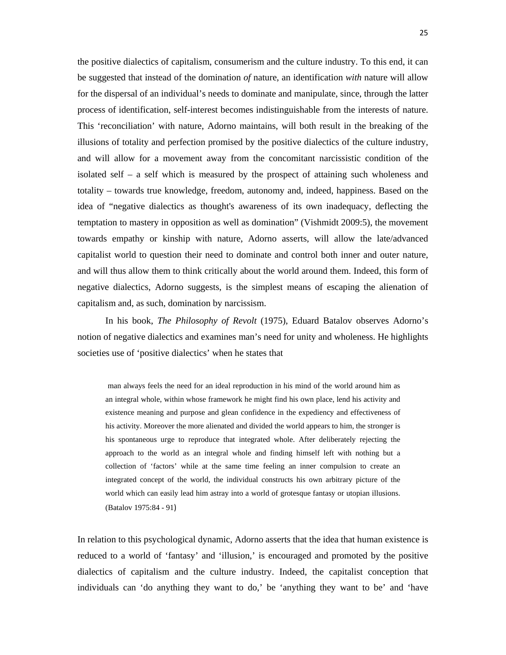the positive dialectics of capitalism, consumerism and the culture industry. To this end, it can be suggested that instead of the domination *of* nature, an identification *with* nature will allow for the dispersal of an individual's needs to dominate and manipulate, since, through the latter process of identification, self-interest becomes indistinguishable from the interests of nature. This 'reconciliation' with nature, Adorno maintains, will both result in the breaking of the illusions of totality and perfection promised by the positive dialectics of the culture industry, and will allow for a movement away from the concomitant narcissistic condition of the isolated self – a self which is measured by the prospect of attaining such wholeness and totality – towards true knowledge, freedom, autonomy and, indeed, happiness. Based on the idea of "negative dialectics as thought's awareness of its own inadequacy, deflecting the temptation to mastery in opposition as well as domination" (Vishmidt 2009:5), the movement towards empathy or kinship with nature, Adorno asserts, will allow the late/advanced capitalist world to question their need to dominate and control both inner and outer nature, and will thus allow them to think critically about the world around them. Indeed, this form of negative dialectics, Adorno suggests, is the simplest means of escaping the alienation of capitalism and, as such, domination by narcissism.

In his book, *The Philosophy of Revolt* (1975), Eduard Batalov observes Adorno's notion of negative dialectics and examines man's need for unity and wholeness. He highlights societies use of 'positive dialectics' when he states that

man always feels the need for an ideal reproduction in his mind of the world around him as an integral whole, within whose framework he might find his own place, lend his activity and existence meaning and purpose and glean confidence in the expediency and effectiveness of his activity. Moreover the more alienated and divided the world appears to him, the stronger is his spontaneous urge to reproduce that integrated whole. After deliberately rejecting the approach to the world as an integral whole and finding himself left with nothing but a collection of 'factors' while at the same time feeling an inner compulsion to create an integrated concept of the world, the individual constructs his own arbitrary picture of the world which can easily lead him astray into a world of grotesque fantasy or utopian illusions. (Batalov 1975:84 - 91)

In relation to this psychological dynamic, Adorno asserts that the idea that human existence is reduced to a world of 'fantasy' and 'illusion,' is encouraged and promoted by the positive dialectics of capitalism and the culture industry. Indeed, the capitalist conception that individuals can 'do anything they want to do,' be 'anything they want to be' and 'have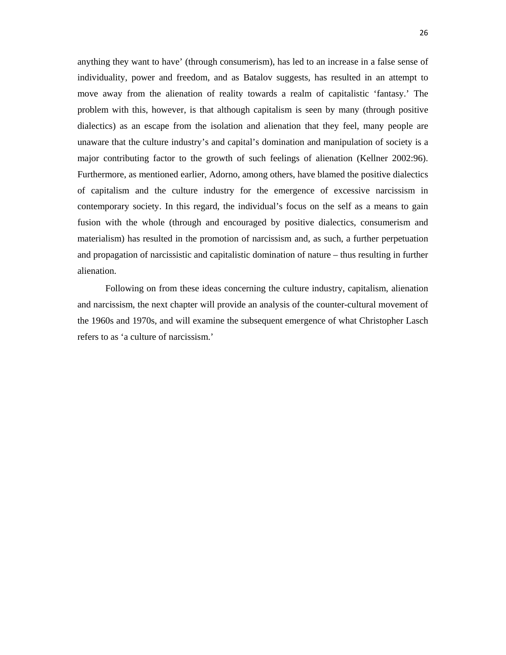anything they want to have' (through consumerism), has led to an increase in a false sense of individuality, power and freedom, and as Batalov suggests, has resulted in an attempt to move away from the alienation of reality towards a realm of capitalistic 'fantasy.' The problem with this, however, is that although capitalism is seen by many (through positive dialectics) as an escape from the isolation and alienation that they feel, many people are unaware that the culture industry's and capital's domination and manipulation of society is a major contributing factor to the growth of such feelings of alienation (Kellner 2002:96). Furthermore, as mentioned earlier, Adorno, among others, have blamed the positive dialectics of capitalism and the culture industry for the emergence of excessive narcissism in contemporary society. In this regard, the individual's focus on the self as a means to gain fusion with the whole (through and encouraged by positive dialectics, consumerism and materialism) has resulted in the promotion of narcissism and, as such, a further perpetuation and propagation of narcissistic and capitalistic domination of nature – thus resulting in further alienation.

Following on from these ideas concerning the culture industry, capitalism, alienation and narcissism, the next chapter will provide an analysis of the counter-cultural movement of the 1960s and 1970s, and will examine the subsequent emergence of what Christopher Lasch refers to as 'a culture of narcissism.'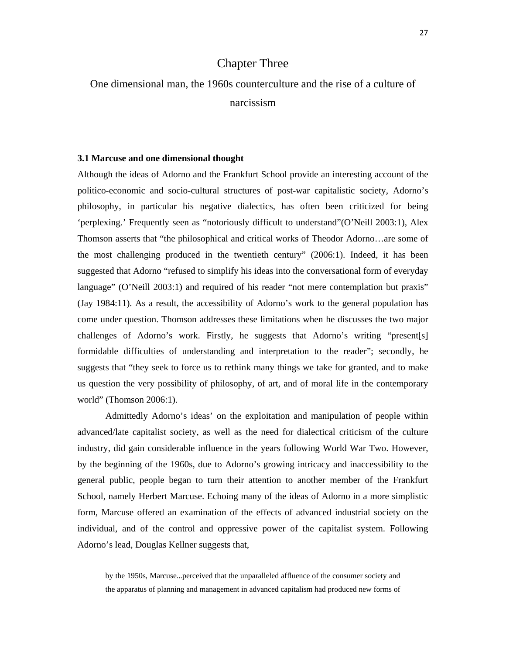## Chapter Three

## One dimensional man, the 1960s counterculture and the rise of a culture of narcissism

#### **3.1 Marcuse and one dimensional thought**

Although the ideas of Adorno and the Frankfurt School provide an interesting account of the politico-economic and socio-cultural structures of post-war capitalistic society, Adorno's philosophy, in particular his negative dialectics, has often been criticized for being 'perplexing.' Frequently seen as "notoriously difficult to understand"(O'Neill 2003:1), Alex Thomson asserts that "the philosophical and critical works of Theodor Adorno…are some of the most challenging produced in the twentieth century" (2006:1). Indeed, it has been suggested that Adorno "refused to simplify his ideas into the conversational form of everyday language" (O'Neill 2003:1) and required of his reader "not mere contemplation but praxis" (Jay 1984:11). As a result, the accessibility of Adorno's work to the general population has come under question. Thomson addresses these limitations when he discusses the two major challenges of Adorno's work. Firstly, he suggests that Adorno's writing "present[s] formidable difficulties of understanding and interpretation to the reader"; secondly, he suggests that "they seek to force us to rethink many things we take for granted, and to make us question the very possibility of philosophy, of art, and of moral life in the contemporary world" (Thomson 2006:1).

 Admittedly Adorno's ideas' on the exploitation and manipulation of people within advanced/late capitalist society, as well as the need for dialectical criticism of the culture industry, did gain considerable influence in the years following World War Two. However, by the beginning of the 1960s, due to Adorno's growing intricacy and inaccessibility to the general public, people began to turn their attention to another member of the Frankfurt School, namely Herbert Marcuse. Echoing many of the ideas of Adorno in a more simplistic form, Marcuse offered an examination of the effects of advanced industrial society on the individual, and of the control and oppressive power of the capitalist system. Following Adorno's lead, Douglas Kellner suggests that,

by the 1950s, Marcuse...perceived that the unparalleled affluence of the consumer society and the apparatus of planning and management in advanced capitalism had produced new forms of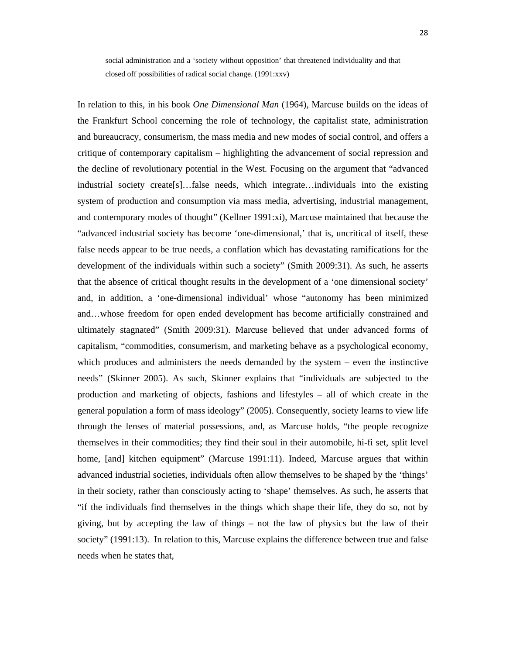social administration and a 'society without opposition' that threatened individuality and that closed off possibilities of radical social change. (1991:xxv)

In relation to this, in his book *One Dimensional Man* (1964), Marcuse builds on the ideas of the Frankfurt School concerning the role of technology, the capitalist state, administration and bureaucracy, consumerism, the mass media and new modes of social control, and offers a critique of contemporary capitalism – highlighting the advancement of social repression and the decline of revolutionary potential in the West. Focusing on the argument that "advanced industrial society create[s]…false needs, which integrate…individuals into the existing system of production and consumption via mass media, advertising, industrial management, and contemporary modes of thought" (Kellner 1991:xi), Marcuse maintained that because the "advanced industrial society has become 'one-dimensional,' that is, uncritical of itself, these false needs appear to be true needs, a conflation which has devastating ramifications for the development of the individuals within such a society" (Smith 2009:31). As such, he asserts that the absence of critical thought results in the development of a 'one dimensional society' and, in addition, a 'one-dimensional individual' whose "autonomy has been minimized and…whose freedom for open ended development has become artificially constrained and ultimately stagnated" (Smith 2009:31). Marcuse believed that under advanced forms of capitalism, "commodities, consumerism, and marketing behave as a psychological economy, which produces and administers the needs demanded by the system – even the instinctive needs" (Skinner 2005). As such, Skinner explains that "individuals are subjected to the production and marketing of objects, fashions and lifestyles – all of which create in the general population a form of mass ideology" (2005). Consequently, society learns to view life through the lenses of material possessions, and, as Marcuse holds, "the people recognize themselves in their commodities; they find their soul in their automobile, hi-fi set, split level home, [and] kitchen equipment" (Marcuse 1991:11). Indeed, Marcuse argues that within advanced industrial societies, individuals often allow themselves to be shaped by the 'things' in their society, rather than consciously acting to 'shape' themselves. As such, he asserts that "if the individuals find themselves in the things which shape their life, they do so, not by giving, but by accepting the law of things – not the law of physics but the law of their society" (1991:13). In relation to this, Marcuse explains the difference between true and false needs when he states that,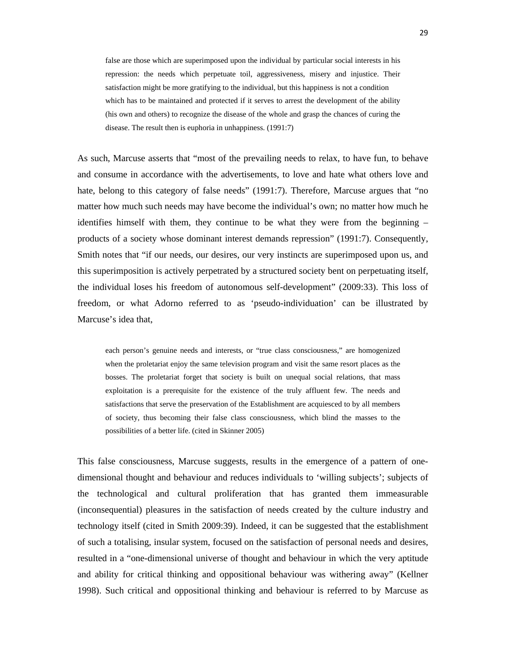false are those which are superimposed upon the individual by particular social interests in his repression: the needs which perpetuate toil, aggressiveness, misery and injustice. Their satisfaction might be more gratifying to the individual, but this happiness is not a condition which has to be maintained and protected if it serves to arrest the development of the ability (his own and others) to recognize the disease of the whole and grasp the chances of curing the disease. The result then is euphoria in unhappiness. (1991:7)

As such, Marcuse asserts that "most of the prevailing needs to relax, to have fun, to behave and consume in accordance with the advertisements, to love and hate what others love and hate, belong to this category of false needs" (1991:7). Therefore, Marcuse argues that "no matter how much such needs may have become the individual's own; no matter how much he identifies himself with them, they continue to be what they were from the beginning – products of a society whose dominant interest demands repression" (1991:7). Consequently, Smith notes that "if our needs, our desires, our very instincts are superimposed upon us, and this superimposition is actively perpetrated by a structured society bent on perpetuating itself, the individual loses his freedom of autonomous self-development" (2009:33). This loss of freedom, or what Adorno referred to as 'pseudo-individuation' can be illustrated by Marcuse's idea that,

each person's genuine needs and interests, or "true class consciousness," are homogenized when the proletariat enjoy the same television program and visit the same resort places as the bosses. The proletariat forget that society is built on unequal social relations, that mass exploitation is a prerequisite for the existence of the truly affluent few. The needs and satisfactions that serve the preservation of the Establishment are acquiesced to by all members of society, thus becoming their false class consciousness, which blind the masses to the possibilities of a better life. (cited in Skinner 2005)

This false consciousness, Marcuse suggests, results in the emergence of a pattern of onedimensional thought and behaviour and reduces individuals to 'willing subjects'; subjects of the technological and cultural proliferation that has granted them immeasurable (inconsequential) pleasures in the satisfaction of needs created by the culture industry and technology itself (cited in Smith 2009:39). Indeed, it can be suggested that the establishment of such a totalising, insular system, focused on the satisfaction of personal needs and desires, resulted in a "one-dimensional universe of thought and behaviour in which the very aptitude and ability for critical thinking and oppositional behaviour was withering away" (Kellner 1998). Such critical and oppositional thinking and behaviour is referred to by Marcuse as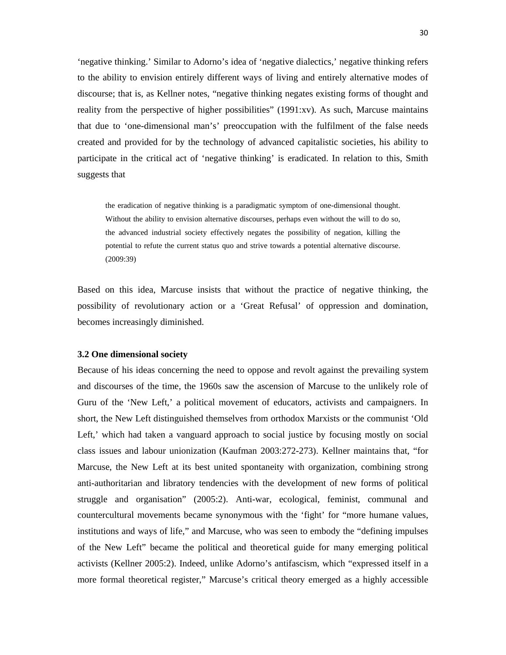'negative thinking.' Similar to Adorno's idea of 'negative dialectics,' negative thinking refers to the ability to envision entirely different ways of living and entirely alternative modes of discourse; that is, as Kellner notes, "negative thinking negates existing forms of thought and reality from the perspective of higher possibilities" (1991:xv). As such, Marcuse maintains that due to 'one-dimensional man's' preoccupation with the fulfilment of the false needs created and provided for by the technology of advanced capitalistic societies, his ability to participate in the critical act of 'negative thinking' is eradicated. In relation to this, Smith suggests that

the eradication of negative thinking is a paradigmatic symptom of one-dimensional thought. Without the ability to envision alternative discourses, perhaps even without the will to do so, the advanced industrial society effectively negates the possibility of negation, killing the potential to refute the current status quo and strive towards a potential alternative discourse. (2009:39)

Based on this idea, Marcuse insists that without the practice of negative thinking, the possibility of revolutionary action or a 'Great Refusal' of oppression and domination, becomes increasingly diminished.

#### **3.2 One dimensional society**

Because of his ideas concerning the need to oppose and revolt against the prevailing system and discourses of the time, the 1960s saw the ascension of Marcuse to the unlikely role of Guru of the 'New Left,' a political movement of educators, activists and campaigners. In short, the New Left distinguished themselves from orthodox Marxists or the communist 'Old Left,' which had taken a vanguard approach to social justice by focusing mostly on social class issues and labour unionization (Kaufman 2003:272-273). Kellner maintains that, "for Marcuse, the New Left at its best united spontaneity with organization, combining strong anti-authoritarian and libratory tendencies with the development of new forms of political struggle and organisation" (2005:2). Anti-war, ecological, feminist, communal and countercultural movements became synonymous with the 'fight' for "more humane values, institutions and ways of life," and Marcuse, who was seen to embody the "defining impulses of the New Left" became the political and theoretical guide for many emerging political activists (Kellner 2005:2). Indeed, unlike Adorno's antifascism, which "expressed itself in a more formal theoretical register," Marcuse's critical theory emerged as a highly accessible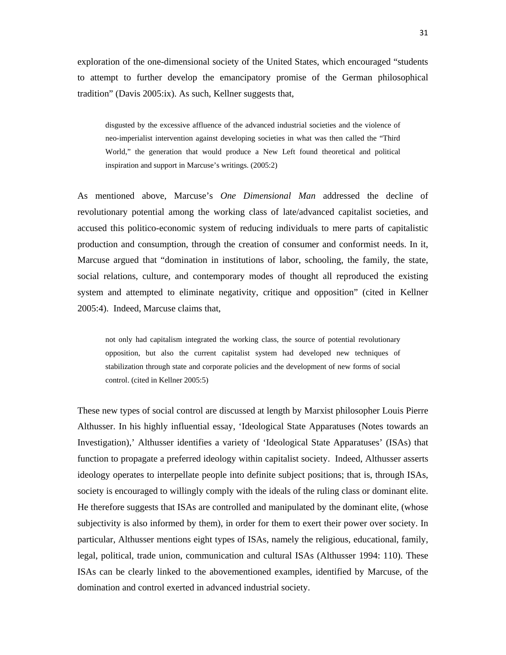exploration of the one-dimensional society of the United States, which encouraged "students to attempt to further develop the emancipatory promise of the German philosophical tradition" (Davis 2005:ix). As such, Kellner suggests that,

disgusted by the excessive affluence of the advanced industrial societies and the violence of neo-imperialist intervention against developing societies in what was then called the "Third World," the generation that would produce a New Left found theoretical and political inspiration and support in Marcuse's writings. (2005:2)

As mentioned above, Marcuse's *One Dimensional Man* addressed the decline of revolutionary potential among the working class of late/advanced capitalist societies, and accused this politico-economic system of reducing individuals to mere parts of capitalistic production and consumption, through the creation of consumer and conformist needs. In it, Marcuse argued that "domination in institutions of labor, schooling, the family, the state, social relations, culture, and contemporary modes of thought all reproduced the existing system and attempted to eliminate negativity, critique and opposition" (cited in Kellner 2005:4). Indeed, Marcuse claims that,

not only had capitalism integrated the working class, the source of potential revolutionary opposition, but also the current capitalist system had developed new techniques of stabilization through state and corporate policies and the development of new forms of social control. (cited in Kellner 2005:5)

These new types of social control are discussed at length by Marxist philosopher Louis Pierre Althusser. In his highly influential essay, 'Ideological State Apparatuses (Notes towards an Investigation),' Althusser identifies a variety of 'Ideological State Apparatuses' (ISAs) that function to propagate a preferred ideology within capitalist society. Indeed, Althusser asserts ideology operates to interpellate people into definite subject positions; that is, through ISAs, society is encouraged to willingly comply with the ideals of the ruling class or dominant elite. He therefore suggests that ISAs are controlled and manipulated by the dominant elite, (whose subjectivity is also informed by them), in order for them to exert their power over society. In particular, Althusser mentions eight types of ISAs, namely the religious, educational, family, legal, political, trade union, communication and cultural ISAs (Althusser 1994: 110). These ISAs can be clearly linked to the abovementioned examples, identified by Marcuse, of the domination and control exerted in advanced industrial society.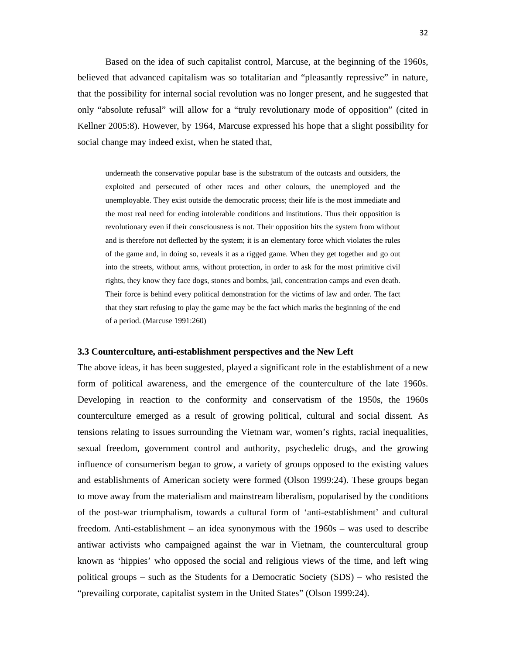Based on the idea of such capitalist control, Marcuse, at the beginning of the 1960s, believed that advanced capitalism was so totalitarian and "pleasantly repressive" in nature, that the possibility for internal social revolution was no longer present, and he suggested that only "absolute refusal" will allow for a "truly revolutionary mode of opposition" (cited in Kellner 2005:8). However, by 1964, Marcuse expressed his hope that a slight possibility for social change may indeed exist, when he stated that,

underneath the conservative popular base is the substratum of the outcasts and outsiders, the exploited and persecuted of other races and other colours, the unemployed and the unemployable. They exist outside the democratic process; their life is the most immediate and the most real need for ending intolerable conditions and institutions. Thus their opposition is revolutionary even if their consciousness is not. Their opposition hits the system from without and is therefore not deflected by the system; it is an elementary force which violates the rules of the game and, in doing so, reveals it as a rigged game. When they get together and go out into the streets, without arms, without protection, in order to ask for the most primitive civil rights, they know they face dogs, stones and bombs, jail, concentration camps and even death. Their force is behind every political demonstration for the victims of law and order. The fact that they start refusing to play the game may be the fact which marks the beginning of the end of a period. (Marcuse 1991:260)

#### **3.3 Counterculture, anti-establishment perspectives and the New Left**

The above ideas, it has been suggested, played a significant role in the establishment of a new form of political awareness, and the emergence of the counterculture of the late 1960s. Developing in reaction to the conformity and conservatism of the 1950s, the 1960s counterculture emerged as a result of growing political, cultural and social dissent. As tensions relating to issues surrounding the Vietnam war, women's rights, racial inequalities, sexual freedom, government control and authority, psychedelic drugs, and the growing influence of consumerism began to grow, a variety of groups opposed to the existing values and establishments of American society were formed (Olson 1999:24). These groups began to move away from the materialism and mainstream liberalism, popularised by the conditions of the post-war triumphalism, towards a cultural form of 'anti-establishment' and cultural freedom. Anti-establishment – an idea synonymous with the 1960s – was used to describe antiwar activists who campaigned against the war in Vietnam, the countercultural group known as 'hippies' who opposed the social and religious views of the time, and left wing political groups – such as the Students for a Democratic Society (SDS) – who resisted the "prevailing corporate, capitalist system in the United States" (Olson 1999:24).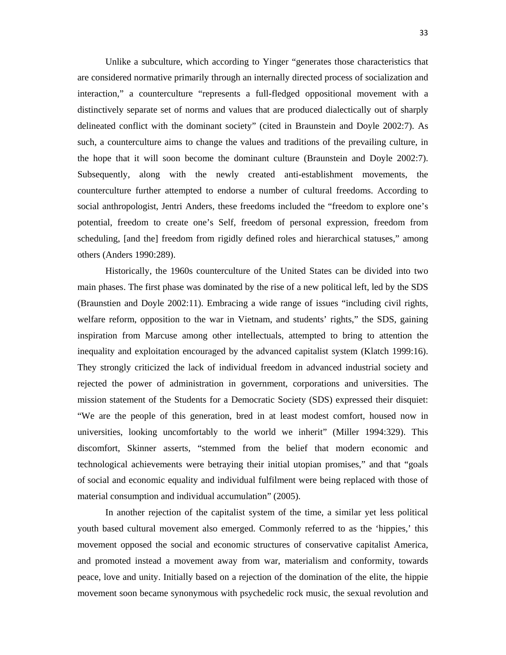Unlike a subculture, which according to Yinger "generates those characteristics that are considered normative primarily through an internally directed process of socialization and interaction," a counterculture "represents a full-fledged oppositional movement with a distinctively separate set of norms and values that are produced dialectically out of sharply delineated conflict with the dominant society" (cited in Braunstein and Doyle 2002:7). As such, a counterculture aims to change the values and traditions of the prevailing culture, in the hope that it will soon become the dominant culture (Braunstein and Doyle 2002:7). Subsequently, along with the newly created anti-establishment movements, the counterculture further attempted to endorse a number of cultural freedoms. According to social anthropologist, Jentri Anders, these freedoms included the "freedom to explore one's potential, freedom to create one's Self, freedom of personal expression, freedom from scheduling, [and the] freedom from rigidly defined roles and hierarchical statuses," among others (Anders 1990:289).

Historically, the 1960s counterculture of the United States can be divided into two main phases. The first phase was dominated by the rise of a new political left, led by the SDS (Braunstien and Doyle 2002:11). Embracing a wide range of issues "including civil rights, welfare reform, opposition to the war in Vietnam, and students' rights," the SDS, gaining inspiration from Marcuse among other intellectuals, attempted to bring to attention the inequality and exploitation encouraged by the advanced capitalist system (Klatch 1999:16). They strongly criticized the lack of individual freedom in advanced industrial society and rejected the power of administration in government, corporations and universities. The mission statement of the Students for a Democratic Society (SDS) expressed their disquiet: "We are the people of this generation, bred in at least modest comfort, housed now in universities, looking uncomfortably to the world we inherit" (Miller 1994:329). This discomfort, Skinner asserts, "stemmed from the belief that modern economic and technological achievements were betraying their initial utopian promises," and that "goals of social and economic equality and individual fulfilment were being replaced with those of material consumption and individual accumulation" (2005).

In another rejection of the capitalist system of the time, a similar yet less political youth based cultural movement also emerged. Commonly referred to as the 'hippies,' this movement opposed the social and economic structures of conservative capitalist America, and promoted instead a movement away from war, materialism and conformity, towards peace, love and unity. Initially based on a rejection of the domination of the elite, the hippie movement soon became synonymous with psychedelic rock music, the sexual revolution and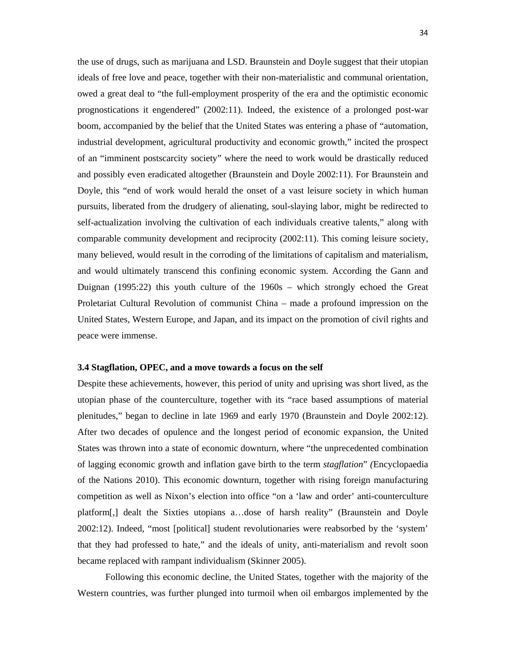the use of drugs, such as marijuana and LSD. Braunstein and Doyle suggest that their utopian ideals of free love and peace, together with their non-materialistic and communal orientation, owed a great deal to "the full-employment prosperity of the era and the optimistic economic prognostications it engendered" (2002:11). Indeed, the existence of a prolonged post-war boom, accompanied by the belief that the United States was entering a phase of "automation, industrial development, agricultural productivity and economic growth," incited the prospect of an "imminent postscarcity society" where the need to work would be drastically reduced and possibly even eradicated altogether (Braunstein and Doyle 2002:11). For Braunstein and Doyle, this "end of work would herald the onset of a vast leisure society in which human pursuits, liberated from the drudgery of alienating, soul-slaying labor, might be redirected to self-actualization involving the cultivation of each individuals creative talents," along with comparable community development and reciprocity (2002:11). This coming leisure society, many believed, would result in the corroding of the limitations of capitalism and materialism, and would ultimately transcend this confining economic system. According the Gann and Duignan (1995:22) this youth culture of the 1960s – which strongly echoed the Great Proletariat Cultural Revolution of communist China – made a profound impression on the United States, Western Europe, and Japan, and its impact on the promotion of civil rights and peace were immense.

#### **3.4 Stagflation, OPEC, and a move towards a focus on the self**

Despite these achievements, however, this period of unity and uprising was short lived, as the utopian phase of the counterculture, together with its "race based assumptions of material plenitudes," began to decline in late 1969 and early 1970 (Braunstein and Doyle 2002:12). After two decades of opulence and the longest period of economic expansion, the United States was thrown into a state of economic downturn, where "the unprecedented combination of lagging economic growth and inflation gave birth to the term *stagflation*" *(*Encyclopaedia of the Nations 2010). This economic downturn, together with rising foreign manufacturing competition as well as Nixon's election into office "on a 'law and order' anti-counterculture platform[,] dealt the Sixties utopians a…dose of harsh reality" (Braunstein and Doyle 2002:12). Indeed, "most [political] student revolutionaries were reabsorbed by the 'system' that they had professed to hate," and the ideals of unity, anti-materialism and revolt soon became replaced with rampant individualism (Skinner 2005).

Following this economic decline, the United States, together with the majority of the Western countries, was further plunged into turmoil when oil embargos implemented by the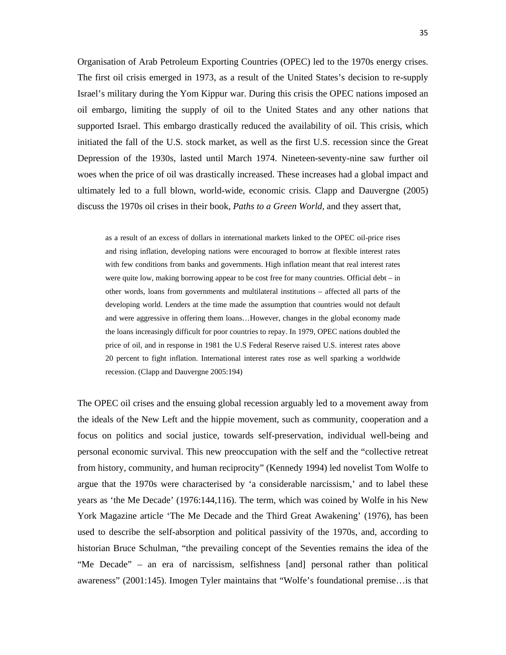Organisation of Arab Petroleum Exporting Countries (OPEC) led to the 1970s energy crises. The first oil crisis emerged in 1973, as a result of the United States's decision to re-supply Israel's military during the Yom Kippur war. During this crisis the OPEC nations imposed an oil embargo, limiting the supply of oil to the United States and any other nations that supported Israel. This embargo drastically reduced the availability of oil. This crisis, which initiated the fall of the U.S. stock market, as well as the first U.S. recession since the Great Depression of the 1930s, lasted until March 1974. Nineteen-seventy-nine saw further oil woes when the price of oil was drastically increased. These increases had a global impact and ultimately led to a full blown, world-wide, economic crisis. Clapp and Dauvergne (2005) discuss the 1970s oil crises in their book, *Paths to a Green World,* and they assert that,

as a result of an excess of dollars in international markets linked to the OPEC oil-price rises and rising inflation, developing nations were encouraged to borrow at flexible interest rates with few conditions from banks and governments. High inflation meant that real interest rates were quite low, making borrowing appear to be cost free for many countries. Official debt – in other words, loans from governments and multilateral institutions – affected all parts of the developing world. Lenders at the time made the assumption that countries would not default and were aggressive in offering them loans…However, changes in the global economy made the loans increasingly difficult for poor countries to repay. In 1979, OPEC nations doubled the price of oil, and in response in 1981 the U.S Federal Reserve raised U.S. interest rates above 20 percent to fight inflation. International interest rates rose as well sparking a worldwide recession. (Clapp and Dauvergne 2005:194)

The OPEC oil crises and the ensuing global recession arguably led to a movement away from the ideals of the New Left and the hippie movement, such as community, cooperation and a focus on politics and social justice, towards self-preservation, individual well-being and personal economic survival. This new preoccupation with the self and the "collective retreat from history, community, and human reciprocity" (Kennedy 1994) led novelist Tom Wolfe to argue that the 1970s were characterised by 'a considerable narcissism,' and to label these years as 'the Me Decade' (1976:144,116). The term, which was coined by Wolfe in his New York Magazine article 'The Me Decade and the Third Great Awakening' (1976), has been used to describe the self-absorption and political passivity of the 1970s, and, according to historian Bruce Schulman, "the prevailing concept of the Seventies remains the idea of the "Me Decade" – an era of narcissism, selfishness [and] personal rather than political awareness" (2001:145). Imogen Tyler maintains that "Wolfe's foundational premise…is that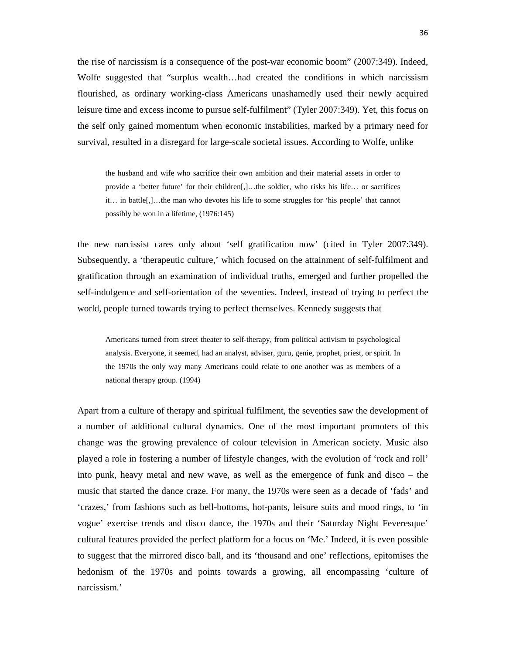the rise of narcissism is a consequence of the post-war economic boom" (2007:349). Indeed, Wolfe suggested that "surplus wealth…had created the conditions in which narcissism flourished, as ordinary working-class Americans unashamedly used their newly acquired leisure time and excess income to pursue self-fulfilment" (Tyler 2007:349). Yet, this focus on the self only gained momentum when economic instabilities, marked by a primary need for survival, resulted in a disregard for large-scale societal issues. According to Wolfe, unlike

the husband and wife who sacrifice their own ambition and their material assets in order to provide a 'better future' for their children[,]…the soldier, who risks his life… or sacrifices it… in battle[,]…the man who devotes his life to some struggles for 'his people' that cannot possibly be won in a lifetime, (1976:145)

the new narcissist cares only about 'self gratification now' (cited in Tyler 2007:349). Subsequently, a 'therapeutic culture,' which focused on the attainment of self-fulfilment and gratification through an examination of individual truths, emerged and further propelled the self-indulgence and self-orientation of the seventies. Indeed, instead of trying to perfect the world, people turned towards trying to perfect themselves. Kennedy suggests that

Americans turned from street theater to self-therapy, from political activism to psychological analysis. Everyone, it seemed, had an analyst, adviser, guru, genie, prophet, priest, or spirit. In the 1970s the only way many Americans could relate to one another was as members of a national therapy group. (1994)

Apart from a culture of therapy and spiritual fulfilment, the seventies saw the development of a number of additional cultural dynamics. One of the most important promoters of this change was the growing prevalence of colour television in American society. Music also played a role in fostering a number of lifestyle changes, with the evolution of 'rock and roll' into punk, heavy metal and new wave, as well as the emergence of funk and disco – the music that started the dance craze. For many, the 1970s were seen as a decade of 'fads' and 'crazes,' from fashions such as bell-bottoms, hot-pants, leisure suits and mood rings, to 'in vogue' exercise trends and disco dance, the 1970s and their 'Saturday Night Feveresque' cultural features provided the perfect platform for a focus on 'Me.' Indeed, it is even possible to suggest that the mirrored disco ball, and its 'thousand and one' reflections, epitomises the hedonism of the 1970s and points towards a growing, all encompassing 'culture of narcissism.'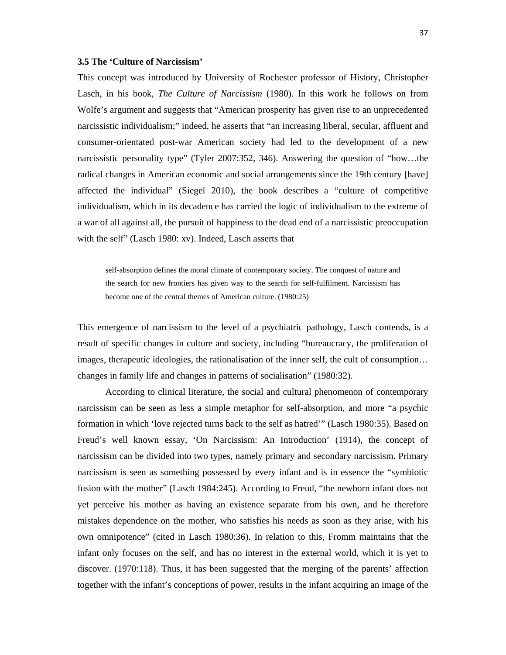#### **3.5 The 'Culture of Narcissism'**

This concept was introduced by University of Rochester professor of History, Christopher Lasch, in his book, *The Culture of Narcissism* (1980). In this work he follows on from Wolfe's argument and suggests that "American prosperity has given rise to an unprecedented narcissistic individualism;" indeed, he asserts that "an increasing liberal, secular, affluent and consumer-orientated post-war American society had led to the development of a new narcissistic personality type" (Tyler 2007:352, 346). Answering the question of "how…the radical changes in American economic and social arrangements since the 19th century [have] affected the individual" (Siegel 2010), the book describes a "culture of competitive individualism, which in its decadence has carried the logic of individualism to the extreme of a war of all against all, the pursuit of happiness to the dead end of a narcissistic preoccupation with the self" (Lasch 1980: xv). Indeed, Lasch asserts that

self-absorption defines the moral climate of contemporary society. The conquest of nature and the search for new frontiers has given way to the search for self-fulfilment. Narcissism has become one of the central themes of American culture. (1980:25)

This emergence of narcissism to the level of a psychiatric pathology, Lasch contends, is a result of specific changes in culture and society, including "bureaucracy, the proliferation of images, therapeutic ideologies, the rationalisation of the inner self, the cult of consumption… changes in family life and changes in patterns of socialisation" (1980:32).

According to clinical literature, the social and cultural phenomenon of contemporary narcissism can be seen as less a simple metaphor for self-absorption, and more "a psychic formation in which 'love rejected turns back to the self as hatred'" (Lasch 1980:35). Based on Freud's well known essay, 'On Narcissism: An Introduction' (1914), the concept of narcissism can be divided into two types, namely primary and secondary narcissism. Primary narcissism is seen as something possessed by every infant and is in essence the "symbiotic fusion with the mother" (Lasch 1984:245). According to Freud, "the newborn infant does not yet perceive his mother as having an existence separate from his own, and he therefore mistakes dependence on the mother, who satisfies his needs as soon as they arise, with his own omnipotence" (cited in Lasch 1980:36). In relation to this, Fromm maintains that the infant only focuses on the self, and has no interest in the external world, which it is yet to discover. (1970:118). Thus, it has been suggested that the merging of the parents' affection together with the infant's conceptions of power, results in the infant acquiring an image of the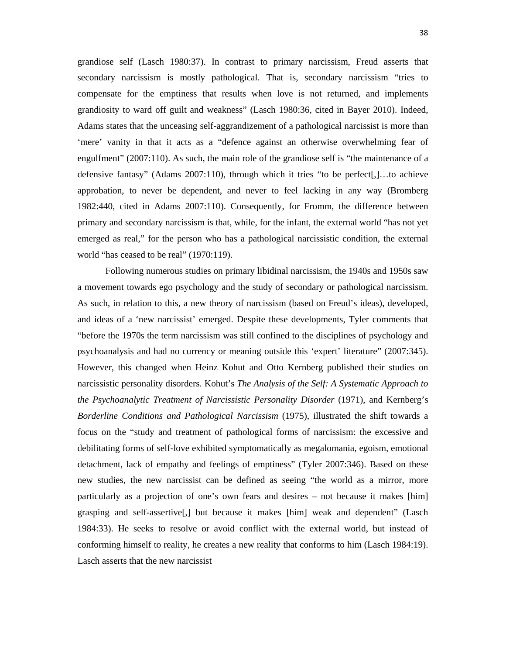grandiose self (Lasch 1980:37). In contrast to primary narcissism, Freud asserts that secondary narcissism is mostly pathological. That is, secondary narcissism "tries to compensate for the emptiness that results when love is not returned, and implements grandiosity to ward off guilt and weakness" (Lasch 1980:36, cited in Bayer 2010). Indeed, Adams states that the unceasing self-aggrandizement of a pathological narcissist is more than 'mere' vanity in that it acts as a "defence against an otherwise overwhelming fear of engulfment" (2007:110). As such, the main role of the grandiose self is "the maintenance of a defensive fantasy" (Adams 2007:110), through which it tries "to be perfect[,]…to achieve approbation, to never be dependent, and never to feel lacking in any way (Bromberg 1982:440, cited in Adams 2007:110). Consequently, for Fromm, the difference between primary and secondary narcissism is that, while, for the infant, the external world "has not yet emerged as real," for the person who has a pathological narcissistic condition, the external world "has ceased to be real" (1970:119).

Following numerous studies on primary libidinal narcissism, the 1940s and 1950s saw a movement towards ego psychology and the study of secondary or pathological narcissism. As such, in relation to this, a new theory of narcissism (based on Freud's ideas), developed, and ideas of a 'new narcissist' emerged. Despite these developments, Tyler comments that "before the 1970s the term narcissism was still confined to the disciplines of psychology and psychoanalysis and had no currency or meaning outside this 'expert' literature" (2007:345). However, this changed when Heinz Kohut and Otto Kernberg published their studies on narcissistic personality disorders. Kohut's *The Analysis of the Self: A Systematic Approach to the Psychoanalytic Treatment of Narcissistic Personality Disorder* (1971), and Kernberg's *Borderline Conditions and Pathological Narcissism* (1975), illustrated the shift towards a focus on the "study and treatment of pathological forms of narcissism: the excessive and debilitating forms of self-love exhibited symptomatically as megalomania, egoism, emotional detachment, lack of empathy and feelings of emptiness" (Tyler 2007:346). Based on these new studies, the new narcissist can be defined as seeing "the world as a mirror, more particularly as a projection of one's own fears and desires – not because it makes [him] grasping and self-assertive[,] but because it makes [him] weak and dependent" (Lasch 1984:33). He seeks to resolve or avoid conflict with the external world, but instead of conforming himself to reality, he creates a new reality that conforms to him (Lasch 1984:19). Lasch asserts that the new narcissist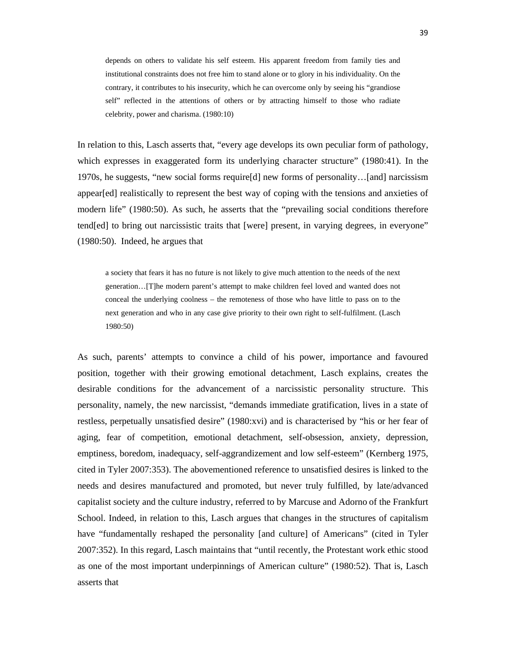depends on others to validate his self esteem. His apparent freedom from family ties and institutional constraints does not free him to stand alone or to glory in his individuality. On the contrary, it contributes to his insecurity, which he can overcome only by seeing his "grandiose self" reflected in the attentions of others or by attracting himself to those who radiate celebrity, power and charisma. (1980:10)

In relation to this, Lasch asserts that, "every age develops its own peculiar form of pathology, which expresses in exaggerated form its underlying character structure" (1980:41). In the 1970s, he suggests, "new social forms require[d] new forms of personality…[and] narcissism appear[ed] realistically to represent the best way of coping with the tensions and anxieties of modern life" (1980:50). As such, he asserts that the "prevailing social conditions therefore tend[ed] to bring out narcissistic traits that [were] present, in varying degrees, in everyone" (1980:50). Indeed, he argues that

a society that fears it has no future is not likely to give much attention to the needs of the next generation…[T]he modern parent's attempt to make children feel loved and wanted does not conceal the underlying coolness – the remoteness of those who have little to pass on to the next generation and who in any case give priority to their own right to self-fulfilment. (Lasch 1980:50)

As such, parents' attempts to convince a child of his power, importance and favoured position, together with their growing emotional detachment, Lasch explains, creates the desirable conditions for the advancement of a narcissistic personality structure. This personality, namely, the new narcissist, "demands immediate gratification, lives in a state of restless, perpetually unsatisfied desire" (1980:xvi) and is characterised by "his or her fear of aging, fear of competition, emotional detachment, self-obsession, anxiety, depression, emptiness, boredom, inadequacy, self-aggrandizement and low self-esteem" (Kernberg 1975, cited in Tyler 2007:353). The abovementioned reference to unsatisfied desires is linked to the needs and desires manufactured and promoted, but never truly fulfilled, by late/advanced capitalist society and the culture industry, referred to by Marcuse and Adorno of the Frankfurt School. Indeed, in relation to this, Lasch argues that changes in the structures of capitalism have "fundamentally reshaped the personality [and culture] of Americans" (cited in Tyler 2007:352). In this regard, Lasch maintains that "until recently, the Protestant work ethic stood as one of the most important underpinnings of American culture" (1980:52). That is, Lasch asserts that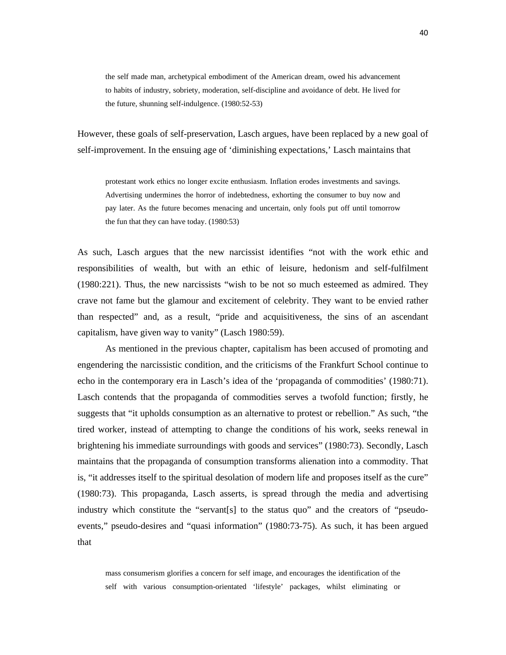the self made man, archetypical embodiment of the American dream, owed his advancement to habits of industry, sobriety, moderation, self-discipline and avoidance of debt. He lived for the future, shunning self-indulgence. (1980:52-53)

However, these goals of self-preservation, Lasch argues, have been replaced by a new goal of self-improvement. In the ensuing age of 'diminishing expectations,' Lasch maintains that

protestant work ethics no longer excite enthusiasm. Inflation erodes investments and savings. Advertising undermines the horror of indebtedness, exhorting the consumer to buy now and pay later. As the future becomes menacing and uncertain, only fools put off until tomorrow the fun that they can have today. (1980:53)

As such, Lasch argues that the new narcissist identifies "not with the work ethic and responsibilities of wealth, but with an ethic of leisure, hedonism and self-fulfilment (1980:221). Thus, the new narcissists "wish to be not so much esteemed as admired. They crave not fame but the glamour and excitement of celebrity. They want to be envied rather than respected" and, as a result, "pride and acquisitiveness, the sins of an ascendant capitalism, have given way to vanity" (Lasch 1980:59).

As mentioned in the previous chapter, capitalism has been accused of promoting and engendering the narcissistic condition, and the criticisms of the Frankfurt School continue to echo in the contemporary era in Lasch's idea of the 'propaganda of commodities' (1980:71). Lasch contends that the propaganda of commodities serves a twofold function; firstly, he suggests that "it upholds consumption as an alternative to protest or rebellion." As such, "the tired worker, instead of attempting to change the conditions of his work, seeks renewal in brightening his immediate surroundings with goods and services" (1980:73). Secondly, Lasch maintains that the propaganda of consumption transforms alienation into a commodity. That is, "it addresses itself to the spiritual desolation of modern life and proposes itself as the cure" (1980:73). This propaganda, Lasch asserts, is spread through the media and advertising industry which constitute the "servant[s] to the status quo" and the creators of "pseudoevents," pseudo-desires and "quasi information" (1980:73-75). As such, it has been argued that

mass consumerism glorifies a concern for self image, and encourages the identification of the self with various consumption-orientated 'lifestyle' packages, whilst eliminating or 40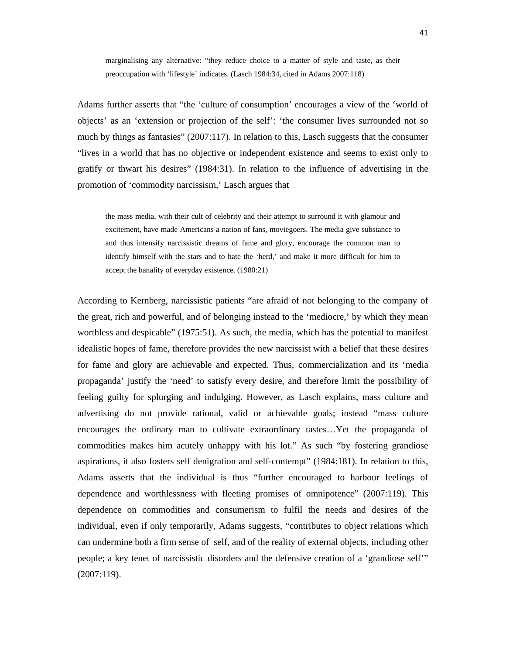marginalising any alternative: "they reduce choice to a matter of style and taste, as their preoccupation with 'lifestyle' indicates. (Lasch 1984:34, cited in Adams 2007:118)

Adams further asserts that "the 'culture of consumption' encourages a view of the 'world of objects' as an 'extension or projection of the self': 'the consumer lives surrounded not so much by things as fantasies" (2007:117). In relation to this, Lasch suggests that the consumer "lives in a world that has no objective or independent existence and seems to exist only to gratify or thwart his desires" (1984:31). In relation to the influence of advertising in the promotion of 'commodity narcissism,' Lasch argues that

the mass media, with their cult of celebrity and their attempt to surround it with glamour and excitement, have made Americans a nation of fans, moviegoers. The media give substance to and thus intensify narcissistic dreams of fame and glory, encourage the common man to identify himself with the stars and to hate the 'herd,' and make it more difficult for him to accept the banality of everyday existence. (1980:21)

According to Kernberg, narcissistic patients "are afraid of not belonging to the company of the great, rich and powerful, and of belonging instead to the 'mediocre,' by which they mean worthless and despicable" (1975:51). As such, the media, which has the potential to manifest idealistic hopes of fame, therefore provides the new narcissist with a belief that these desires for fame and glory are achievable and expected. Thus, commercialization and its 'media propaganda' justify the 'need' to satisfy every desire, and therefore limit the possibility of feeling guilty for splurging and indulging. However, as Lasch explains, mass culture and advertising do not provide rational, valid or achievable goals; instead "mass culture encourages the ordinary man to cultivate extraordinary tastes…Yet the propaganda of commodities makes him acutely unhappy with his lot." As such "by fostering grandiose aspirations, it also fosters self denigration and self-contempt" (1984:181). In relation to this, Adams asserts that the individual is thus "further encouraged to harbour feelings of dependence and worthlessness with fleeting promises of omnipotence" (2007:119). This dependence on commodities and consumerism to fulfil the needs and desires of the individual, even if only temporarily, Adams suggests, "contributes to object relations which can undermine both a firm sense of self, and of the reality of external objects, including other people; a key tenet of narcissistic disorders and the defensive creation of a 'grandiose self'" (2007:119).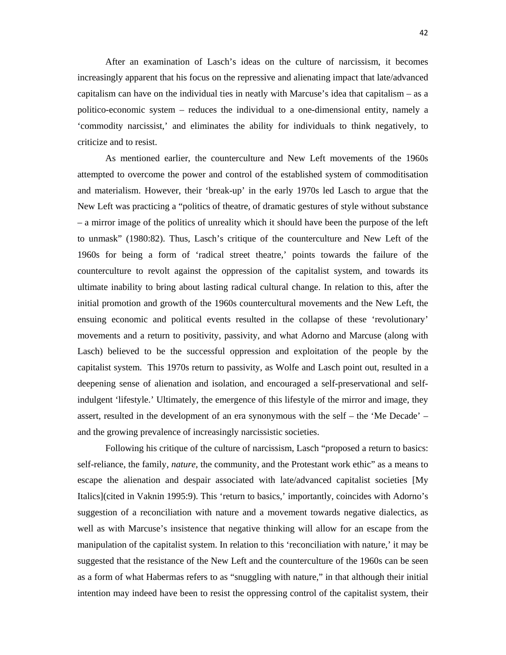After an examination of Lasch's ideas on the culture of narcissism, it becomes increasingly apparent that his focus on the repressive and alienating impact that late/advanced capitalism can have on the individual ties in neatly with Marcuse's idea that capitalism – as a politico-economic system – reduces the individual to a one-dimensional entity, namely a 'commodity narcissist,' and eliminates the ability for individuals to think negatively, to criticize and to resist.

As mentioned earlier, the counterculture and New Left movements of the 1960s attempted to overcome the power and control of the established system of commoditisation and materialism. However, their 'break-up' in the early 1970s led Lasch to argue that the New Left was practicing a "politics of theatre, of dramatic gestures of style without substance – a mirror image of the politics of unreality which it should have been the purpose of the left to unmask" (1980:82). Thus, Lasch's critique of the counterculture and New Left of the 1960s for being a form of 'radical street theatre,' points towards the failure of the counterculture to revolt against the oppression of the capitalist system, and towards its ultimate inability to bring about lasting radical cultural change. In relation to this, after the initial promotion and growth of the 1960s countercultural movements and the New Left, the ensuing economic and political events resulted in the collapse of these 'revolutionary' movements and a return to positivity, passivity, and what Adorno and Marcuse (along with Lasch) believed to be the successful oppression and exploitation of the people by the capitalist system. This 1970s return to passivity, as Wolfe and Lasch point out, resulted in a deepening sense of alienation and isolation, and encouraged a self-preservational and selfindulgent 'lifestyle.' Ultimately, the emergence of this lifestyle of the mirror and image, they assert, resulted in the development of an era synonymous with the self – the 'Me Decade' – and the growing prevalence of increasingly narcissistic societies.

Following his critique of the culture of narcissism, Lasch "proposed a return to basics: self-reliance, the family, *nature*, the community, and the Protestant work ethic" as a means to escape the alienation and despair associated with late/advanced capitalist societies [My Italics](cited in Vaknin 1995:9). This 'return to basics,' importantly, coincides with Adorno's suggestion of a reconciliation with nature and a movement towards negative dialectics, as well as with Marcuse's insistence that negative thinking will allow for an escape from the manipulation of the capitalist system. In relation to this 'reconciliation with nature,' it may be suggested that the resistance of the New Left and the counterculture of the 1960s can be seen as a form of what Habermas refers to as "snuggling with nature," in that although their initial intention may indeed have been to resist the oppressing control of the capitalist system, their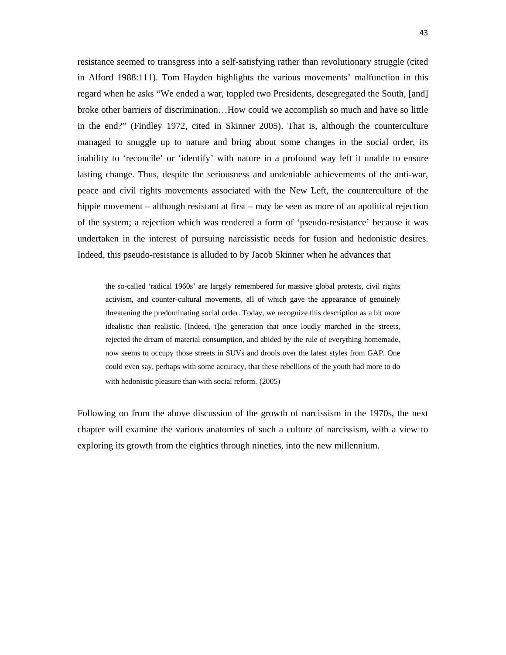resistance seemed to transgress into a self-satisfying rather than revolutionary struggle (cited in Alford 1988:111). Tom Hayden highlights the various movements' malfunction in this regard when he asks "We ended a war, toppled two Presidents, desegregated the South, [and] broke other barriers of discrimination…How could we accomplish so much and have so little in the end?" (Findley 1972, cited in Skinner 2005). That is, although the counterculture managed to snuggle up to nature and bring about some changes in the social order, its inability to 'reconcile' or 'identify' with nature in a profound way left it unable to ensure lasting change. Thus, despite the seriousness and undeniable achievements of the anti-war, peace and civil rights movements associated with the New Left, the counterculture of the hippie movement – although resistant at first – may be seen as more of an apolitical rejection of the system; a rejection which was rendered a form of 'pseudo-resistance' because it was undertaken in the interest of pursuing narcissistic needs for fusion and hedonistic desires. Indeed, this pseudo-resistance is alluded to by Jacob Skinner when he advances that

the so-called 'radical 1960s' are largely remembered for massive global protests, civil rights activism, and counter-cultural movements, all of which gave the appearance of genuinely threatening the predominating social order. Today, we recognize this description as a bit more idealistic than realistic. [Indeed, t]he generation that once loudly marched in the streets, rejected the dream of material consumption, and abided by the rule of everything homemade, now seems to occupy those streets in SUVs and drools over the latest styles from GAP. One could even say, perhaps with some accuracy, that these rebellions of the youth had more to do with hedonistic pleasure than with social reform. (2005)

Following on from the above discussion of the growth of narcissism in the 1970s, the next chapter will examine the various anatomies of such a culture of narcissism, with a view to exploring its growth from the eighties through nineties, into the new millennium.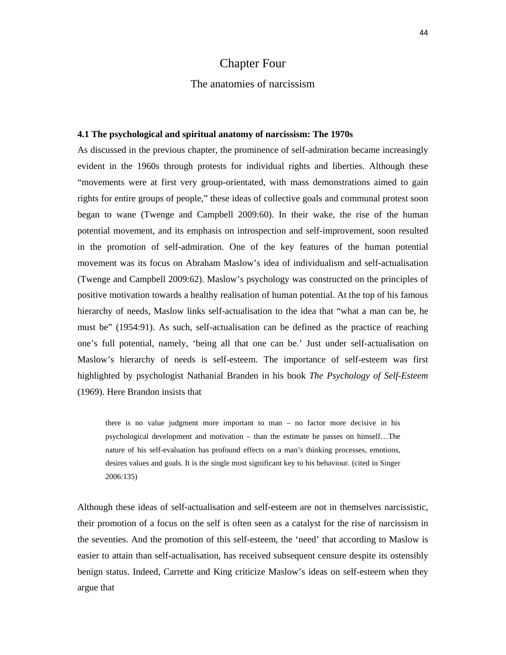# Chapter Four

## The anatomies of narcissism

### **4.1 The psychological and spiritual anatomy of narcissism: The 1970s**

As discussed in the previous chapter, the prominence of self-admiration became increasingly evident in the 1960s through protests for individual rights and liberties. Although these "movements were at first very group-orientated, with mass demonstrations aimed to gain rights for entire groups of people," these ideas of collective goals and communal protest soon began to wane (Twenge and Campbell 2009:60). In their wake, the rise of the human potential movement, and its emphasis on introspection and self-improvement, soon resulted in the promotion of self-admiration. One of the key features of the human potential movement was its focus on Abraham Maslow's idea of individualism and self-actualisation (Twenge and Campbell 2009:62). Maslow's psychology was constructed on the principles of positive motivation towards a healthy realisation of human potential. At the top of his famous hierarchy of needs, Maslow links self-actualisation to the idea that "what a man can be, he must be" (1954:91). As such, self-actualisation can be defined as the practice of reaching one's full potential, namely, 'being all that one can be.' Just under self-actualisation on Maslow's hierarchy of needs is self-esteem. The importance of self-esteem was first highlighted by psychologist Nathanial Branden in his book *The Psychology of Self-Esteem* (1969). Here Brandon insists that

there is no value judgment more important to man – no factor more decisive in his psychological development and motivation – than the estimate he passes on himself…The nature of his self-evaluation has profound effects on a man's thinking processes, emotions, desires values and goals. It is the single most significant key to his behaviour. (cited in Singer 2006:135)

Although these ideas of self-actualisation and self-esteem are not in themselves narcissistic, their promotion of a focus on the self is often seen as a catalyst for the rise of narcissism in the seventies. And the promotion of this self-esteem, the 'need' that according to Maslow is easier to attain than self-actualisation, has received subsequent censure despite its ostensibly benign status. Indeed, Carrette and King criticize Maslow's ideas on self-esteem when they argue that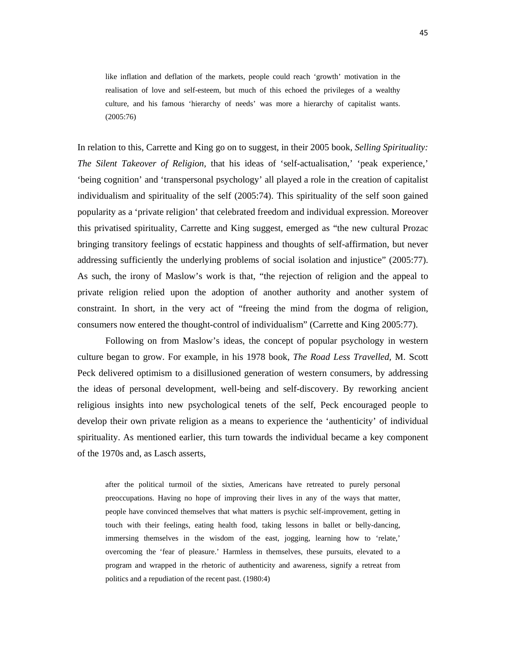like inflation and deflation of the markets, people could reach 'growth' motivation in the realisation of love and self-esteem, but much of this echoed the privileges of a wealthy culture, and his famous 'hierarchy of needs' was more a hierarchy of capitalist wants. (2005:76)

In relation to this, Carrette and King go on to suggest, in their 2005 book, *Selling Spirituality: The Silent Takeover of Religion,* that his ideas of 'self-actualisation,' 'peak experience,' 'being cognition' and 'transpersonal psychology' all played a role in the creation of capitalist individualism and spirituality of the self (2005:74). This spirituality of the self soon gained popularity as a 'private religion' that celebrated freedom and individual expression. Moreover this privatised spirituality, Carrette and King suggest, emerged as "the new cultural Prozac bringing transitory feelings of ecstatic happiness and thoughts of self-affirmation, but never addressing sufficiently the underlying problems of social isolation and injustice" (2005:77). As such, the irony of Maslow's work is that, "the rejection of religion and the appeal to private religion relied upon the adoption of another authority and another system of constraint. In short, in the very act of "freeing the mind from the dogma of religion, consumers now entered the thought-control of individualism" (Carrette and King 2005:77).

Following on from Maslow's ideas, the concept of popular psychology in western culture began to grow. For example, in his 1978 book, *The Road Less Travelled,* M. Scott Peck delivered optimism to a disillusioned generation of western consumers, by addressing the ideas of personal development, well-being and self-discovery. By reworking ancient religious insights into new psychological tenets of the self, Peck encouraged people to develop their own private religion as a means to experience the 'authenticity' of individual spirituality. As mentioned earlier, this turn towards the individual became a key component of the 1970s and, as Lasch asserts,

after the political turmoil of the sixties, Americans have retreated to purely personal preoccupations. Having no hope of improving their lives in any of the ways that matter, people have convinced themselves that what matters is psychic self-improvement, getting in touch with their feelings, eating health food, taking lessons in ballet or belly-dancing, immersing themselves in the wisdom of the east, jogging, learning how to 'relate,' overcoming the 'fear of pleasure.' Harmless in themselves, these pursuits, elevated to a program and wrapped in the rhetoric of authenticity and awareness, signify a retreat from politics and a repudiation of the recent past. (1980:4)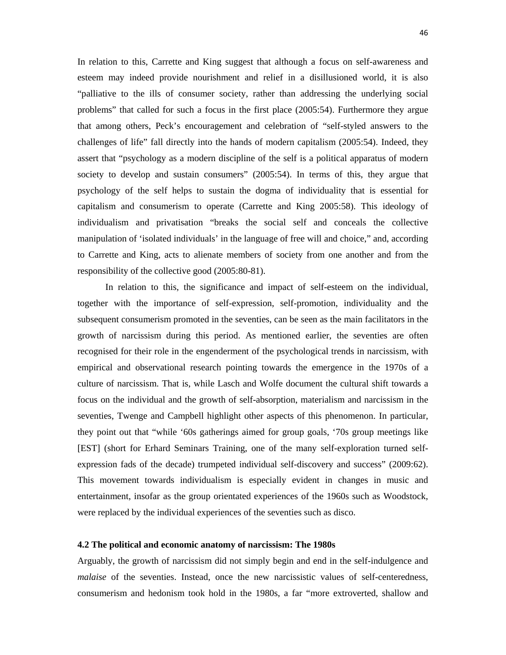In relation to this, Carrette and King suggest that although a focus on self-awareness and esteem may indeed provide nourishment and relief in a disillusioned world, it is also "palliative to the ills of consumer society, rather than addressing the underlying social problems" that called for such a focus in the first place (2005:54). Furthermore they argue that among others, Peck's encouragement and celebration of "self-styled answers to the challenges of life" fall directly into the hands of modern capitalism (2005:54). Indeed, they assert that "psychology as a modern discipline of the self is a political apparatus of modern society to develop and sustain consumers" (2005:54). In terms of this, they argue that psychology of the self helps to sustain the dogma of individuality that is essential for capitalism and consumerism to operate (Carrette and King 2005:58). This ideology of individualism and privatisation "breaks the social self and conceals the collective manipulation of 'isolated individuals' in the language of free will and choice," and, according to Carrette and King, acts to alienate members of society from one another and from the responsibility of the collective good (2005:80-81).

In relation to this, the significance and impact of self-esteem on the individual, together with the importance of self-expression, self-promotion, individuality and the subsequent consumerism promoted in the seventies, can be seen as the main facilitators in the growth of narcissism during this period. As mentioned earlier, the seventies are often recognised for their role in the engenderment of the psychological trends in narcissism, with empirical and observational research pointing towards the emergence in the 1970s of a culture of narcissism. That is, while Lasch and Wolfe document the cultural shift towards a focus on the individual and the growth of self-absorption, materialism and narcissism in the seventies, Twenge and Campbell highlight other aspects of this phenomenon. In particular, they point out that "while '60s gatherings aimed for group goals, '70s group meetings like [EST] (short for Erhard Seminars Training, one of the many self-exploration turned selfexpression fads of the decade) trumpeted individual self-discovery and success" (2009:62). This movement towards individualism is especially evident in changes in music and entertainment, insofar as the group orientated experiences of the 1960s such as Woodstock, were replaced by the individual experiences of the seventies such as disco.

### **4.2 The political and economic anatomy of narcissism: The 1980s**

Arguably, the growth of narcissism did not simply begin and end in the self-indulgence and *malaise* of the seventies. Instead, once the new narcissistic values of self-centeredness, consumerism and hedonism took hold in the 1980s, a far "more extroverted, shallow and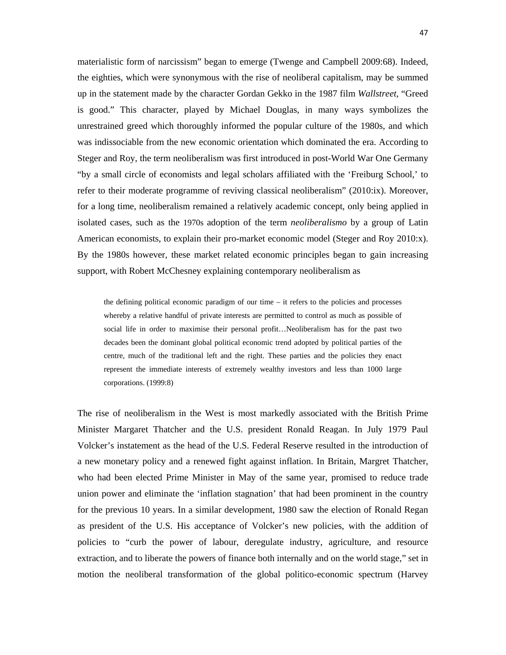materialistic form of narcissism" began to emerge (Twenge and Campbell 2009:68). Indeed, the eighties, which were synonymous with the rise of neoliberal capitalism, may be summed up in the statement made by the character Gordan Gekko in the 1987 film *Wallstreet*, "Greed is good." This character, played by Michael Douglas, in many ways symbolizes the unrestrained greed which thoroughly informed the popular culture of the 1980s, and which was indissociable from the new economic orientation which dominated the era. According to Steger and Roy, the term neoliberalism was first introduced in post-World War One Germany "by a small circle of economists and legal scholars affiliated with the 'Freiburg School,' to refer to their moderate programme of reviving classical neoliberalism" (2010:ix). Moreover, for a long time, neoliberalism remained a relatively academic concept, only being applied in isolated cases, such as the 1970s adoption of the term *neoliberalismo* by a group of Latin American economists, to explain their pro-market economic model (Steger and Roy 2010:x). By the 1980s however, these market related economic principles began to gain increasing support, with Robert McChesney explaining contemporary neoliberalism as

the defining political economic paradigm of our time – it refers to the policies and processes whereby a relative handful of private interests are permitted to control as much as possible of social life in order to maximise their personal profit...Neoliberalism has for the past two decades been the dominant global political economic trend adopted by political parties of the centre, much of the traditional left and the right. These parties and the policies they enact represent the immediate interests of extremely wealthy investors and less than 1000 large corporations. (1999:8)

The rise of neoliberalism in the West is most markedly associated with the British Prime Minister Margaret Thatcher and the U.S. president Ronald Reagan. In July 1979 Paul Volcker's instatement as the head of the U.S. Federal Reserve resulted in the introduction of a new monetary policy and a renewed fight against inflation. In Britain, Margret Thatcher, who had been elected Prime Minister in May of the same year, promised to reduce trade union power and eliminate the 'inflation stagnation' that had been prominent in the country for the previous 10 years. In a similar development, 1980 saw the election of Ronald Regan as president of the U.S. His acceptance of Volcker's new policies, with the addition of policies to "curb the power of labour, deregulate industry, agriculture, and resource extraction, and to liberate the powers of finance both internally and on the world stage," set in motion the neoliberal transformation of the global politico-economic spectrum (Harvey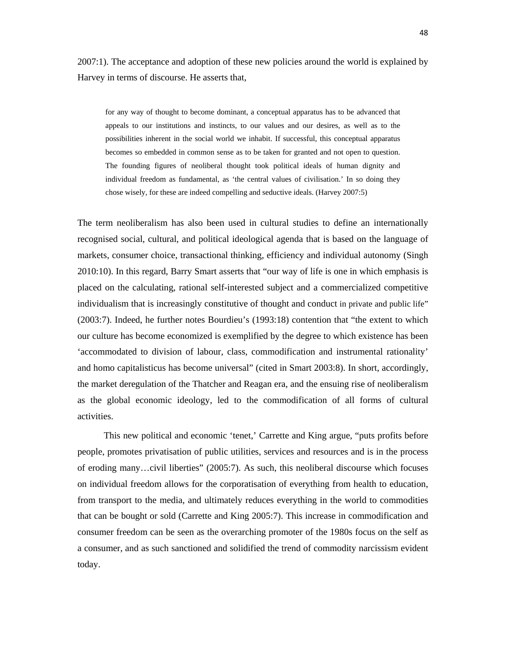2007:1). The acceptance and adoption of these new policies around the world is explained by Harvey in terms of discourse. He asserts that,

for any way of thought to become dominant, a conceptual apparatus has to be advanced that appeals to our institutions and instincts, to our values and our desires, as well as to the possibilities inherent in the social world we inhabit. If successful, this conceptual apparatus becomes so embedded in common sense as to be taken for granted and not open to question. The founding figures of neoliberal thought took political ideals of human dignity and individual freedom as fundamental, as 'the central values of civilisation.' In so doing they chose wisely, for these are indeed compelling and seductive ideals. (Harvey 2007:5)

The term neoliberalism has also been used in cultural studies to define an internationally recognised social, cultural, and political ideological agenda that is based on the language of markets, consumer choice, transactional thinking, efficiency and individual autonomy (Singh 2010:10). In this regard, Barry Smart asserts that "our way of life is one in which emphasis is placed on the calculating, rational self-interested subject and a commercialized competitive individualism that is increasingly constitutive of thought and conduct in private and public life" (2003:7). Indeed, he further notes Bourdieu's (1993:18) contention that "the extent to which our culture has become economized is exemplified by the degree to which existence has been 'accommodated to division of labour, class, commodification and instrumental rationality' and homo capitalisticus has become universal" (cited in Smart 2003:8). In short, accordingly, the market deregulation of the Thatcher and Reagan era, and the ensuing rise of neoliberalism as the global economic ideology, led to the commodification of all forms of cultural activities.

This new political and economic 'tenet,' Carrette and King argue, "puts profits before people, promotes privatisation of public utilities, services and resources and is in the process of eroding many…civil liberties" (2005:7). As such, this neoliberal discourse which focuses on individual freedom allows for the corporatisation of everything from health to education, from transport to the media, and ultimately reduces everything in the world to commodities that can be bought or sold (Carrette and King 2005:7). This increase in commodification and consumer freedom can be seen as the overarching promoter of the 1980s focus on the self as a consumer, and as such sanctioned and solidified the trend of commodity narcissism evident today.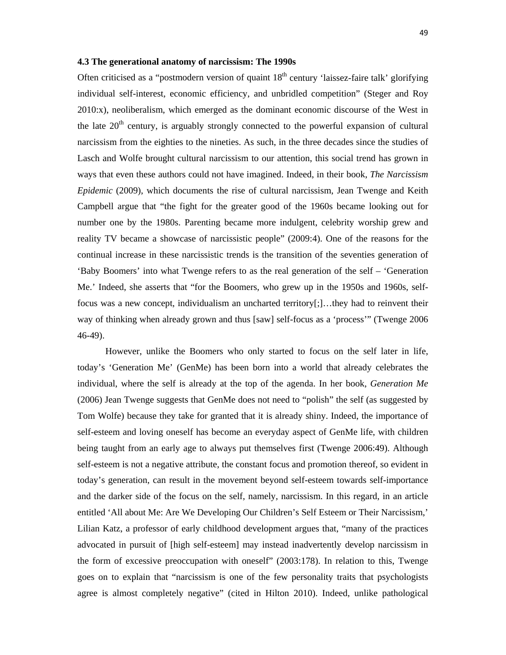### **4.3 The generational anatomy of narcissism: The 1990s**

Often criticised as a "postmodern version of quaint  $18<sup>th</sup>$  century 'laissez-faire talk' glorifying individual self-interest, economic efficiency, and unbridled competition" (Steger and Roy 2010:x), neoliberalism, which emerged as the dominant economic discourse of the West in the late  $20<sup>th</sup>$  century, is arguably strongly connected to the powerful expansion of cultural narcissism from the eighties to the nineties. As such, in the three decades since the studies of Lasch and Wolfe brought cultural narcissism to our attention, this social trend has grown in ways that even these authors could not have imagined. Indeed, in their book, *The Narcissism Epidemic* (2009), which documents the rise of cultural narcissism, Jean Twenge and Keith Campbell argue that "the fight for the greater good of the 1960s became looking out for number one by the 1980s. Parenting became more indulgent, celebrity worship grew and reality TV became a showcase of narcissistic people" (2009:4). One of the reasons for the continual increase in these narcissistic trends is the transition of the seventies generation of 'Baby Boomers' into what Twenge refers to as the real generation of the self – 'Generation Me.' Indeed, she asserts that "for the Boomers, who grew up in the 1950s and 1960s, selffocus was a new concept, individualism an uncharted territory[;]…they had to reinvent their way of thinking when already grown and thus [saw] self-focus as a 'process'" (Twenge 2006 46-49).

However, unlike the Boomers who only started to focus on the self later in life, today's 'Generation Me' (GenMe) has been born into a world that already celebrates the individual, where the self is already at the top of the agenda. In her book, *Generation Me* (2006) Jean Twenge suggests that GenMe does not need to "polish" the self (as suggested by Tom Wolfe) because they take for granted that it is already shiny. Indeed, the importance of self-esteem and loving oneself has become an everyday aspect of GenMe life, with children being taught from an early age to always put themselves first (Twenge 2006:49). Although self-esteem is not a negative attribute, the constant focus and promotion thereof, so evident in today's generation, can result in the movement beyond self-esteem towards self-importance and the darker side of the focus on the self, namely, narcissism. In this regard, in an article entitled 'All about Me: Are We Developing Our Children's Self Esteem or Their Narcissism,' Lilian Katz, a professor of early childhood development argues that, "many of the practices advocated in pursuit of [high self-esteem] may instead inadvertently develop narcissism in the form of excessive preoccupation with oneself" (2003:178). In relation to this, Twenge goes on to explain that "narcissism is one of the few personality traits that psychologists agree is almost completely negative" (cited in Hilton 2010). Indeed, unlike pathological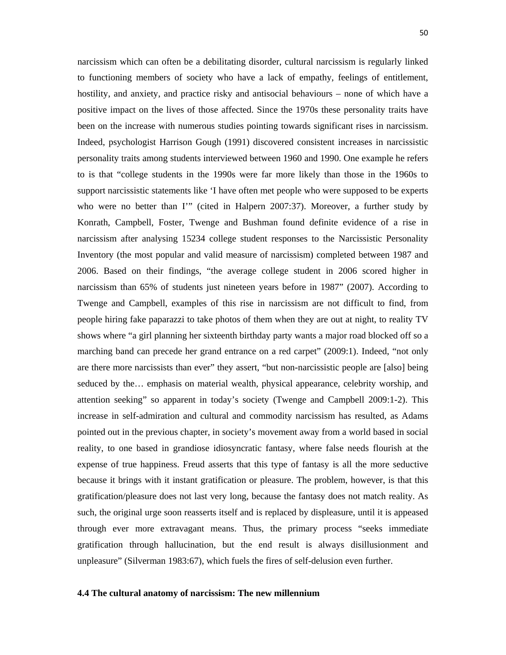narcissism which can often be a debilitating disorder, cultural narcissism is regularly linked to functioning members of society who have a lack of empathy, feelings of entitlement, hostility, and anxiety, and practice risky and antisocial behaviours – none of which have a positive impact on the lives of those affected. Since the 1970s these personality traits have been on the increase with numerous studies pointing towards significant rises in narcissism. Indeed, psychologist Harrison Gough (1991) discovered consistent increases in narcissistic personality traits among students interviewed between 1960 and 1990. One example he refers to is that "college students in the 1990s were far more likely than those in the 1960s to support narcissistic statements like 'I have often met people who were supposed to be experts who were no better than I'" (cited in Halpern 2007:37). Moreover, a further study by Konrath, Campbell, Foster, Twenge and Bushman found definite evidence of a rise in narcissism after analysing 15234 college student responses to the Narcissistic Personality Inventory (the most popular and valid measure of narcissism) completed between 1987 and 2006. Based on their findings, "the average college student in 2006 scored higher in narcissism than 65% of students just nineteen years before in 1987" (2007). According to Twenge and Campbell, examples of this rise in narcissism are not difficult to find, from people hiring fake paparazzi to take photos of them when they are out at night, to reality TV shows where "a girl planning her sixteenth birthday party wants a major road blocked off so a marching band can precede her grand entrance on a red carpet" (2009:1). Indeed, "not only are there more narcissists than ever" they assert, "but non-narcissistic people are [also] being seduced by the… emphasis on material wealth, physical appearance, celebrity worship, and attention seeking" so apparent in today's society (Twenge and Campbell 2009:1-2). This increase in self-admiration and cultural and commodity narcissism has resulted, as Adams pointed out in the previous chapter, in society's movement away from a world based in social reality, to one based in grandiose idiosyncratic fantasy, where false needs flourish at the expense of true happiness. Freud asserts that this type of fantasy is all the more seductive because it brings with it instant gratification or pleasure. The problem, however, is that this gratification/pleasure does not last very long, because the fantasy does not match reality. As such, the original urge soon reasserts itself and is replaced by displeasure, until it is appeased through ever more extravagant means. Thus, the primary process "seeks immediate gratification through hallucination, but the end result is always disillusionment and unpleasure" (Silverman 1983:67), which fuels the fires of self-delusion even further.

#### **4.4 The cultural anatomy of narcissism: The new millennium**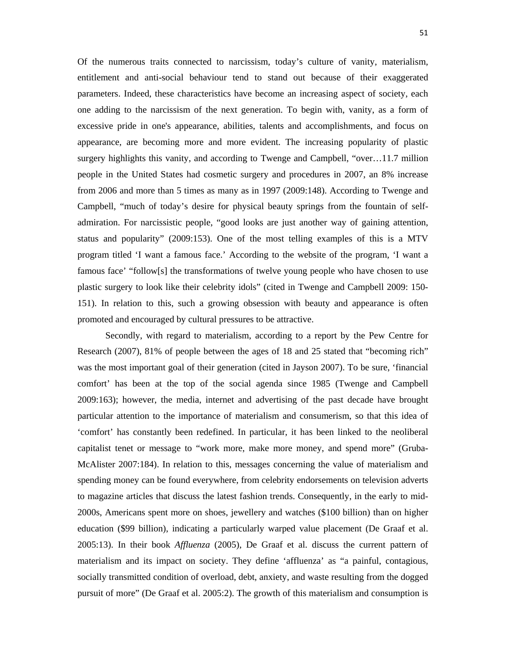Of the numerous traits connected to narcissism, today's culture of vanity, materialism, entitlement and anti-social behaviour tend to stand out because of their exaggerated parameters. Indeed, these characteristics have become an increasing aspect of society, each one adding to the narcissism of the next generation. To begin with, vanity, as a form of excessive pride in one's appearance, abilities, talents and accomplishments, and focus on appearance, are becoming more and more evident. The increasing popularity of plastic surgery highlights this vanity, and according to Twenge and Campbell, "over...11.7 million" people in the United States had cosmetic surgery and procedures in 2007, an 8% increase from 2006 and more than 5 times as many as in 1997 (2009:148). According to Twenge and Campbell, "much of today's desire for physical beauty springs from the fountain of selfadmiration. For narcissistic people, "good looks are just another way of gaining attention, status and popularity" (2009:153). One of the most telling examples of this is a MTV program titled 'I want a famous face.' According to the website of the program, 'I want a famous face' "follow[s] the transformations of twelve young people who have chosen to use plastic surgery to look like their celebrity idols" (cited in Twenge and Campbell 2009: 150- 151). In relation to this, such a growing obsession with beauty and appearance is often promoted and encouraged by cultural pressures to be attractive.

Secondly, with regard to materialism, according to a report by the Pew Centre for Research (2007), 81% of people between the ages of 18 and 25 stated that "becoming rich" was the most important goal of their generation (cited in Jayson 2007). To be sure, 'financial comfort' has been at the top of the social agenda since 1985 (Twenge and Campbell 2009:163); however, the media, internet and advertising of the past decade have brought particular attention to the importance of materialism and consumerism, so that this idea of 'comfort' has constantly been redefined. In particular, it has been linked to the neoliberal capitalist tenet or message to "work more, make more money, and spend more" (Gruba-McAlister 2007:184). In relation to this, messages concerning the value of materialism and spending money can be found everywhere, from celebrity endorsements on television adverts to magazine articles that discuss the latest fashion trends. Consequently, in the early to mid-2000s, Americans spent more on shoes, jewellery and watches (\$100 billion) than on higher education (\$99 billion), indicating a particularly warped value placement (De Graaf et al. 2005:13). In their book *Affluenza* (2005), De Graaf et al. discuss the current pattern of materialism and its impact on society. They define 'affluenza' as "a painful, contagious, socially transmitted condition of overload, debt, anxiety, and waste resulting from the dogged pursuit of more" (De Graaf et al. 2005:2). The growth of this materialism and consumption is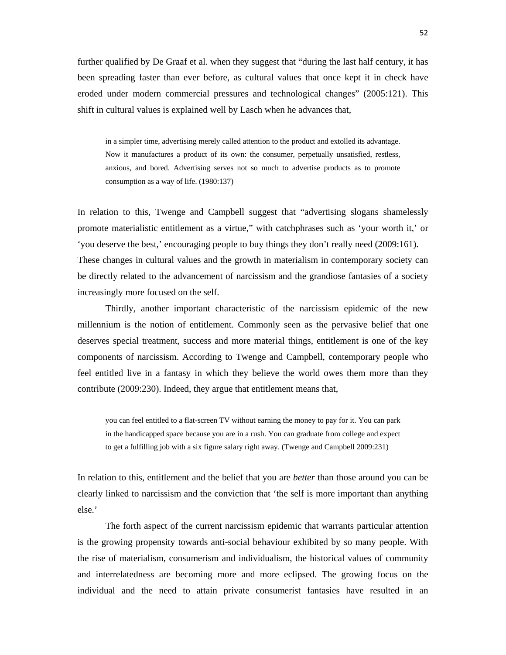further qualified by De Graaf et al. when they suggest that "during the last half century, it has been spreading faster than ever before, as cultural values that once kept it in check have eroded under modern commercial pressures and technological changes" (2005:121). This shift in cultural values is explained well by Lasch when he advances that,

in a simpler time, advertising merely called attention to the product and extolled its advantage. Now it manufactures a product of its own: the consumer, perpetually unsatisfied, restless, anxious, and bored. Advertising serves not so much to advertise products as to promote consumption as a way of life. (1980:137)

In relation to this, Twenge and Campbell suggest that "advertising slogans shamelessly promote materialistic entitlement as a virtue," with catchphrases such as 'your worth it,' or 'you deserve the best,' encouraging people to buy things they don't really need (2009:161). These changes in cultural values and the growth in materialism in contemporary society can be directly related to the advancement of narcissism and the grandiose fantasies of a society increasingly more focused on the self.

Thirdly, another important characteristic of the narcissism epidemic of the new millennium is the notion of entitlement. Commonly seen as the pervasive belief that one deserves special treatment, success and more material things, entitlement is one of the key components of narcissism. According to Twenge and Campbell, contemporary people who feel entitled live in a fantasy in which they believe the world owes them more than they contribute (2009:230). Indeed, they argue that entitlement means that,

you can feel entitled to a flat-screen TV without earning the money to pay for it. You can park in the handicapped space because you are in a rush. You can graduate from college and expect to get a fulfilling job with a six figure salary right away. (Twenge and Campbell 2009:231)

In relation to this, entitlement and the belief that you are *better* than those around you can be clearly linked to narcissism and the conviction that 'the self is more important than anything else.'

The forth aspect of the current narcissism epidemic that warrants particular attention is the growing propensity towards anti-social behaviour exhibited by so many people. With the rise of materialism, consumerism and individualism, the historical values of community and interrelatedness are becoming more and more eclipsed. The growing focus on the individual and the need to attain private consumerist fantasies have resulted in an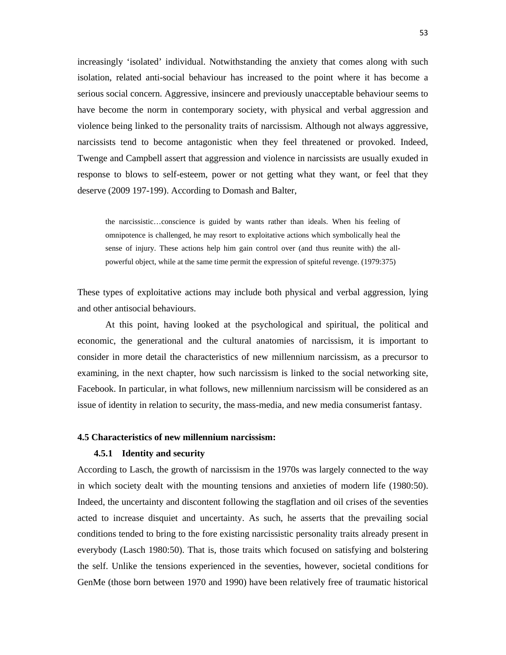increasingly 'isolated' individual. Notwithstanding the anxiety that comes along with such isolation, related anti-social behaviour has increased to the point where it has become a serious social concern. Aggressive, insincere and previously unacceptable behaviour seems to have become the norm in contemporary society, with physical and verbal aggression and violence being linked to the personality traits of narcissism. Although not always aggressive, narcissists tend to become antagonistic when they feel threatened or provoked. Indeed, Twenge and Campbell assert that aggression and violence in narcissists are usually exuded in response to blows to self-esteem, power or not getting what they want, or feel that they deserve (2009 197-199). According to Domash and Balter,

the narcissistic…conscience is guided by wants rather than ideals. When his feeling of omnipotence is challenged, he may resort to exploitative actions which symbolically heal the sense of injury. These actions help him gain control over (and thus reunite with) the allpowerful object, while at the same time permit the expression of spiteful revenge. (1979:375)

These types of exploitative actions may include both physical and verbal aggression, lying and other antisocial behaviours.

At this point, having looked at the psychological and spiritual, the political and economic, the generational and the cultural anatomies of narcissism, it is important to consider in more detail the characteristics of new millennium narcissism, as a precursor to examining, in the next chapter, how such narcissism is linked to the social networking site, Facebook. In particular, in what follows, new millennium narcissism will be considered as an issue of identity in relation to security, the mass-media, and new media consumerist fantasy.

#### **4.5 Characteristics of new millennium narcissism:**

#### **4.5.1 Identity and security**

According to Lasch, the growth of narcissism in the 1970s was largely connected to the way in which society dealt with the mounting tensions and anxieties of modern life (1980:50). Indeed, the uncertainty and discontent following the stagflation and oil crises of the seventies acted to increase disquiet and uncertainty. As such, he asserts that the prevailing social conditions tended to bring to the fore existing narcissistic personality traits already present in everybody (Lasch 1980:50). That is, those traits which focused on satisfying and bolstering the self. Unlike the tensions experienced in the seventies, however, societal conditions for GenMe (those born between 1970 and 1990) have been relatively free of traumatic historical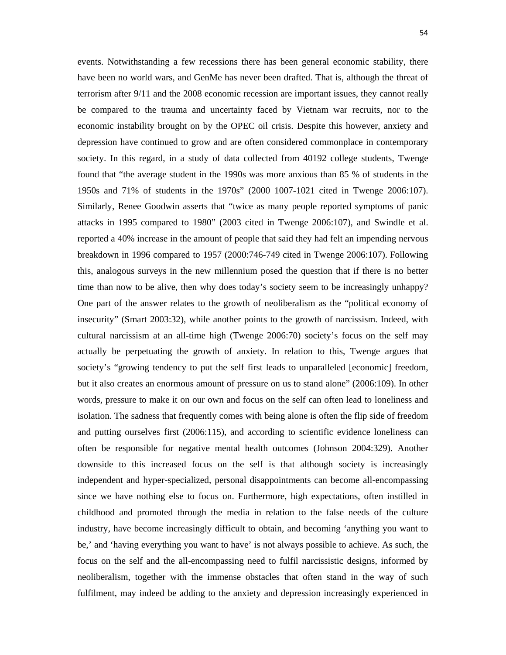events. Notwithstanding a few recessions there has been general economic stability, there have been no world wars, and GenMe has never been drafted. That is, although the threat of terrorism after 9/11 and the 2008 economic recession are important issues, they cannot really be compared to the trauma and uncertainty faced by Vietnam war recruits, nor to the economic instability brought on by the OPEC oil crisis. Despite this however, anxiety and depression have continued to grow and are often considered commonplace in contemporary society. In this regard, in a study of data collected from 40192 college students, Twenge found that "the average student in the 1990s was more anxious than 85 % of students in the 1950s and 71% of students in the 1970s" (2000 1007-1021 cited in Twenge 2006:107). Similarly, Renee Goodwin asserts that "twice as many people reported symptoms of panic attacks in 1995 compared to 1980" (2003 cited in Twenge 2006:107), and Swindle et al. reported a 40% increase in the amount of people that said they had felt an impending nervous breakdown in 1996 compared to 1957 (2000:746-749 cited in Twenge 2006:107). Following this, analogous surveys in the new millennium posed the question that if there is no better time than now to be alive, then why does today's society seem to be increasingly unhappy? One part of the answer relates to the growth of neoliberalism as the "political economy of insecurity" (Smart 2003:32), while another points to the growth of narcissism. Indeed, with cultural narcissism at an all-time high (Twenge 2006:70) society's focus on the self may actually be perpetuating the growth of anxiety. In relation to this, Twenge argues that society's "growing tendency to put the self first leads to unparalleled [economic] freedom, but it also creates an enormous amount of pressure on us to stand alone" (2006:109). In other words, pressure to make it on our own and focus on the self can often lead to loneliness and isolation. The sadness that frequently comes with being alone is often the flip side of freedom and putting ourselves first (2006:115), and according to scientific evidence loneliness can often be responsible for negative mental health outcomes (Johnson 2004:329). Another downside to this increased focus on the self is that although society is increasingly independent and hyper-specialized, personal disappointments can become all-encompassing since we have nothing else to focus on. Furthermore, high expectations, often instilled in childhood and promoted through the media in relation to the false needs of the culture industry, have become increasingly difficult to obtain, and becoming 'anything you want to be,' and 'having everything you want to have' is not always possible to achieve. As such, the focus on the self and the all-encompassing need to fulfil narcissistic designs, informed by neoliberalism, together with the immense obstacles that often stand in the way of such fulfilment, may indeed be adding to the anxiety and depression increasingly experienced in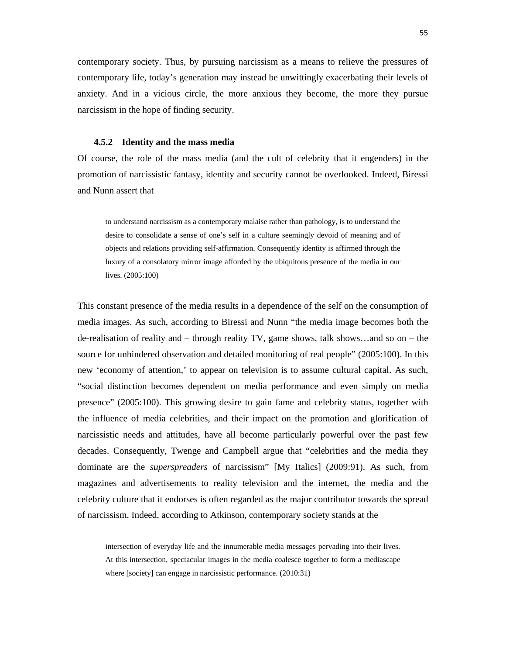contemporary society. Thus, by pursuing narcissism as a means to relieve the pressures of contemporary life, today's generation may instead be unwittingly exacerbating their levels of anxiety. And in a vicious circle, the more anxious they become, the more they pursue narcissism in the hope of finding security.

#### **4.5.2 Identity and the mass media**

Of course, the role of the mass media (and the cult of celebrity that it engenders) in the promotion of narcissistic fantasy, identity and security cannot be overlooked. Indeed, Biressi and Nunn assert that

to understand narcissism as a contemporary malaise rather than pathology, is to understand the desire to consolidate a sense of one's self in a culture seemingly devoid of meaning and of objects and relations providing self-affirmation. Consequently identity is affirmed through the luxury of a consolatory mirror image afforded by the ubiquitous presence of the media in our lives. (2005:100)

This constant presence of the media results in a dependence of the self on the consumption of media images. As such, according to Biressi and Nunn "the media image becomes both the de-realisation of reality and – through reality TV, game shows, talk shows…and so on – the source for unhindered observation and detailed monitoring of real people" (2005:100). In this new 'economy of attention,' to appear on television is to assume cultural capital. As such, "social distinction becomes dependent on media performance and even simply on media presence" (2005:100). This growing desire to gain fame and celebrity status, together with the influence of media celebrities, and their impact on the promotion and glorification of narcissistic needs and attitudes, have all become particularly powerful over the past few decades. Consequently, Twenge and Campbell argue that "celebrities and the media they dominate are the *superspreaders* of narcissism" [My Italics] (2009:91). As such, from magazines and advertisements to reality television and the internet, the media and the celebrity culture that it endorses is often regarded as the major contributor towards the spread of narcissism. Indeed, according to Atkinson, contemporary society stands at the

intersection of everyday life and the innumerable media messages pervading into their lives. At this intersection, spectacular images in the media coalesce together to form a mediascape where [society] can engage in narcissistic performance.  $(2010:31)$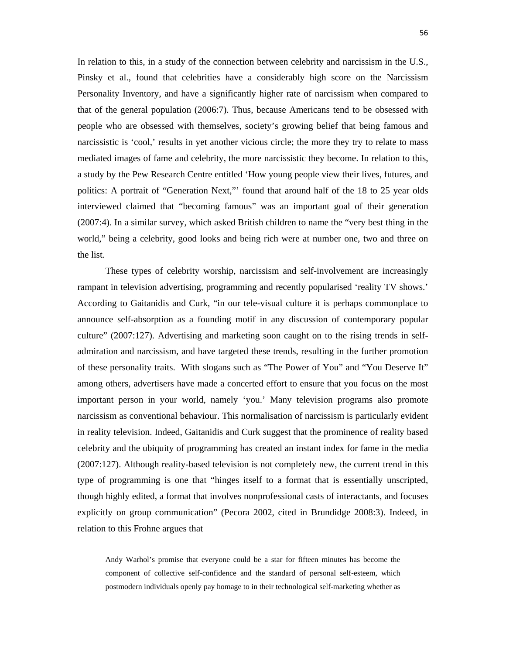In relation to this, in a study of the connection between celebrity and narcissism in the U.S., Pinsky et al., found that celebrities have a considerably high score on the Narcissism Personality Inventory, and have a significantly higher rate of narcissism when compared to that of the general population (2006:7). Thus, because Americans tend to be obsessed with people who are obsessed with themselves, society's growing belief that being famous and narcissistic is 'cool,' results in yet another vicious circle; the more they try to relate to mass mediated images of fame and celebrity, the more narcissistic they become. In relation to this, a study by the Pew Research Centre entitled 'How young people view their lives, futures, and politics: A portrait of "Generation Next," found that around half of the 18 to 25 year olds interviewed claimed that "becoming famous" was an important goal of their generation (2007:4). In a similar survey, which asked British children to name the "very best thing in the world," being a celebrity, good looks and being rich were at number one, two and three on the list.

These types of celebrity worship, narcissism and self-involvement are increasingly rampant in television advertising, programming and recently popularised 'reality TV shows.' According to Gaitanidis and Curk, "in our tele-visual culture it is perhaps commonplace to announce self-absorption as a founding motif in any discussion of contemporary popular culture" (2007:127). Advertising and marketing soon caught on to the rising trends in selfadmiration and narcissism, and have targeted these trends, resulting in the further promotion of these personality traits. With slogans such as "The Power of You" and "You Deserve It" among others, advertisers have made a concerted effort to ensure that you focus on the most important person in your world, namely 'you.' Many television programs also promote narcissism as conventional behaviour. This normalisation of narcissism is particularly evident in reality television. Indeed, Gaitanidis and Curk suggest that the prominence of reality based celebrity and the ubiquity of programming has created an instant index for fame in the media (2007:127). Although reality-based television is not completely new, the current trend in this type of programming is one that "hinges itself to a format that is essentially unscripted, though highly edited, a format that involves nonprofessional casts of interactants, and focuses explicitly on group communication" (Pecora 2002, cited in Brundidge 2008:3). Indeed, in relation to this Frohne argues that

Andy Warhol's promise that everyone could be a star for fifteen minutes has become the component of collective self-confidence and the standard of personal self-esteem, which postmodern individuals openly pay homage to in their technological self-marketing whether as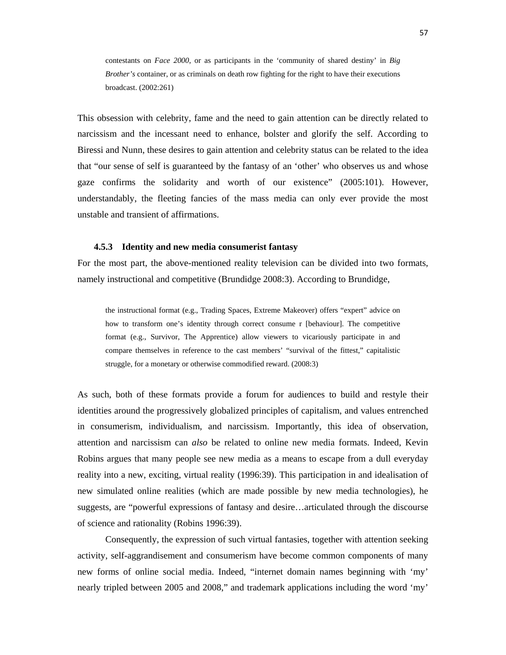contestants on *Face 2000*, or as participants in the 'community of shared destiny' in *Big Brother's* container, or as criminals on death row fighting for the right to have their executions broadcast. (2002:261)

This obsession with celebrity, fame and the need to gain attention can be directly related to narcissism and the incessant need to enhance, bolster and glorify the self. According to Biressi and Nunn, these desires to gain attention and celebrity status can be related to the idea that "our sense of self is guaranteed by the fantasy of an 'other' who observes us and whose gaze confirms the solidarity and worth of our existence" (2005:101). However, understandably, the fleeting fancies of the mass media can only ever provide the most unstable and transient of affirmations.

#### **4.5.3 Identity and new media consumerist fantasy**

For the most part, the above-mentioned reality television can be divided into two formats, namely instructional and competitive (Brundidge 2008:3). According to Brundidge,

the instructional format (e.g., Trading Spaces, Extreme Makeover) offers "expert" advice on how to transform one's identity through correct consume r [behaviour]. The competitive format (e.g., Survivor, The Apprentice) allow viewers to vicariously participate in and compare themselves in reference to the cast members' "survival of the fittest," capitalistic struggle, for a monetary or otherwise commodified reward. (2008:3)

As such, both of these formats provide a forum for audiences to build and restyle their identities around the progressively globalized principles of capitalism, and values entrenched in consumerism, individualism, and narcissism. Importantly, this idea of observation, attention and narcissism can *also* be related to online new media formats. Indeed, Kevin Robins argues that many people see new media as a means to escape from a dull everyday reality into a new, exciting, virtual reality (1996:39). This participation in and idealisation of new simulated online realities (which are made possible by new media technologies), he suggests, are "powerful expressions of fantasy and desire…articulated through the discourse of science and rationality (Robins 1996:39).

Consequently, the expression of such virtual fantasies, together with attention seeking activity, self-aggrandisement and consumerism have become common components of many new forms of online social media. Indeed, "internet domain names beginning with 'my' nearly tripled between 2005 and 2008," and trademark applications including the word 'my'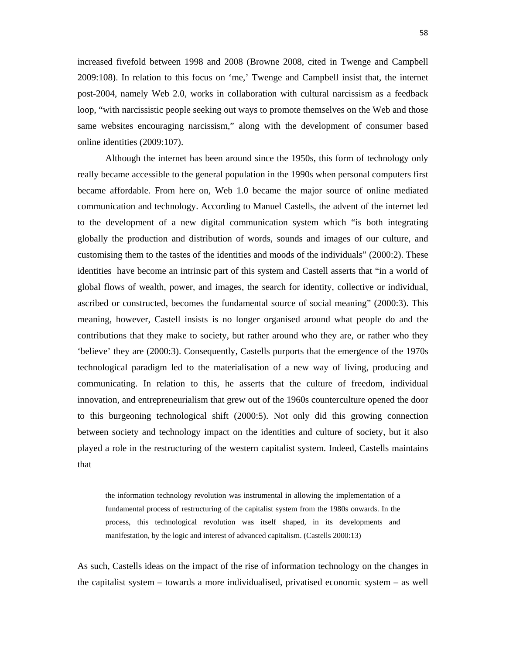increased fivefold between 1998 and 2008 (Browne 2008, cited in Twenge and Campbell 2009:108). In relation to this focus on 'me,' Twenge and Campbell insist that, the internet post-2004, namely Web 2.0, works in collaboration with cultural narcissism as a feedback loop, "with narcissistic people seeking out ways to promote themselves on the Web and those same websites encouraging narcissism," along with the development of consumer based online identities (2009:107).

Although the internet has been around since the 1950s, this form of technology only really became accessible to the general population in the 1990s when personal computers first became affordable. From here on, Web 1.0 became the major source of online mediated communication and technology. According to Manuel Castells, the advent of the internet led to the development of a new digital communication system which "is both integrating globally the production and distribution of words, sounds and images of our culture, and customising them to the tastes of the identities and moods of the individuals" (2000:2). These identities have become an intrinsic part of this system and Castell asserts that "in a world of global flows of wealth, power, and images, the search for identity, collective or individual, ascribed or constructed, becomes the fundamental source of social meaning" (2000:3). This meaning, however, Castell insists is no longer organised around what people do and the contributions that they make to society, but rather around who they are, or rather who they 'believe' they are (2000:3). Consequently, Castells purports that the emergence of the 1970s technological paradigm led to the materialisation of a new way of living, producing and communicating. In relation to this, he asserts that the culture of freedom, individual innovation, and entrepreneurialism that grew out of the 1960s counterculture opened the door to this burgeoning technological shift (2000:5). Not only did this growing connection between society and technology impact on the identities and culture of society, but it also played a role in the restructuring of the western capitalist system. Indeed, Castells maintains that

the information technology revolution was instrumental in allowing the implementation of a fundamental process of restructuring of the capitalist system from the 1980s onwards. In the process, this technological revolution was itself shaped, in its developments and manifestation, by the logic and interest of advanced capitalism. (Castells 2000:13)

As such, Castells ideas on the impact of the rise of information technology on the changes in the capitalist system – towards a more individualised, privatised economic system – as well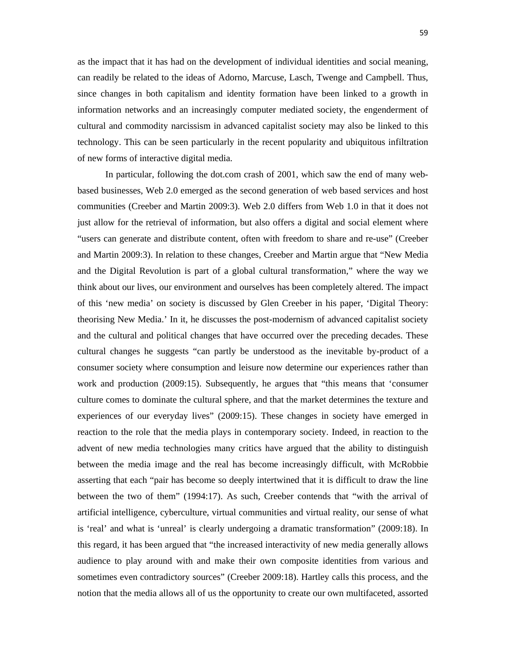as the impact that it has had on the development of individual identities and social meaning, can readily be related to the ideas of Adorno, Marcuse, Lasch, Twenge and Campbell. Thus, since changes in both capitalism and identity formation have been linked to a growth in information networks and an increasingly computer mediated society, the engenderment of cultural and commodity narcissism in advanced capitalist society may also be linked to this technology. This can be seen particularly in the recent popularity and ubiquitous infiltration of new forms of interactive digital media.

In particular, following the dot.com crash of 2001, which saw the end of many webbased businesses, Web 2.0 emerged as the second generation of web based services and host communities (Creeber and Martin 2009:3). Web 2.0 differs from Web 1.0 in that it does not just allow for the retrieval of information, but also offers a digital and social element where "users can generate and distribute content, often with freedom to share and re-use" (Creeber and Martin 2009:3). In relation to these changes, Creeber and Martin argue that "New Media and the Digital Revolution is part of a global cultural transformation," where the way we think about our lives, our environment and ourselves has been completely altered. The impact of this 'new media' on society is discussed by Glen Creeber in his paper, 'Digital Theory: theorising New Media.' In it, he discusses the post-modernism of advanced capitalist society and the cultural and political changes that have occurred over the preceding decades. These cultural changes he suggests "can partly be understood as the inevitable by-product of a consumer society where consumption and leisure now determine our experiences rather than work and production (2009:15). Subsequently, he argues that "this means that 'consumer culture comes to dominate the cultural sphere, and that the market determines the texture and experiences of our everyday lives" (2009:15). These changes in society have emerged in reaction to the role that the media plays in contemporary society. Indeed, in reaction to the advent of new media technologies many critics have argued that the ability to distinguish between the media image and the real has become increasingly difficult, with McRobbie asserting that each "pair has become so deeply intertwined that it is difficult to draw the line between the two of them" (1994:17). As such, Creeber contends that "with the arrival of artificial intelligence, cyberculture, virtual communities and virtual reality, our sense of what is 'real' and what is 'unreal' is clearly undergoing a dramatic transformation" (2009:18). In this regard, it has been argued that "the increased interactivity of new media generally allows audience to play around with and make their own composite identities from various and sometimes even contradictory sources" (Creeber 2009:18). Hartley calls this process, and the notion that the media allows all of us the opportunity to create our own multifaceted, assorted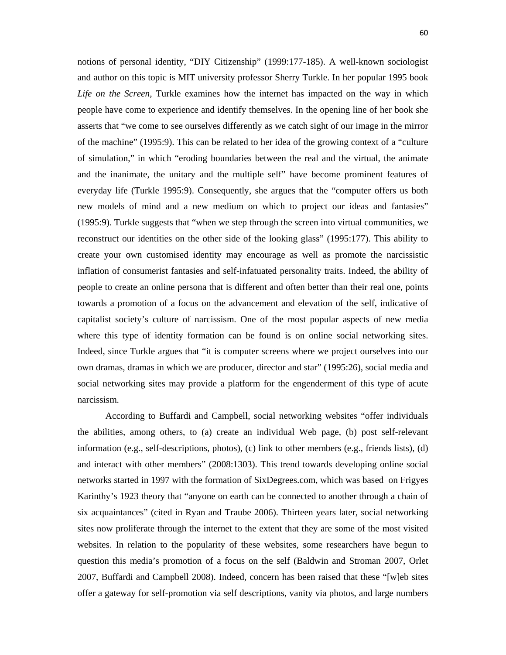notions of personal identity, "DIY Citizenship" (1999:177-185). A well-known sociologist and author on this topic is MIT university professor Sherry Turkle. In her popular 1995 book *Life on the Screen,* Turkle examines how the internet has impacted on the way in which people have come to experience and identify themselves. In the opening line of her book she asserts that "we come to see ourselves differently as we catch sight of our image in the mirror of the machine" (1995:9). This can be related to her idea of the growing context of a "culture of simulation," in which "eroding boundaries between the real and the virtual, the animate and the inanimate, the unitary and the multiple self" have become prominent features of everyday life (Turkle 1995:9). Consequently, she argues that the "computer offers us both new models of mind and a new medium on which to project our ideas and fantasies" (1995:9). Turkle suggests that "when we step through the screen into virtual communities, we reconstruct our identities on the other side of the looking glass" (1995:177). This ability to create your own customised identity may encourage as well as promote the narcissistic inflation of consumerist fantasies and self-infatuated personality traits. Indeed, the ability of people to create an online persona that is different and often better than their real one, points towards a promotion of a focus on the advancement and elevation of the self, indicative of capitalist society's culture of narcissism. One of the most popular aspects of new media where this type of identity formation can be found is on online social networking sites. Indeed, since Turkle argues that "it is computer screens where we project ourselves into our own dramas, dramas in which we are producer, director and star" (1995:26), social media and social networking sites may provide a platform for the engenderment of this type of acute narcissism.

According to Buffardi and Campbell, social networking websites "offer individuals the abilities, among others, to (a) create an individual Web page, (b) post self-relevant information (e.g., self-descriptions, photos), (c) link to other members (e.g., friends lists), (d) and interact with other members" (2008:1303). This trend towards developing online social networks started in 1997 with the formation of SixDegrees.com, which was based on Frigyes Karinthy's 1923 theory that "anyone on earth can be connected to another through a chain of six acquaintances" (cited in Ryan and Traube 2006). Thirteen years later, social networking sites now proliferate through the internet to the extent that they are some of the most visited websites. In relation to the popularity of these websites, some researchers have begun to question this media's promotion of a focus on the self (Baldwin and Stroman 2007, Orlet 2007, Buffardi and Campbell 2008). Indeed, concern has been raised that these "[w]eb sites offer a gateway for self-promotion via self descriptions, vanity via photos, and large numbers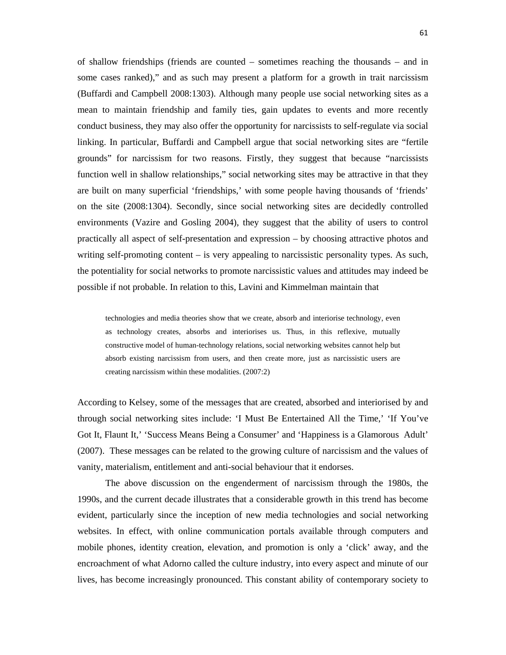of shallow friendships (friends are counted – sometimes reaching the thousands – and in some cases ranked)," and as such may present a platform for a growth in trait narcissism (Buffardi and Campbell 2008:1303). Although many people use social networking sites as a mean to maintain friendship and family ties, gain updates to events and more recently conduct business, they may also offer the opportunity for narcissists to self-regulate via social linking. In particular, Buffardi and Campbell argue that social networking sites are "fertile grounds" for narcissism for two reasons. Firstly, they suggest that because "narcissists function well in shallow relationships," social networking sites may be attractive in that they are built on many superficial 'friendships,' with some people having thousands of 'friends' on the site (2008:1304). Secondly, since social networking sites are decidedly controlled environments (Vazire and Gosling 2004), they suggest that the ability of users to control practically all aspect of self-presentation and expression – by choosing attractive photos and writing self-promoting content – is very appealing to narcissistic personality types. As such, the potentiality for social networks to promote narcissistic values and attitudes may indeed be possible if not probable. In relation to this, Lavini and Kimmelman maintain that

technologies and media theories show that we create, absorb and interiorise technology, even as technology creates, absorbs and interiorises us. Thus, in this reflexive, mutually constructive model of human-technology relations, social networking websites cannot help but absorb existing narcissism from users, and then create more, just as narcissistic users are creating narcissism within these modalities. (2007:2)

According to Kelsey, some of the messages that are created, absorbed and interiorised by and through social networking sites include: 'I Must Be Entertained All the Time,' 'If You've Got It, Flaunt It,' 'Success Means Being a Consumer' and 'Happiness is a Glamorous Adult' (2007). These messages can be related to the growing culture of narcissism and the values of vanity, materialism, entitlement and anti-social behaviour that it endorses.

The above discussion on the engenderment of narcissism through the 1980s, the 1990s, and the current decade illustrates that a considerable growth in this trend has become evident, particularly since the inception of new media technologies and social networking websites. In effect, with online communication portals available through computers and mobile phones, identity creation, elevation, and promotion is only a 'click' away, and the encroachment of what Adorno called the culture industry, into every aspect and minute of our lives, has become increasingly pronounced. This constant ability of contemporary society to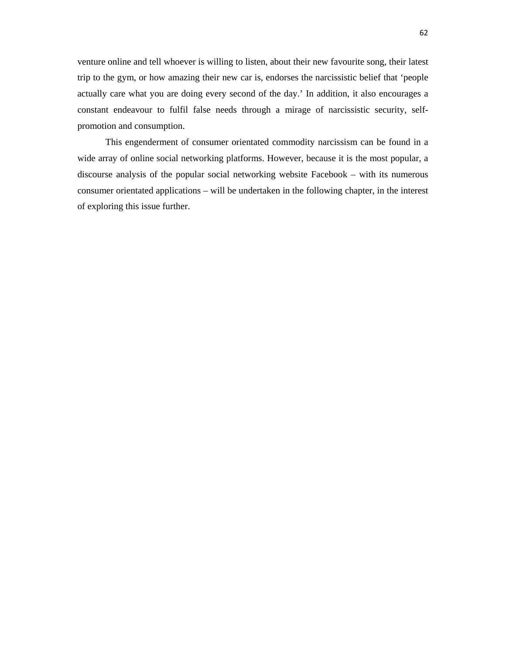venture online and tell whoever is willing to listen, about their new favourite song, their latest trip to the gym, or how amazing their new car is, endorses the narcissistic belief that 'people actually care what you are doing every second of the day.' In addition, it also encourages a constant endeavour to fulfil false needs through a mirage of narcissistic security, selfpromotion and consumption.

This engenderment of consumer orientated commodity narcissism can be found in a wide array of online social networking platforms. However, because it is the most popular, a discourse analysis of the popular social networking website Facebook – with its numerous consumer orientated applications – will be undertaken in the following chapter, in the interest of exploring this issue further.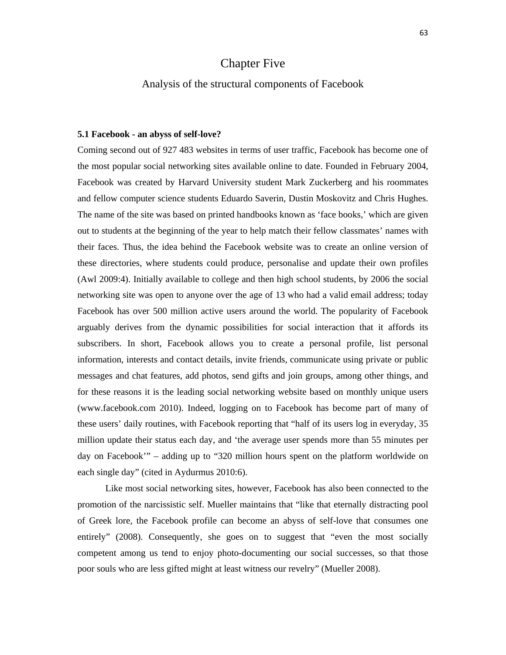# Chapter Five

## Analysis of the structural components of Facebook

#### **5.1 Facebook - an abyss of self-love?**

Coming second out of 927 483 websites in terms of user traffic, Facebook has become one of the most popular social networking sites available online to date. Founded in February 2004, Facebook was created by Harvard University student Mark Zuckerberg and his roommates and fellow computer science students Eduardo Saverin, Dustin Moskovitz and Chris Hughes. The name of the site was based on printed handbooks known as 'face books,' which are given out to students at the beginning of the year to help match their fellow classmates' names with their faces. Thus, the idea behind the Facebook website was to create an online version of these directories, where students could produce, personalise and update their own profiles (Awl 2009:4). Initially available to college and then high school students, by 2006 the social networking site was open to anyone over the age of 13 who had a valid email address; today Facebook has over 500 million active users around the world. The popularity of Facebook arguably derives from the dynamic possibilities for social interaction that it affords its subscribers. In short, Facebook allows you to create a personal profile, list personal information, interests and contact details, invite friends, communicate using private or public messages and chat features, add photos, send gifts and join groups, among other things, and for these reasons it is the leading social networking website based on monthly unique users (www.facebook.com 2010). Indeed, logging on to Facebook has become part of many of these users' daily routines, with Facebook reporting that "half of its users log in everyday, 35 million update their status each day, and 'the average user spends more than 55 minutes per day on Facebook'" – adding up to "320 million hours spent on the platform worldwide on each single day" (cited in Aydurmus 2010:6).

Like most social networking sites, however, Facebook has also been connected to the promotion of the narcissistic self. Mueller maintains that "like that eternally distracting pool of Greek lore, the Facebook profile can become an abyss of self-love that consumes one entirely" (2008). Consequently, she goes on to suggest that "even the most socially competent among us tend to enjoy photo-documenting our social successes, so that those poor souls who are less gifted might at least witness our revelry" (Mueller 2008).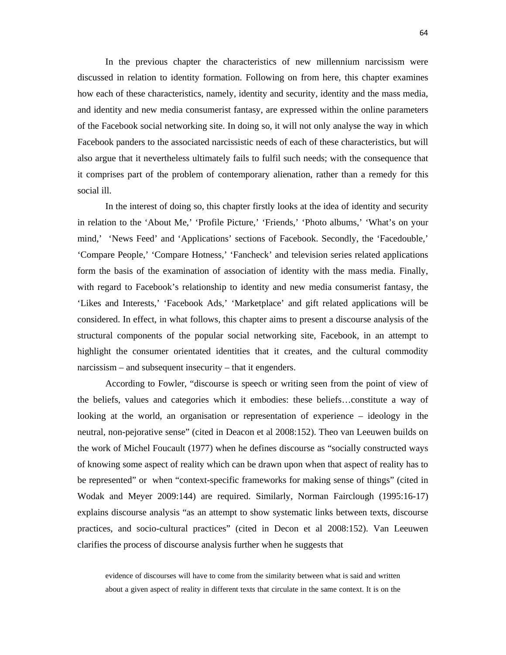In the previous chapter the characteristics of new millennium narcissism were discussed in relation to identity formation. Following on from here, this chapter examines how each of these characteristics, namely, identity and security, identity and the mass media, and identity and new media consumerist fantasy, are expressed within the online parameters of the Facebook social networking site. In doing so, it will not only analyse the way in which Facebook panders to the associated narcissistic needs of each of these characteristics, but will also argue that it nevertheless ultimately fails to fulfil such needs; with the consequence that it comprises part of the problem of contemporary alienation, rather than a remedy for this social ill.

In the interest of doing so, this chapter firstly looks at the idea of identity and security in relation to the 'About Me,' 'Profile Picture,' 'Friends,' 'Photo albums,' 'What's on your mind,' 'News Feed' and 'Applications' sections of Facebook. Secondly, the 'Facedouble,' 'Compare People,' 'Compare Hotness,' 'Fancheck' and television series related applications form the basis of the examination of association of identity with the mass media. Finally, with regard to Facebook's relationship to identity and new media consumerist fantasy, the 'Likes and Interests,' 'Facebook Ads,' 'Marketplace' and gift related applications will be considered. In effect, in what follows, this chapter aims to present a discourse analysis of the structural components of the popular social networking site, Facebook, in an attempt to highlight the consumer orientated identities that it creates, and the cultural commodity narcissism – and subsequent insecurity – that it engenders.

According to Fowler, "discourse is speech or writing seen from the point of view of the beliefs, values and categories which it embodies: these beliefs…constitute a way of looking at the world, an organisation or representation of experience – ideology in the neutral, non-pejorative sense" (cited in Deacon et al 2008:152). Theo van Leeuwen builds on the work of Michel Foucault (1977) when he defines discourse as "socially constructed ways of knowing some aspect of reality which can be drawn upon when that aspect of reality has to be represented" or when "context-specific frameworks for making sense of things" (cited in Wodak and Meyer 2009:144) are required. Similarly, Norman Fairclough (1995:16-17) explains discourse analysis "as an attempt to show systematic links between texts, discourse practices, and socio-cultural practices" (cited in Decon et al 2008:152). Van Leeuwen clarifies the process of discourse analysis further when he suggests that

evidence of discourses will have to come from the similarity between what is said and written about a given aspect of reality in different texts that circulate in the same context. It is on the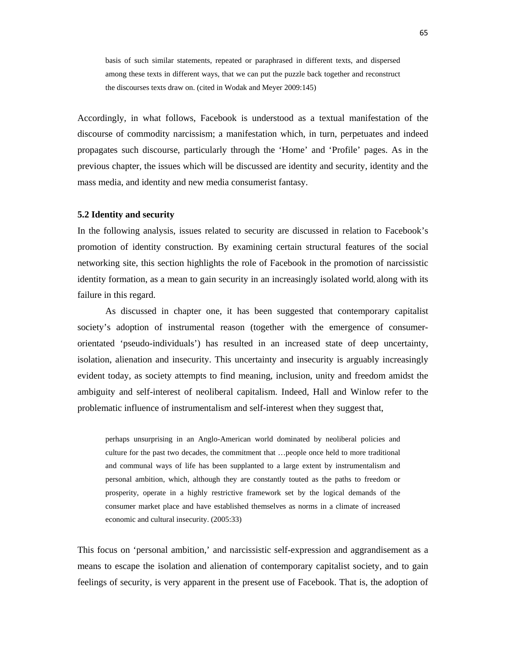basis of such similar statements, repeated or paraphrased in different texts, and dispersed among these texts in different ways, that we can put the puzzle back together and reconstruct the discourses texts draw on. (cited in Wodak and Meyer 2009:145)

Accordingly, in what follows, Facebook is understood as a textual manifestation of the discourse of commodity narcissism; a manifestation which, in turn, perpetuates and indeed propagates such discourse, particularly through the 'Home' and 'Profile' pages. As in the previous chapter, the issues which will be discussed are identity and security, identity and the mass media, and identity and new media consumerist fantasy.

#### **5.2 Identity and security**

In the following analysis, issues related to security are discussed in relation to Facebook's promotion of identity construction. By examining certain structural features of the social networking site, this section highlights the role of Facebook in the promotion of narcissistic identity formation, as a mean to gain security in an increasingly isolated world, along with its failure in this regard.

As discussed in chapter one, it has been suggested that contemporary capitalist society's adoption of instrumental reason (together with the emergence of consumerorientated 'pseudo-individuals') has resulted in an increased state of deep uncertainty, isolation, alienation and insecurity. This uncertainty and insecurity is arguably increasingly evident today, as society attempts to find meaning, inclusion, unity and freedom amidst the ambiguity and self-interest of neoliberal capitalism. Indeed, Hall and Winlow refer to the problematic influence of instrumentalism and self-interest when they suggest that,

perhaps unsurprising in an Anglo-American world dominated by neoliberal policies and culture for the past two decades, the commitment that …people once held to more traditional and communal ways of life has been supplanted to a large extent by instrumentalism and personal ambition, which, although they are constantly touted as the paths to freedom or prosperity, operate in a highly restrictive framework set by the logical demands of the consumer market place and have established themselves as norms in a climate of increased economic and cultural insecurity. (2005:33)

This focus on 'personal ambition,' and narcissistic self-expression and aggrandisement as a means to escape the isolation and alienation of contemporary capitalist society, and to gain feelings of security, is very apparent in the present use of Facebook. That is, the adoption of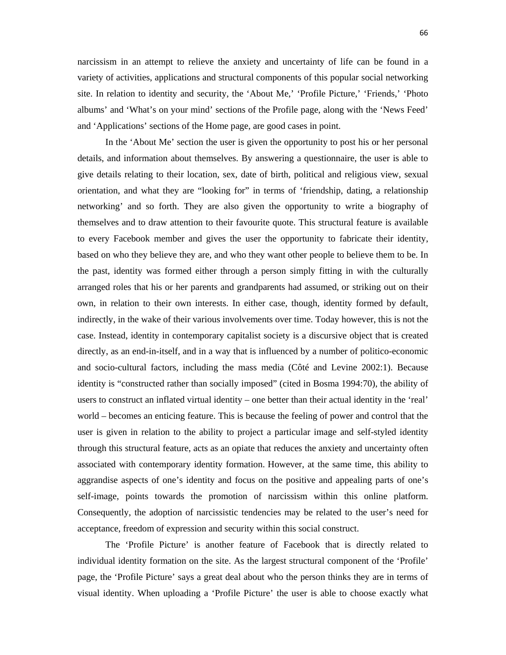narcissism in an attempt to relieve the anxiety and uncertainty of life can be found in a variety of activities, applications and structural components of this popular social networking site. In relation to identity and security, the 'About Me,' 'Profile Picture,' 'Friends,' 'Photo albums' and 'What's on your mind' sections of the Profile page, along with the 'News Feed' and 'Applications' sections of the Home page, are good cases in point.

 In the 'About Me' section the user is given the opportunity to post his or her personal details, and information about themselves. By answering a questionnaire, the user is able to give details relating to their location, sex, date of birth, political and religious view, sexual orientation, and what they are "looking for" in terms of 'friendship, dating, a relationship networking' and so forth. They are also given the opportunity to write a biography of themselves and to draw attention to their favourite quote. This structural feature is available to every Facebook member and gives the user the opportunity to fabricate their identity, based on who they believe they are, and who they want other people to believe them to be. In the past, identity was formed either through a person simply fitting in with the culturally arranged roles that his or her parents and grandparents had assumed, or striking out on their own, in relation to their own interests. In either case, though, identity formed by default, indirectly, in the wake of their various involvements over time. Today however, this is not the case. Instead, identity in contemporary capitalist society is a discursive object that is created directly, as an end-in-itself, and in a way that is influenced by a number of politico-economic and socio-cultural factors, including the mass media (Côté and Levine 2002:1). Because identity is "constructed rather than socially imposed" (cited in Bosma 1994:70), the ability of users to construct an inflated virtual identity – one better than their actual identity in the 'real' world – becomes an enticing feature. This is because the feeling of power and control that the user is given in relation to the ability to project a particular image and self-styled identity through this structural feature, acts as an opiate that reduces the anxiety and uncertainty often associated with contemporary identity formation. However, at the same time, this ability to aggrandise aspects of one's identity and focus on the positive and appealing parts of one's self-image, points towards the promotion of narcissism within this online platform. Consequently, the adoption of narcissistic tendencies may be related to the user's need for acceptance, freedom of expression and security within this social construct.

 The 'Profile Picture' is another feature of Facebook that is directly related to individual identity formation on the site. As the largest structural component of the 'Profile' page, the 'Profile Picture' says a great deal about who the person thinks they are in terms of visual identity. When uploading a 'Profile Picture' the user is able to choose exactly what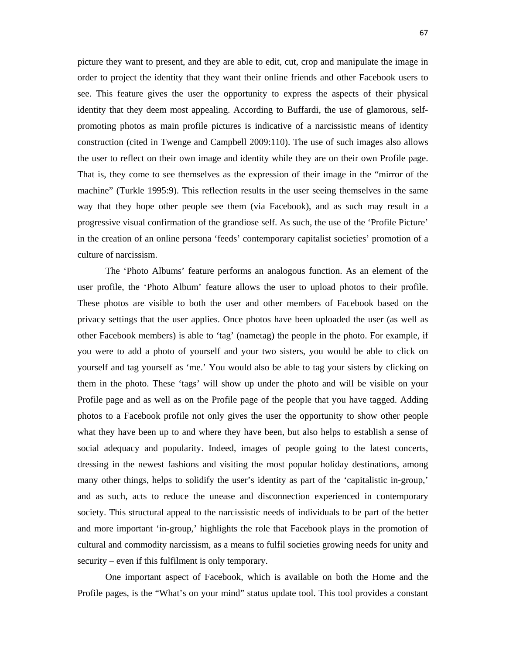picture they want to present, and they are able to edit, cut, crop and manipulate the image in order to project the identity that they want their online friends and other Facebook users to see. This feature gives the user the opportunity to express the aspects of their physical identity that they deem most appealing. According to Buffardi, the use of glamorous, selfpromoting photos as main profile pictures is indicative of a narcissistic means of identity construction (cited in Twenge and Campbell 2009:110). The use of such images also allows the user to reflect on their own image and identity while they are on their own Profile page. That is, they come to see themselves as the expression of their image in the "mirror of the machine" (Turkle 1995:9). This reflection results in the user seeing themselves in the same way that they hope other people see them (via Facebook), and as such may result in a progressive visual confirmation of the grandiose self. As such, the use of the 'Profile Picture' in the creation of an online persona 'feeds' contemporary capitalist societies' promotion of a culture of narcissism.

 The 'Photo Albums' feature performs an analogous function. As an element of the user profile, the 'Photo Album' feature allows the user to upload photos to their profile. These photos are visible to both the user and other members of Facebook based on the privacy settings that the user applies. Once photos have been uploaded the user (as well as other Facebook members) is able to 'tag' (nametag) the people in the photo. For example, if you were to add a photo of yourself and your two sisters, you would be able to click on yourself and tag yourself as 'me.' You would also be able to tag your sisters by clicking on them in the photo. These 'tags' will show up under the photo and will be visible on your Profile page and as well as on the Profile page of the people that you have tagged. Adding photos to a Facebook profile not only gives the user the opportunity to show other people what they have been up to and where they have been, but also helps to establish a sense of social adequacy and popularity. Indeed, images of people going to the latest concerts, dressing in the newest fashions and visiting the most popular holiday destinations, among many other things, helps to solidify the user's identity as part of the 'capitalistic in-group,' and as such, acts to reduce the unease and disconnection experienced in contemporary society. This structural appeal to the narcissistic needs of individuals to be part of the better and more important 'in-group,' highlights the role that Facebook plays in the promotion of cultural and commodity narcissism, as a means to fulfil societies growing needs for unity and security – even if this fulfilment is only temporary.

One important aspect of Facebook, which is available on both the Home and the Profile pages, is the "What's on your mind" status update tool. This tool provides a constant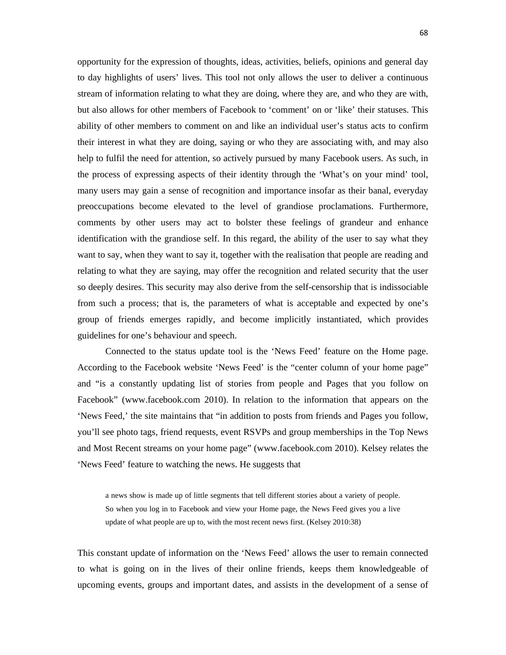opportunity for the expression of thoughts, ideas, activities, beliefs, opinions and general day to day highlights of users' lives. This tool not only allows the user to deliver a continuous stream of information relating to what they are doing, where they are, and who they are with, but also allows for other members of Facebook to 'comment' on or 'like' their statuses. This ability of other members to comment on and like an individual user's status acts to confirm their interest in what they are doing, saying or who they are associating with, and may also help to fulfil the need for attention, so actively pursued by many Facebook users. As such, in the process of expressing aspects of their identity through the 'What's on your mind' tool, many users may gain a sense of recognition and importance insofar as their banal, everyday preoccupations become elevated to the level of grandiose proclamations. Furthermore, comments by other users may act to bolster these feelings of grandeur and enhance identification with the grandiose self. In this regard, the ability of the user to say what they want to say, when they want to say it, together with the realisation that people are reading and relating to what they are saying, may offer the recognition and related security that the user so deeply desires. This security may also derive from the self-censorship that is indissociable from such a process; that is, the parameters of what is acceptable and expected by one's group of friends emerges rapidly, and become implicitly instantiated, which provides guidelines for one's behaviour and speech.

 Connected to the status update tool is the 'News Feed' feature on the Home page. According to the Facebook website 'News Feed' is the "center column of your home page" and "is a constantly updating list of stories from people and Pages that you follow on Facebook" (www.facebook.com 2010). In relation to the information that appears on the 'News Feed,' the site maintains that "in addition to posts from friends and Pages you follow, you'll see photo tags, friend requests, event RSVPs and group memberships in the Top News and Most Recent streams on your home page" (www.facebook.com 2010). Kelsey relates the 'News Feed' feature to watching the news. He suggests that

a news show is made up of little segments that tell different stories about a variety of people. So when you log in to Facebook and view your Home page, the News Feed gives you a live update of what people are up to, with the most recent news first. (Kelsey 2010:38)

This constant update of information on the 'News Feed' allows the user to remain connected to what is going on in the lives of their online friends, keeps them knowledgeable of upcoming events, groups and important dates, and assists in the development of a sense of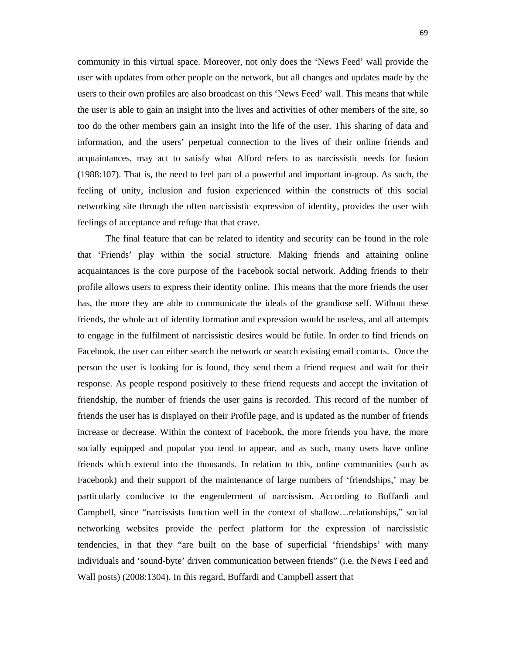community in this virtual space. Moreover, not only does the 'News Feed' wall provide the user with updates from other people on the network, but all changes and updates made by the users to their own profiles are also broadcast on this 'News Feed' wall. This means that while the user is able to gain an insight into the lives and activities of other members of the site, so too do the other members gain an insight into the life of the user. This sharing of data and information, and the users' perpetual connection to the lives of their online friends and acquaintances, may act to satisfy what Alford refers to as narcissistic needs for fusion (1988:107). That is, the need to feel part of a powerful and important in-group. As such, the feeling of unity, inclusion and fusion experienced within the constructs of this social networking site through the often narcissistic expression of identity, provides the user with feelings of acceptance and refuge that that crave.

 The final feature that can be related to identity and security can be found in the role that 'Friends' play within the social structure. Making friends and attaining online acquaintances is the core purpose of the Facebook social network. Adding friends to their profile allows users to express their identity online. This means that the more friends the user has, the more they are able to communicate the ideals of the grandiose self. Without these friends, the whole act of identity formation and expression would be useless, and all attempts to engage in the fulfilment of narcissistic desires would be futile. In order to find friends on Facebook, the user can either search the network or search existing email contacts. Once the person the user is looking for is found, they send them a friend request and wait for their response. As people respond positively to these friend requests and accept the invitation of friendship, the number of friends the user gains is recorded. This record of the number of friends the user has is displayed on their Profile page, and is updated as the number of friends increase or decrease. Within the context of Facebook, the more friends you have, the more socially equipped and popular you tend to appear, and as such, many users have online friends which extend into the thousands. In relation to this, online communities (such as Facebook) and their support of the maintenance of large numbers of 'friendships,' may be particularly conducive to the engenderment of narcissism. According to Buffardi and Campbell, since "narcissists function well in the context of shallow…relationships," social networking websites provide the perfect platform for the expression of narcissistic tendencies, in that they "are built on the base of superficial 'friendships' with many individuals and 'sound-byte' driven communication between friends" (i.e. the News Feed and Wall posts) (2008:1304). In this regard, Buffardi and Campbell assert that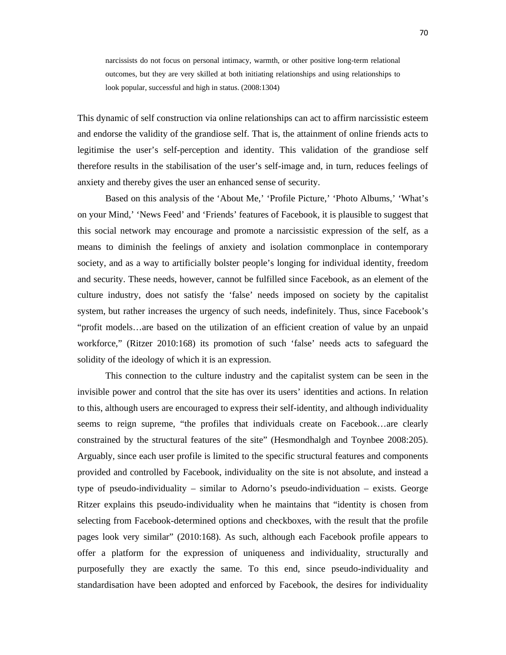narcissists do not focus on personal intimacy, warmth, or other positive long-term relational outcomes, but they are very skilled at both initiating relationships and using relationships to look popular, successful and high in status. (2008:1304)

This dynamic of self construction via online relationships can act to affirm narcissistic esteem and endorse the validity of the grandiose self. That is, the attainment of online friends acts to legitimise the user's self-perception and identity. This validation of the grandiose self therefore results in the stabilisation of the user's self-image and, in turn, reduces feelings of anxiety and thereby gives the user an enhanced sense of security.

 Based on this analysis of the 'About Me,' 'Profile Picture,' 'Photo Albums,' 'What's on your Mind,' 'News Feed' and 'Friends' features of Facebook, it is plausible to suggest that this social network may encourage and promote a narcissistic expression of the self, as a means to diminish the feelings of anxiety and isolation commonplace in contemporary society, and as a way to artificially bolster people's longing for individual identity, freedom and security. These needs, however, cannot be fulfilled since Facebook, as an element of the culture industry, does not satisfy the 'false' needs imposed on society by the capitalist system, but rather increases the urgency of such needs, indefinitely. Thus, since Facebook's "profit models…are based on the utilization of an efficient creation of value by an unpaid workforce," (Ritzer 2010:168) its promotion of such 'false' needs acts to safeguard the solidity of the ideology of which it is an expression.

This connection to the culture industry and the capitalist system can be seen in the invisible power and control that the site has over its users' identities and actions. In relation to this, although users are encouraged to express their self-identity, and although individuality seems to reign supreme, "the profiles that individuals create on Facebook…are clearly constrained by the structural features of the site" (Hesmondhalgh and Toynbee 2008:205). Arguably, since each user profile is limited to the specific structural features and components provided and controlled by Facebook, individuality on the site is not absolute, and instead a type of pseudo-individuality – similar to Adorno's pseudo-individuation – exists. George Ritzer explains this pseudo-individuality when he maintains that "identity is chosen from selecting from Facebook-determined options and checkboxes, with the result that the profile pages look very similar" (2010:168). As such, although each Facebook profile appears to offer a platform for the expression of uniqueness and individuality, structurally and purposefully they are exactly the same. To this end, since pseudo-individuality and standardisation have been adopted and enforced by Facebook, the desires for individuality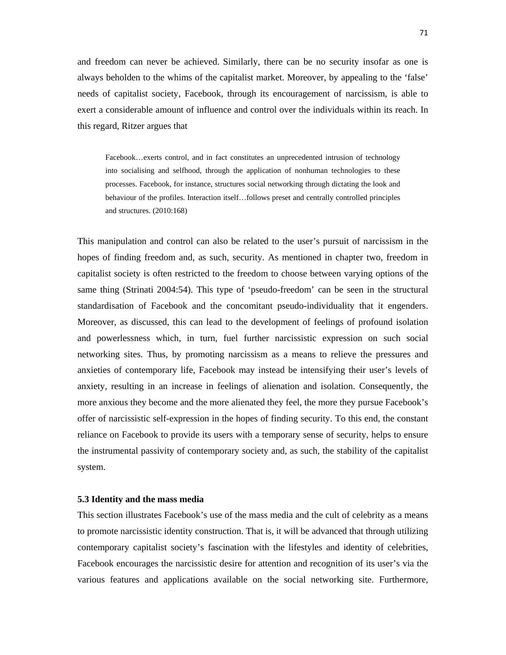and freedom can never be achieved. Similarly, there can be no security insofar as one is always beholden to the whims of the capitalist market. Moreover, by appealing to the 'false' needs of capitalist society, Facebook, through its encouragement of narcissism, is able to exert a considerable amount of influence and control over the individuals within its reach. In this regard, Ritzer argues that

Facebook…exerts control, and in fact constitutes an unprecedented intrusion of technology into socialising and selfhood, through the application of nonhuman technologies to these processes. Facebook, for instance, structures social networking through dictating the look and behaviour of the profiles. Interaction itself…follows preset and centrally controlled principles and structures. (2010:168)

This manipulation and control can also be related to the user's pursuit of narcissism in the hopes of finding freedom and, as such, security. As mentioned in chapter two, freedom in capitalist society is often restricted to the freedom to choose between varying options of the same thing (Strinati 2004:54). This type of 'pseudo-freedom' can be seen in the structural standardisation of Facebook and the concomitant pseudo-individuality that it engenders. Moreover, as discussed, this can lead to the development of feelings of profound isolation and powerlessness which, in turn, fuel further narcissistic expression on such social networking sites. Thus, by promoting narcissism as a means to relieve the pressures and anxieties of contemporary life, Facebook may instead be intensifying their user's levels of anxiety, resulting in an increase in feelings of alienation and isolation. Consequently, the more anxious they become and the more alienated they feel, the more they pursue Facebook's offer of narcissistic self-expression in the hopes of finding security. To this end, the constant reliance on Facebook to provide its users with a temporary sense of security, helps to ensure the instrumental passivity of contemporary society and, as such, the stability of the capitalist system.

### **5.3 Identity and the mass media**

This section illustrates Facebook's use of the mass media and the cult of celebrity as a means to promote narcissistic identity construction. That is, it will be advanced that through utilizing contemporary capitalist society's fascination with the lifestyles and identity of celebrities, Facebook encourages the narcissistic desire for attention and recognition of its user's via the various features and applications available on the social networking site. Furthermore,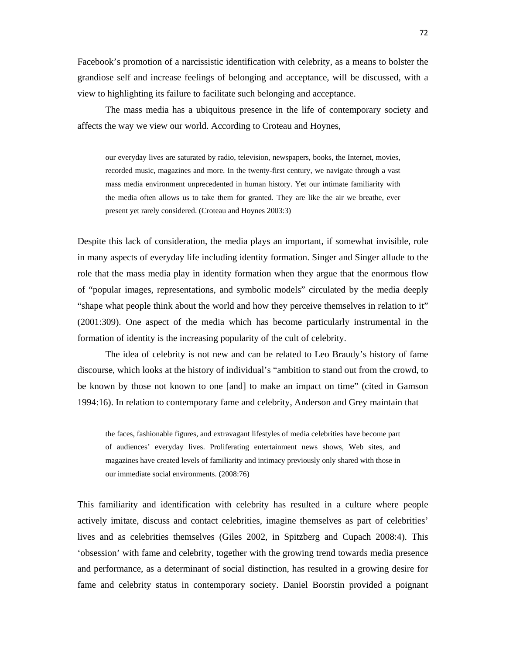Facebook's promotion of a narcissistic identification with celebrity, as a means to bolster the grandiose self and increase feelings of belonging and acceptance, will be discussed, with a view to highlighting its failure to facilitate such belonging and acceptance.

 The mass media has a ubiquitous presence in the life of contemporary society and affects the way we view our world. According to Croteau and Hoynes,

our everyday lives are saturated by radio, television, newspapers, books, the Internet, movies, recorded music, magazines and more. In the twenty-first century, we navigate through a vast mass media environment unprecedented in human history. Yet our intimate familiarity with the media often allows us to take them for granted. They are like the air we breathe, ever present yet rarely considered. (Croteau and Hoynes 2003:3)

Despite this lack of consideration, the media plays an important, if somewhat invisible, role in many aspects of everyday life including identity formation. Singer and Singer allude to the role that the mass media play in identity formation when they argue that the enormous flow of "popular images, representations, and symbolic models" circulated by the media deeply "shape what people think about the world and how they perceive themselves in relation to it" (2001:309). One aspect of the media which has become particularly instrumental in the formation of identity is the increasing popularity of the cult of celebrity.

The idea of celebrity is not new and can be related to Leo Braudy's history of fame discourse, which looks at the history of individual's "ambition to stand out from the crowd, to be known by those not known to one [and] to make an impact on time" (cited in Gamson 1994:16). In relation to contemporary fame and celebrity, Anderson and Grey maintain that

the faces, fashionable figures, and extravagant lifestyles of media celebrities have become part of audiences' everyday lives. Proliferating entertainment news shows, Web sites, and magazines have created levels of familiarity and intimacy previously only shared with those in our immediate social environments. (2008:76)

This familiarity and identification with celebrity has resulted in a culture where people actively imitate, discuss and contact celebrities, imagine themselves as part of celebrities' lives and as celebrities themselves (Giles 2002, in Spitzberg and Cupach 2008:4). This 'obsession' with fame and celebrity, together with the growing trend towards media presence and performance, as a determinant of social distinction, has resulted in a growing desire for fame and celebrity status in contemporary society. Daniel Boorstin provided a poignant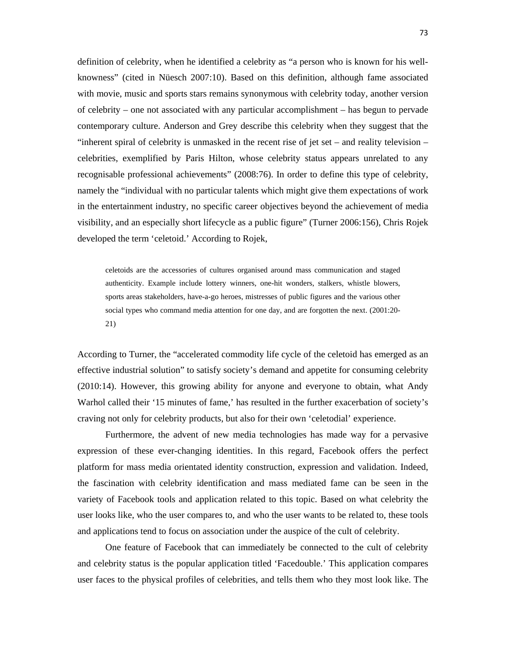definition of celebrity, when he identified a celebrity as "a person who is known for his wellknowness" (cited in Nüesch 2007:10). Based on this definition, although fame associated with movie, music and sports stars remains synonymous with celebrity today, another version of celebrity – one not associated with any particular accomplishment – has begun to pervade contemporary culture. Anderson and Grey describe this celebrity when they suggest that the "inherent spiral of celebrity is unmasked in the recent rise of jet set – and reality television – celebrities, exemplified by Paris Hilton, whose celebrity status appears unrelated to any recognisable professional achievements" (2008:76). In order to define this type of celebrity, namely the "individual with no particular talents which might give them expectations of work in the entertainment industry, no specific career objectives beyond the achievement of media visibility, and an especially short lifecycle as a public figure" (Turner 2006:156), Chris Rojek developed the term 'celetoid.' According to Rojek,

celetoids are the accessories of cultures organised around mass communication and staged authenticity. Example include lottery winners, one-hit wonders, stalkers, whistle blowers, sports areas stakeholders, have-a-go heroes, mistresses of public figures and the various other social types who command media attention for one day, and are forgotten the next. (2001:20- 21)

According to Turner, the "accelerated commodity life cycle of the celetoid has emerged as an effective industrial solution" to satisfy society's demand and appetite for consuming celebrity (2010:14). However, this growing ability for anyone and everyone to obtain, what Andy Warhol called their '15 minutes of fame,' has resulted in the further exacerbation of society's craving not only for celebrity products, but also for their own 'celetodial' experience.

Furthermore, the advent of new media technologies has made way for a pervasive expression of these ever-changing identities. In this regard, Facebook offers the perfect platform for mass media orientated identity construction, expression and validation. Indeed, the fascination with celebrity identification and mass mediated fame can be seen in the variety of Facebook tools and application related to this topic. Based on what celebrity the user looks like, who the user compares to, and who the user wants to be related to, these tools and applications tend to focus on association under the auspice of the cult of celebrity.

One feature of Facebook that can immediately be connected to the cult of celebrity and celebrity status is the popular application titled 'Facedouble.' This application compares user faces to the physical profiles of celebrities, and tells them who they most look like. The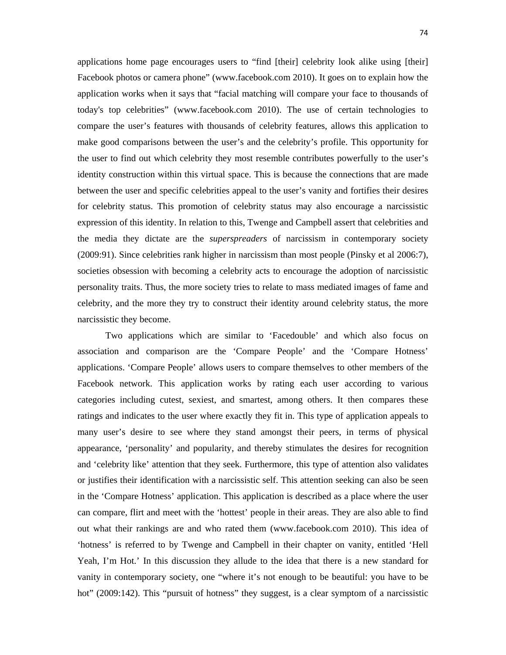applications home page encourages users to "find [their] celebrity look alike using [their] Facebook photos or camera phone" (www.facebook.com 2010). It goes on to explain how the application works when it says that "facial matching will compare your face to thousands of today's top celebrities" (www.facebook.com 2010). The use of certain technologies to compare the user's features with thousands of celebrity features, allows this application to make good comparisons between the user's and the celebrity's profile. This opportunity for the user to find out which celebrity they most resemble contributes powerfully to the user's identity construction within this virtual space. This is because the connections that are made between the user and specific celebrities appeal to the user's vanity and fortifies their desires for celebrity status. This promotion of celebrity status may also encourage a narcissistic expression of this identity. In relation to this, Twenge and Campbell assert that celebrities and the media they dictate are the *superspreaders* of narcissism in contemporary society (2009:91). Since celebrities rank higher in narcissism than most people (Pinsky et al 2006:7), societies obsession with becoming a celebrity acts to encourage the adoption of narcissistic personality traits. Thus, the more society tries to relate to mass mediated images of fame and celebrity, and the more they try to construct their identity around celebrity status, the more narcissistic they become.

Two applications which are similar to 'Facedouble' and which also focus on association and comparison are the 'Compare People' and the 'Compare Hotness' applications. 'Compare People' allows users to compare themselves to other members of the Facebook network. This application works by rating each user according to various categories including cutest, sexiest, and smartest, among others. It then compares these ratings and indicates to the user where exactly they fit in. This type of application appeals to many user's desire to see where they stand amongst their peers, in terms of physical appearance, 'personality' and popularity, and thereby stimulates the desires for recognition and 'celebrity like' attention that they seek. Furthermore, this type of attention also validates or justifies their identification with a narcissistic self. This attention seeking can also be seen in the 'Compare Hotness' application. This application is described as a place where the user can compare, flirt and meet with the 'hottest' people in their areas. They are also able to find out what their rankings are and who rated them (www.facebook.com 2010). This idea of 'hotness' is referred to by Twenge and Campbell in their chapter on vanity, entitled 'Hell Yeah, I'm Hot.' In this discussion they allude to the idea that there is a new standard for vanity in contemporary society, one "where it's not enough to be beautiful: you have to be hot" (2009:142). This "pursuit of hotness" they suggest, is a clear symptom of a narcissistic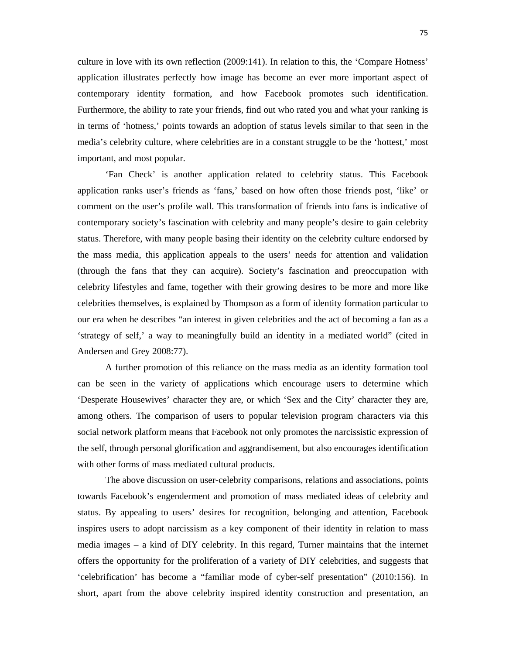culture in love with its own reflection (2009:141). In relation to this, the 'Compare Hotness' application illustrates perfectly how image has become an ever more important aspect of contemporary identity formation, and how Facebook promotes such identification. Furthermore, the ability to rate your friends, find out who rated you and what your ranking is in terms of 'hotness,' points towards an adoption of status levels similar to that seen in the media's celebrity culture, where celebrities are in a constant struggle to be the 'hottest,' most important, and most popular.

'Fan Check' is another application related to celebrity status. This Facebook application ranks user's friends as 'fans,' based on how often those friends post, 'like' or comment on the user's profile wall. This transformation of friends into fans is indicative of contemporary society's fascination with celebrity and many people's desire to gain celebrity status. Therefore, with many people basing their identity on the celebrity culture endorsed by the mass media, this application appeals to the users' needs for attention and validation (through the fans that they can acquire). Society's fascination and preoccupation with celebrity lifestyles and fame, together with their growing desires to be more and more like celebrities themselves, is explained by Thompson as a form of identity formation particular to our era when he describes "an interest in given celebrities and the act of becoming a fan as a 'strategy of self,' a way to meaningfully build an identity in a mediated world" (cited in Andersen and Grey 2008:77).

A further promotion of this reliance on the mass media as an identity formation tool can be seen in the variety of applications which encourage users to determine which 'Desperate Housewives' character they are, or which 'Sex and the City' character they are, among others. The comparison of users to popular television program characters via this social network platform means that Facebook not only promotes the narcissistic expression of the self, through personal glorification and aggrandisement, but also encourages identification with other forms of mass mediated cultural products.

The above discussion on user-celebrity comparisons, relations and associations, points towards Facebook's engenderment and promotion of mass mediated ideas of celebrity and status. By appealing to users' desires for recognition, belonging and attention, Facebook inspires users to adopt narcissism as a key component of their identity in relation to mass media images – a kind of DIY celebrity. In this regard, Turner maintains that the internet offers the opportunity for the proliferation of a variety of DIY celebrities, and suggests that 'celebrification' has become a "familiar mode of cyber-self presentation" (2010:156). In short, apart from the above celebrity inspired identity construction and presentation, an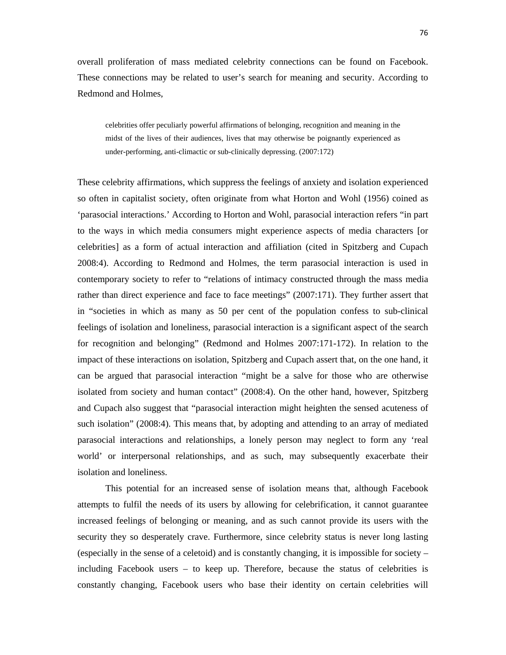overall proliferation of mass mediated celebrity connections can be found on Facebook. These connections may be related to user's search for meaning and security. According to Redmond and Holmes,

celebrities offer peculiarly powerful affirmations of belonging, recognition and meaning in the midst of the lives of their audiences, lives that may otherwise be poignantly experienced as under-performing, anti-climactic or sub-clinically depressing. (2007:172)

These celebrity affirmations, which suppress the feelings of anxiety and isolation experienced so often in capitalist society, often originate from what Horton and Wohl (1956) coined as 'parasocial interactions.' According to Horton and Wohl, parasocial interaction refers "in part to the ways in which media consumers might experience aspects of media characters [or celebrities] as a form of actual interaction and affiliation (cited in Spitzberg and Cupach 2008:4). According to Redmond and Holmes, the term parasocial interaction is used in contemporary society to refer to "relations of intimacy constructed through the mass media rather than direct experience and face to face meetings" (2007:171). They further assert that in "societies in which as many as 50 per cent of the population confess to sub-clinical feelings of isolation and loneliness, parasocial interaction is a significant aspect of the search for recognition and belonging" (Redmond and Holmes 2007:171-172). In relation to the impact of these interactions on isolation, Spitzberg and Cupach assert that, on the one hand, it can be argued that parasocial interaction "might be a salve for those who are otherwise isolated from society and human contact" (2008:4). On the other hand, however, Spitzberg and Cupach also suggest that "parasocial interaction might heighten the sensed acuteness of such isolation" (2008:4). This means that, by adopting and attending to an array of mediated parasocial interactions and relationships, a lonely person may neglect to form any 'real world' or interpersonal relationships, and as such, may subsequently exacerbate their isolation and loneliness.

 This potential for an increased sense of isolation means that, although Facebook attempts to fulfil the needs of its users by allowing for celebrification, it cannot guarantee increased feelings of belonging or meaning, and as such cannot provide its users with the security they so desperately crave. Furthermore, since celebrity status is never long lasting (especially in the sense of a celetoid) and is constantly changing, it is impossible for society – including Facebook users – to keep up. Therefore, because the status of celebrities is constantly changing, Facebook users who base their identity on certain celebrities will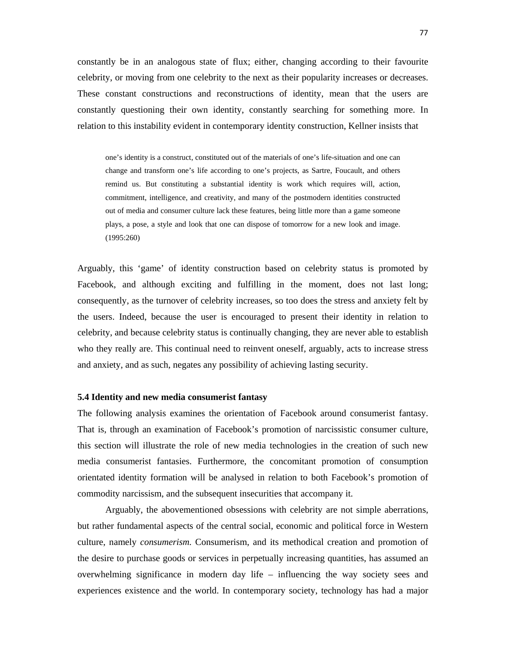constantly be in an analogous state of flux; either, changing according to their favourite celebrity, or moving from one celebrity to the next as their popularity increases or decreases. These constant constructions and reconstructions of identity, mean that the users are constantly questioning their own identity, constantly searching for something more. In relation to this instability evident in contemporary identity construction, Kellner insists that

one's identity is a construct, constituted out of the materials of one's life-situation and one can change and transform one's life according to one's projects, as Sartre, Foucault, and others remind us. But constituting a substantial identity is work which requires will, action, commitment, intelligence, and creativity, and many of the postmodern identities constructed out of media and consumer culture lack these features, being little more than a game someone plays, a pose, a style and look that one can dispose of tomorrow for a new look and image. (1995:260)

Arguably, this 'game' of identity construction based on celebrity status is promoted by Facebook, and although exciting and fulfilling in the moment, does not last long; consequently, as the turnover of celebrity increases, so too does the stress and anxiety felt by the users. Indeed, because the user is encouraged to present their identity in relation to celebrity, and because celebrity status is continually changing, they are never able to establish who they really are. This continual need to reinvent oneself, arguably, acts to increase stress and anxiety, and as such, negates any possibility of achieving lasting security.

#### **5.4 Identity and new media consumerist fantasy**

The following analysis examines the orientation of Facebook around consumerist fantasy. That is, through an examination of Facebook's promotion of narcissistic consumer culture, this section will illustrate the role of new media technologies in the creation of such new media consumerist fantasies. Furthermore, the concomitant promotion of consumption orientated identity formation will be analysed in relation to both Facebook's promotion of commodity narcissism, and the subsequent insecurities that accompany it.

Arguably, the abovementioned obsessions with celebrity are not simple aberrations, but rather fundamental aspects of the central social, economic and political force in Western culture, namely *consumerism.* Consumerism, and its methodical creation and promotion of the desire to purchase goods or services in perpetually increasing quantities, has assumed an overwhelming significance in modern day life – influencing the way society sees and experiences existence and the world. In contemporary society, technology has had a major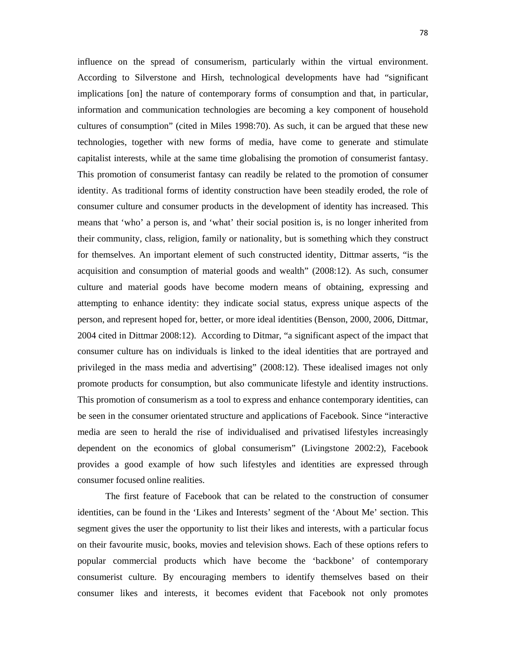influence on the spread of consumerism, particularly within the virtual environment. According to Silverstone and Hirsh, technological developments have had "significant implications [on] the nature of contemporary forms of consumption and that, in particular, information and communication technologies are becoming a key component of household cultures of consumption" (cited in Miles 1998:70). As such, it can be argued that these new technologies, together with new forms of media, have come to generate and stimulate capitalist interests, while at the same time globalising the promotion of consumerist fantasy. This promotion of consumerist fantasy can readily be related to the promotion of consumer identity. As traditional forms of identity construction have been steadily eroded, the role of consumer culture and consumer products in the development of identity has increased. This means that 'who' a person is, and 'what' their social position is, is no longer inherited from their community, class, religion, family or nationality, but is something which they construct for themselves. An important element of such constructed identity, Dittmar asserts, "is the acquisition and consumption of material goods and wealth" (2008:12). As such, consumer culture and material goods have become modern means of obtaining, expressing and attempting to enhance identity: they indicate social status, express unique aspects of the person, and represent hoped for, better, or more ideal identities (Benson, 2000, 2006, Dittmar, 2004 cited in Dittmar 2008:12). According to Ditmar, "a significant aspect of the impact that consumer culture has on individuals is linked to the ideal identities that are portrayed and privileged in the mass media and advertising" (2008:12). These idealised images not only promote products for consumption, but also communicate lifestyle and identity instructions. This promotion of consumerism as a tool to express and enhance contemporary identities, can be seen in the consumer orientated structure and applications of Facebook. Since "interactive media are seen to herald the rise of individualised and privatised lifestyles increasingly dependent on the economics of global consumerism" (Livingstone 2002:2), Facebook provides a good example of how such lifestyles and identities are expressed through consumer focused online realities.

The first feature of Facebook that can be related to the construction of consumer identities, can be found in the 'Likes and Interests' segment of the 'About Me' section. This segment gives the user the opportunity to list their likes and interests, with a particular focus on their favourite music, books, movies and television shows. Each of these options refers to popular commercial products which have become the 'backbone' of contemporary consumerist culture. By encouraging members to identify themselves based on their consumer likes and interests, it becomes evident that Facebook not only promotes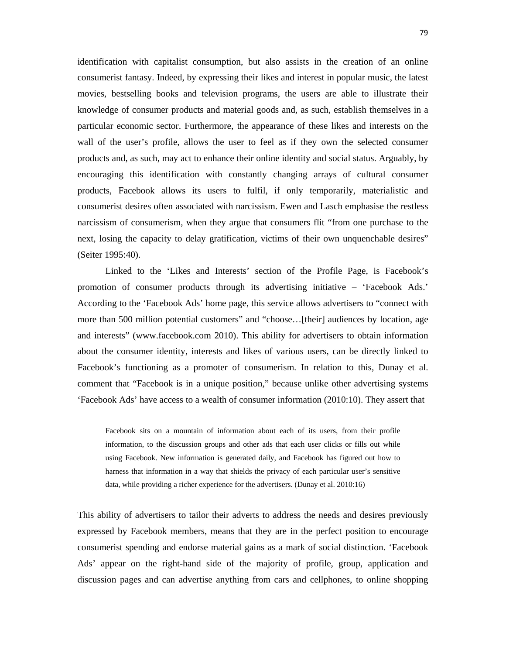identification with capitalist consumption, but also assists in the creation of an online consumerist fantasy. Indeed, by expressing their likes and interest in popular music, the latest movies, bestselling books and television programs, the users are able to illustrate their knowledge of consumer products and material goods and, as such, establish themselves in a particular economic sector. Furthermore, the appearance of these likes and interests on the wall of the user's profile, allows the user to feel as if they own the selected consumer products and, as such, may act to enhance their online identity and social status. Arguably, by encouraging this identification with constantly changing arrays of cultural consumer products, Facebook allows its users to fulfil, if only temporarily, materialistic and consumerist desires often associated with narcissism. Ewen and Lasch emphasise the restless narcissism of consumerism, when they argue that consumers flit "from one purchase to the next, losing the capacity to delay gratification, victims of their own unquenchable desires" (Seiter 1995:40).

Linked to the 'Likes and Interests' section of the Profile Page, is Facebook's promotion of consumer products through its advertising initiative – 'Facebook Ads.' According to the 'Facebook Ads' home page, this service allows advertisers to "connect with more than 500 million potential customers" and "choose…[their] audiences by location, age and interests" (www.facebook.com 2010). This ability for advertisers to obtain information about the consumer identity, interests and likes of various users, can be directly linked to Facebook's functioning as a promoter of consumerism. In relation to this, Dunay et al. comment that "Facebook is in a unique position," because unlike other advertising systems 'Facebook Ads' have access to a wealth of consumer information (2010:10). They assert that

Facebook sits on a mountain of information about each of its users, from their profile information, to the discussion groups and other ads that each user clicks or fills out while using Facebook. New information is generated daily, and Facebook has figured out how to harness that information in a way that shields the privacy of each particular user's sensitive data, while providing a richer experience for the advertisers. (Dunay et al. 2010:16)

This ability of advertisers to tailor their adverts to address the needs and desires previously expressed by Facebook members, means that they are in the perfect position to encourage consumerist spending and endorse material gains as a mark of social distinction. 'Facebook Ads' appear on the right-hand side of the majority of profile, group, application and discussion pages and can advertise anything from cars and cellphones, to online shopping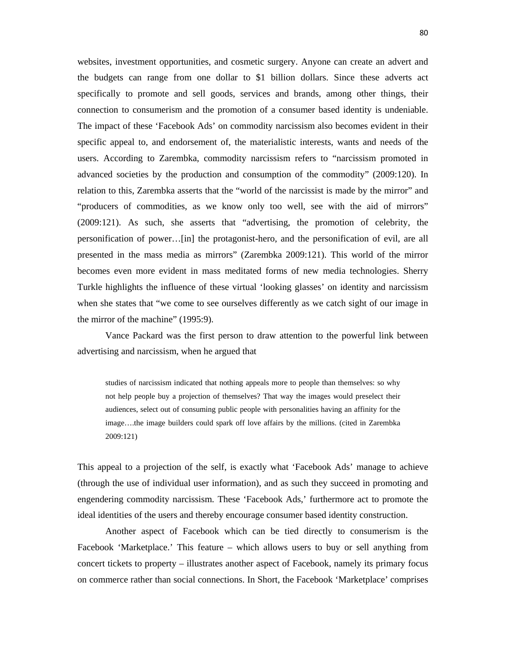websites, investment opportunities, and cosmetic surgery. Anyone can create an advert and the budgets can range from one dollar to \$1 billion dollars. Since these adverts act specifically to promote and sell goods, services and brands, among other things, their connection to consumerism and the promotion of a consumer based identity is undeniable. The impact of these 'Facebook Ads' on commodity narcissism also becomes evident in their specific appeal to, and endorsement of, the materialistic interests, wants and needs of the users. According to Zarembka, commodity narcissism refers to "narcissism promoted in advanced societies by the production and consumption of the commodity" (2009:120). In relation to this, Zarembka asserts that the "world of the narcissist is made by the mirror" and "producers of commodities, as we know only too well, see with the aid of mirrors" (2009:121). As such, she asserts that "advertising, the promotion of celebrity, the personification of power…[in] the protagonist-hero, and the personification of evil, are all presented in the mass media as mirrors" (Zarembka 2009:121). This world of the mirror becomes even more evident in mass meditated forms of new media technologies. Sherry Turkle highlights the influence of these virtual 'looking glasses' on identity and narcissism when she states that "we come to see ourselves differently as we catch sight of our image in the mirror of the machine" (1995:9).

Vance Packard was the first person to draw attention to the powerful link between advertising and narcissism, when he argued that

studies of narcissism indicated that nothing appeals more to people than themselves: so why not help people buy a projection of themselves? That way the images would preselect their audiences, select out of consuming public people with personalities having an affinity for the image….the image builders could spark off love affairs by the millions. (cited in Zarembka 2009:121)

This appeal to a projection of the self, is exactly what 'Facebook Ads' manage to achieve (through the use of individual user information), and as such they succeed in promoting and engendering commodity narcissism. These 'Facebook Ads,' furthermore act to promote the ideal identities of the users and thereby encourage consumer based identity construction.

 Another aspect of Facebook which can be tied directly to consumerism is the Facebook 'Marketplace.' This feature – which allows users to buy or sell anything from concert tickets to property – illustrates another aspect of Facebook, namely its primary focus on commerce rather than social connections. In Short, the Facebook 'Marketplace' comprises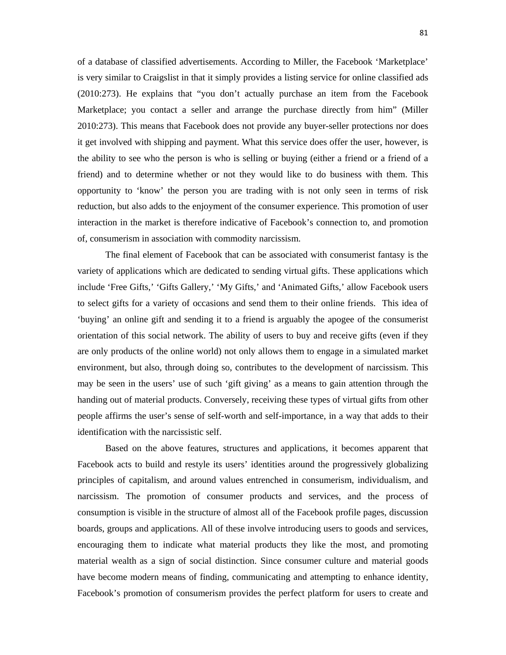of a database of classified advertisements. According to Miller, the Facebook 'Marketplace' is very similar to Craigslist in that it simply provides a listing service for online classified ads (2010:273). He explains that "you don't actually purchase an item from the Facebook Marketplace; you contact a seller and arrange the purchase directly from him" (Miller 2010:273). This means that Facebook does not provide any buyer-seller protections nor does it get involved with shipping and payment. What this service does offer the user, however, is the ability to see who the person is who is selling or buying (either a friend or a friend of a friend) and to determine whether or not they would like to do business with them. This opportunity to 'know' the person you are trading with is not only seen in terms of risk reduction, but also adds to the enjoyment of the consumer experience. This promotion of user interaction in the market is therefore indicative of Facebook's connection to, and promotion of, consumerism in association with commodity narcissism.

 The final element of Facebook that can be associated with consumerist fantasy is the variety of applications which are dedicated to sending virtual gifts. These applications which include 'Free Gifts,' 'Gifts Gallery,' 'My Gifts,' and 'Animated Gifts,' allow Facebook users to select gifts for a variety of occasions and send them to their online friends. This idea of 'buying' an online gift and sending it to a friend is arguably the apogee of the consumerist orientation of this social network. The ability of users to buy and receive gifts (even if they are only products of the online world) not only allows them to engage in a simulated market environment, but also, through doing so, contributes to the development of narcissism. This may be seen in the users' use of such 'gift giving' as a means to gain attention through the handing out of material products. Conversely, receiving these types of virtual gifts from other people affirms the user's sense of self-worth and self-importance, in a way that adds to their identification with the narcissistic self.

Based on the above features, structures and applications, it becomes apparent that Facebook acts to build and restyle its users' identities around the progressively globalizing principles of capitalism, and around values entrenched in consumerism, individualism, and narcissism. The promotion of consumer products and services, and the process of consumption is visible in the structure of almost all of the Facebook profile pages, discussion boards, groups and applications. All of these involve introducing users to goods and services, encouraging them to indicate what material products they like the most, and promoting material wealth as a sign of social distinction. Since consumer culture and material goods have become modern means of finding, communicating and attempting to enhance identity, Facebook's promotion of consumerism provides the perfect platform for users to create and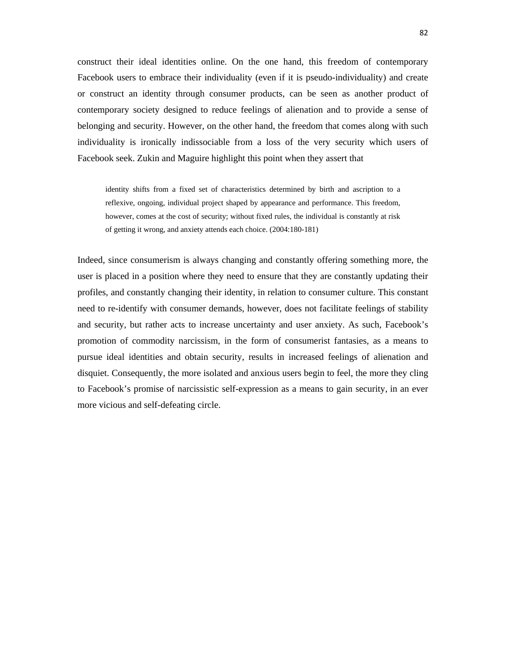construct their ideal identities online. On the one hand, this freedom of contemporary Facebook users to embrace their individuality (even if it is pseudo-individuality) and create or construct an identity through consumer products, can be seen as another product of contemporary society designed to reduce feelings of alienation and to provide a sense of belonging and security. However, on the other hand, the freedom that comes along with such individuality is ironically indissociable from a loss of the very security which users of Facebook seek. Zukin and Maguire highlight this point when they assert that

identity shifts from a fixed set of characteristics determined by birth and ascription to a reflexive, ongoing, individual project shaped by appearance and performance. This freedom, however, comes at the cost of security; without fixed rules, the individual is constantly at risk of getting it wrong, and anxiety attends each choice. (2004:180-181)

Indeed, since consumerism is always changing and constantly offering something more, the user is placed in a position where they need to ensure that they are constantly updating their profiles, and constantly changing their identity, in relation to consumer culture. This constant need to re-identify with consumer demands, however, does not facilitate feelings of stability and security, but rather acts to increase uncertainty and user anxiety. As such, Facebook's promotion of commodity narcissism, in the form of consumerist fantasies, as a means to pursue ideal identities and obtain security, results in increased feelings of alienation and disquiet. Consequently, the more isolated and anxious users begin to feel, the more they cling to Facebook's promise of narcissistic self-expression as a means to gain security, in an ever more vicious and self-defeating circle.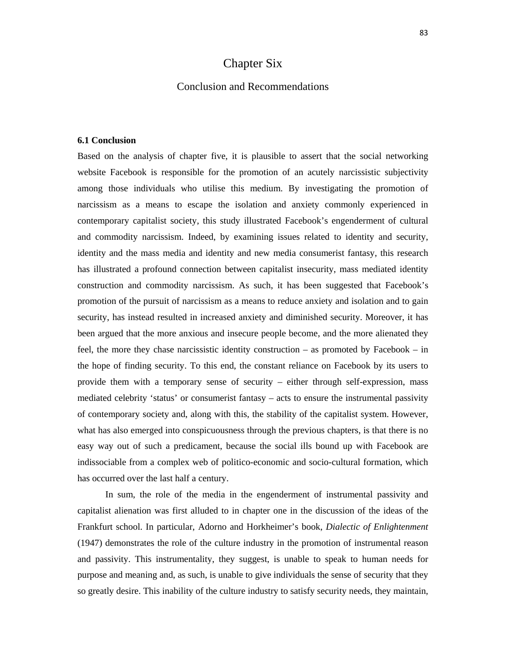# Chapter Six

### Conclusion and Recommendations

### **6.1 Conclusion**

Based on the analysis of chapter five, it is plausible to assert that the social networking website Facebook is responsible for the promotion of an acutely narcissistic subjectivity among those individuals who utilise this medium. By investigating the promotion of narcissism as a means to escape the isolation and anxiety commonly experienced in contemporary capitalist society, this study illustrated Facebook's engenderment of cultural and commodity narcissism. Indeed, by examining issues related to identity and security, identity and the mass media and identity and new media consumerist fantasy, this research has illustrated a profound connection between capitalist insecurity, mass mediated identity construction and commodity narcissism. As such, it has been suggested that Facebook's promotion of the pursuit of narcissism as a means to reduce anxiety and isolation and to gain security, has instead resulted in increased anxiety and diminished security. Moreover, it has been argued that the more anxious and insecure people become, and the more alienated they feel, the more they chase narcissistic identity construction – as promoted by Facebook – in the hope of finding security. To this end, the constant reliance on Facebook by its users to provide them with a temporary sense of security – either through self-expression, mass mediated celebrity 'status' or consumerist fantasy – acts to ensure the instrumental passivity of contemporary society and, along with this, the stability of the capitalist system. However, what has also emerged into conspicuousness through the previous chapters, is that there is no easy way out of such a predicament, because the social ills bound up with Facebook are indissociable from a complex web of politico-economic and socio-cultural formation, which has occurred over the last half a century.

In sum, the role of the media in the engenderment of instrumental passivity and capitalist alienation was first alluded to in chapter one in the discussion of the ideas of the Frankfurt school. In particular, Adorno and Horkheimer's book, *Dialectic of Enlightenment* (1947) demonstrates the role of the culture industry in the promotion of instrumental reason and passivity. This instrumentality, they suggest, is unable to speak to human needs for purpose and meaning and, as such, is unable to give individuals the sense of security that they so greatly desire. This inability of the culture industry to satisfy security needs, they maintain,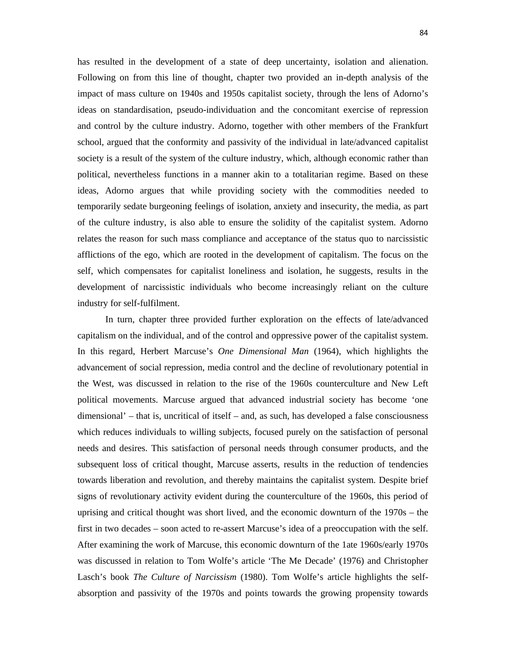has resulted in the development of a state of deep uncertainty, isolation and alienation. Following on from this line of thought, chapter two provided an in-depth analysis of the impact of mass culture on 1940s and 1950s capitalist society, through the lens of Adorno's ideas on standardisation, pseudo-individuation and the concomitant exercise of repression and control by the culture industry. Adorno, together with other members of the Frankfurt school, argued that the conformity and passivity of the individual in late/advanced capitalist society is a result of the system of the culture industry, which, although economic rather than political, nevertheless functions in a manner akin to a totalitarian regime. Based on these ideas, Adorno argues that while providing society with the commodities needed to temporarily sedate burgeoning feelings of isolation, anxiety and insecurity, the media, as part of the culture industry, is also able to ensure the solidity of the capitalist system. Adorno relates the reason for such mass compliance and acceptance of the status quo to narcissistic afflictions of the ego, which are rooted in the development of capitalism. The focus on the self, which compensates for capitalist loneliness and isolation, he suggests, results in the development of narcissistic individuals who become increasingly reliant on the culture industry for self-fulfilment.

In turn, chapter three provided further exploration on the effects of late/advanced capitalism on the individual, and of the control and oppressive power of the capitalist system. In this regard, Herbert Marcuse's *One Dimensional Man* (1964), which highlights the advancement of social repression, media control and the decline of revolutionary potential in the West, was discussed in relation to the rise of the 1960s counterculture and New Left political movements. Marcuse argued that advanced industrial society has become 'one dimensional' – that is, uncritical of itself – and, as such, has developed a false consciousness which reduces individuals to willing subjects, focused purely on the satisfaction of personal needs and desires. This satisfaction of personal needs through consumer products, and the subsequent loss of critical thought, Marcuse asserts, results in the reduction of tendencies towards liberation and revolution, and thereby maintains the capitalist system. Despite brief signs of revolutionary activity evident during the counterculture of the 1960s, this period of uprising and critical thought was short lived, and the economic downturn of the 1970s – the first in two decades – soon acted to re-assert Marcuse's idea of a preoccupation with the self. After examining the work of Marcuse, this economic downturn of the 1ate 1960s/early 1970s was discussed in relation to Tom Wolfe's article 'The Me Decade' (1976) and Christopher Lasch's book *The Culture of Narcissism* (1980). Tom Wolfe's article highlights the selfabsorption and passivity of the 1970s and points towards the growing propensity towards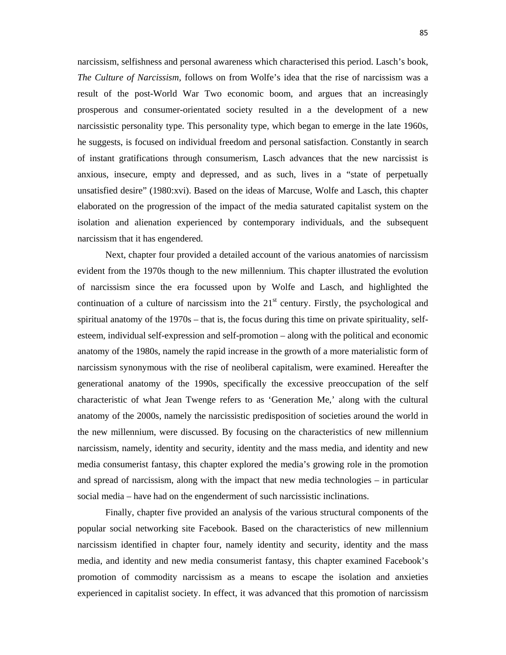narcissism, selfishness and personal awareness which characterised this period. Lasch's book, *The Culture of Narcissism*, follows on from Wolfe's idea that the rise of narcissism was a result of the post-World War Two economic boom, and argues that an increasingly prosperous and consumer-orientated society resulted in a the development of a new narcissistic personality type. This personality type, which began to emerge in the late 1960s, he suggests, is focused on individual freedom and personal satisfaction. Constantly in search of instant gratifications through consumerism, Lasch advances that the new narcissist is anxious, insecure, empty and depressed, and as such, lives in a "state of perpetually unsatisfied desire" (1980:xvi). Based on the ideas of Marcuse, Wolfe and Lasch, this chapter elaborated on the progression of the impact of the media saturated capitalist system on the isolation and alienation experienced by contemporary individuals, and the subsequent narcissism that it has engendered.

Next, chapter four provided a detailed account of the various anatomies of narcissism evident from the 1970s though to the new millennium. This chapter illustrated the evolution of narcissism since the era focussed upon by Wolfe and Lasch, and highlighted the continuation of a culture of narcissism into the  $21<sup>st</sup>$  century. Firstly, the psychological and spiritual anatomy of the 1970s – that is, the focus during this time on private spirituality, selfesteem, individual self-expression and self-promotion – along with the political and economic anatomy of the 1980s, namely the rapid increase in the growth of a more materialistic form of narcissism synonymous with the rise of neoliberal capitalism, were examined. Hereafter the generational anatomy of the 1990s, specifically the excessive preoccupation of the self characteristic of what Jean Twenge refers to as 'Generation Me,' along with the cultural anatomy of the 2000s, namely the narcissistic predisposition of societies around the world in the new millennium, were discussed. By focusing on the characteristics of new millennium narcissism, namely, identity and security, identity and the mass media, and identity and new media consumerist fantasy, this chapter explored the media's growing role in the promotion and spread of narcissism, along with the impact that new media technologies – in particular social media – have had on the engenderment of such narcissistic inclinations.

Finally, chapter five provided an analysis of the various structural components of the popular social networking site Facebook. Based on the characteristics of new millennium narcissism identified in chapter four, namely identity and security, identity and the mass media, and identity and new media consumerist fantasy, this chapter examined Facebook's promotion of commodity narcissism as a means to escape the isolation and anxieties experienced in capitalist society. In effect, it was advanced that this promotion of narcissism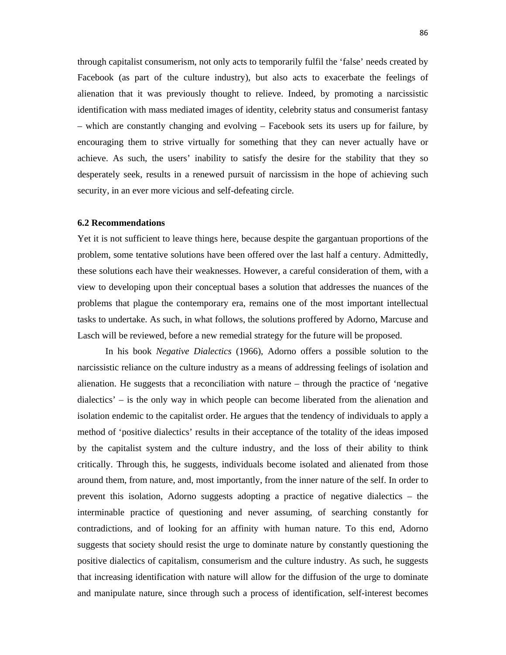through capitalist consumerism, not only acts to temporarily fulfil the 'false' needs created by Facebook (as part of the culture industry), but also acts to exacerbate the feelings of alienation that it was previously thought to relieve. Indeed, by promoting a narcissistic identification with mass mediated images of identity, celebrity status and consumerist fantasy – which are constantly changing and evolving – Facebook sets its users up for failure, by encouraging them to strive virtually for something that they can never actually have or achieve. As such, the users' inability to satisfy the desire for the stability that they so desperately seek, results in a renewed pursuit of narcissism in the hope of achieving such security, in an ever more vicious and self-defeating circle.

### **6.2 Recommendations**

Yet it is not sufficient to leave things here, because despite the gargantuan proportions of the problem, some tentative solutions have been offered over the last half a century. Admittedly, these solutions each have their weaknesses. However, a careful consideration of them, with a view to developing upon their conceptual bases a solution that addresses the nuances of the problems that plague the contemporary era, remains one of the most important intellectual tasks to undertake. As such, in what follows, the solutions proffered by Adorno, Marcuse and Lasch will be reviewed, before a new remedial strategy for the future will be proposed.

In his book *Negative Dialectics* (1966), Adorno offers a possible solution to the narcissistic reliance on the culture industry as a means of addressing feelings of isolation and alienation. He suggests that a reconciliation with nature – through the practice of 'negative dialectics' – is the only way in which people can become liberated from the alienation and isolation endemic to the capitalist order. He argues that the tendency of individuals to apply a method of 'positive dialectics' results in their acceptance of the totality of the ideas imposed by the capitalist system and the culture industry, and the loss of their ability to think critically. Through this, he suggests, individuals become isolated and alienated from those around them, from nature, and, most importantly, from the inner nature of the self. In order to prevent this isolation, Adorno suggests adopting a practice of negative dialectics – the interminable practice of questioning and never assuming, of searching constantly for contradictions, and of looking for an affinity with human nature. To this end, Adorno suggests that society should resist the urge to dominate nature by constantly questioning the positive dialectics of capitalism, consumerism and the culture industry. As such, he suggests that increasing identification with nature will allow for the diffusion of the urge to dominate and manipulate nature, since through such a process of identification, self-interest becomes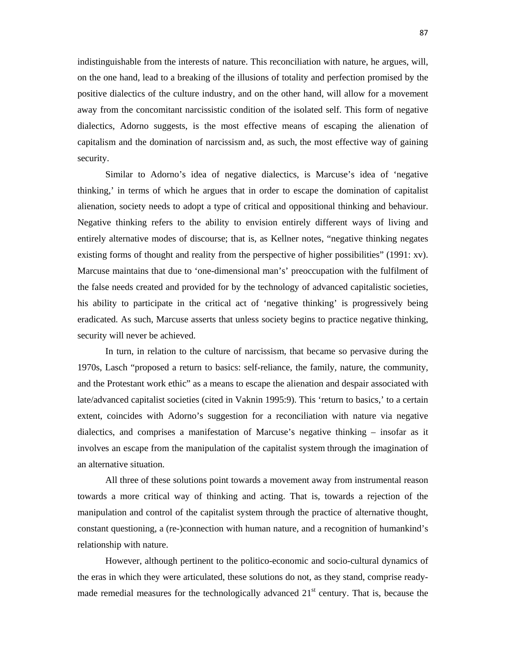indistinguishable from the interests of nature. This reconciliation with nature, he argues, will, on the one hand, lead to a breaking of the illusions of totality and perfection promised by the positive dialectics of the culture industry, and on the other hand, will allow for a movement away from the concomitant narcissistic condition of the isolated self. This form of negative dialectics, Adorno suggests, is the most effective means of escaping the alienation of capitalism and the domination of narcissism and, as such, the most effective way of gaining security.

Similar to Adorno's idea of negative dialectics, is Marcuse's idea of 'negative thinking,' in terms of which he argues that in order to escape the domination of capitalist alienation, society needs to adopt a type of critical and oppositional thinking and behaviour. Negative thinking refers to the ability to envision entirely different ways of living and entirely alternative modes of discourse; that is, as Kellner notes, "negative thinking negates existing forms of thought and reality from the perspective of higher possibilities" (1991: xv). Marcuse maintains that due to 'one-dimensional man's' preoccupation with the fulfilment of the false needs created and provided for by the technology of advanced capitalistic societies, his ability to participate in the critical act of 'negative thinking' is progressively being eradicated. As such, Marcuse asserts that unless society begins to practice negative thinking, security will never be achieved.

In turn, in relation to the culture of narcissism, that became so pervasive during the 1970s, Lasch "proposed a return to basics: self-reliance, the family, nature, the community, and the Protestant work ethic" as a means to escape the alienation and despair associated with late/advanced capitalist societies (cited in Vaknin 1995:9). This 'return to basics,' to a certain extent, coincides with Adorno's suggestion for a reconciliation with nature via negative dialectics, and comprises a manifestation of Marcuse's negative thinking – insofar as it involves an escape from the manipulation of the capitalist system through the imagination of an alternative situation.

All three of these solutions point towards a movement away from instrumental reason towards a more critical way of thinking and acting. That is, towards a rejection of the manipulation and control of the capitalist system through the practice of alternative thought, constant questioning, a (re-)connection with human nature, and a recognition of humankind's relationship with nature.

However, although pertinent to the politico-economic and socio-cultural dynamics of the eras in which they were articulated, these solutions do not, as they stand, comprise readymade remedial measures for the technologically advanced  $21<sup>st</sup>$  century. That is, because the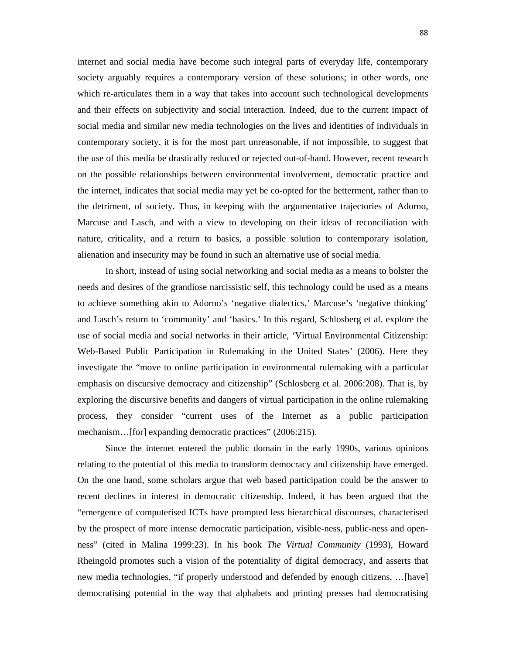internet and social media have become such integral parts of everyday life, contemporary society arguably requires a contemporary version of these solutions; in other words, one which re-articulates them in a way that takes into account such technological developments and their effects on subjectivity and social interaction. Indeed, due to the current impact of social media and similar new media technologies on the lives and identities of individuals in contemporary society, it is for the most part unreasonable, if not impossible, to suggest that the use of this media be drastically reduced or rejected out-of-hand. However, recent research on the possible relationships between environmental involvement, democratic practice and the internet, indicates that social media may yet be co-opted for the betterment, rather than to the detriment, of society. Thus, in keeping with the argumentative trajectories of Adorno, Marcuse and Lasch, and with a view to developing on their ideas of reconciliation with nature, criticality, and a return to basics, a possible solution to contemporary isolation, alienation and insecurity may be found in such an alternative use of social media.

In short, instead of using social networking and social media as a means to bolster the needs and desires of the grandiose narcissistic self, this technology could be used as a means to achieve something akin to Adorno's 'negative dialectics,' Marcuse's 'negative thinking' and Lasch's return to 'community' and 'basics.' In this regard, Schlosberg et al. explore the use of social media and social networks in their article, 'Virtual Environmental Citizenship: Web-Based Public Participation in Rulemaking in the United States' (2006). Here they investigate the "move to online participation in environmental rulemaking with a particular emphasis on discursive democracy and citizenship" (Schlosberg et al. 2006:208). That is, by exploring the discursive benefits and dangers of virtual participation in the online rulemaking process, they consider "current uses of the Internet as a public participation mechanism…[for] expanding democratic practices" (2006:215).

Since the internet entered the public domain in the early 1990s, various opinions relating to the potential of this media to transform democracy and citizenship have emerged. On the one hand, some scholars argue that web based participation could be the answer to recent declines in interest in democratic citizenship. Indeed, it has been argued that the "emergence of computerised ICTs have prompted less hierarchical discourses, characterised by the prospect of more intense democratic participation, visible-ness, public-ness and openness" (cited in Malina 1999:23). In his book *The Virtual Community* (1993), Howard Rheingold promotes such a vision of the potentiality of digital democracy, and asserts that new media technologies, "if properly understood and defended by enough citizens, …[have] democratising potential in the way that alphabets and printing presses had democratising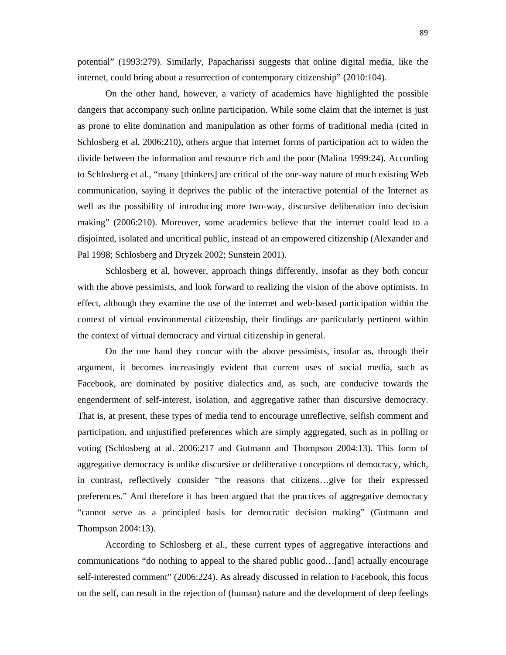potential" (1993:279). Similarly, Papacharissi suggests that online digital media, like the internet, could bring about a resurrection of contemporary citizenship" (2010:104).

On the other hand, however, a variety of academics have highlighted the possible dangers that accompany such online participation. While some claim that the internet is just as prone to elite domination and manipulation as other forms of traditional media (cited in Schlosberg et al. 2006:210), others argue that internet forms of participation act to widen the divide between the information and resource rich and the poor (Malina 1999:24). According to Schlosberg et al., "many [thinkers] are critical of the one-way nature of much existing Web communication, saying it deprives the public of the interactive potential of the Internet as well as the possibility of introducing more two-way, discursive deliberation into decision making" (2006:210). Moreover, some academics believe that the internet could lead to a disjointed, isolated and uncritical public, instead of an empowered citizenship (Alexander and Pal 1998; Schlosberg and Dryzek 2002; Sunstein 2001).

Schlosberg et al, however, approach things differently, insofar as they both concur with the above pessimists, and look forward to realizing the vision of the above optimists. In effect, although they examine the use of the internet and web-based participation within the context of virtual environmental citizenship, their findings are particularly pertinent within the context of virtual democracy and virtual citizenship in general.

On the one hand they concur with the above pessimists, insofar as, through their argument, it becomes increasingly evident that current uses of social media, such as Facebook, are dominated by positive dialectics and, as such, are conducive towards the engenderment of self-interest, isolation, and aggregative rather than discursive democracy. That is, at present, these types of media tend to encourage unreflective, selfish comment and participation, and unjustified preferences which are simply aggregated, such as in polling or voting (Schlosberg at al. 2006:217 and Gutmann and Thompson 2004:13). This form of aggregative democracy is unlike discursive or deliberative conceptions of democracy, which, in contrast, reflectively consider "the reasons that citizens…give for their expressed preferences." And therefore it has been argued that the practices of aggregative democracy "cannot serve as a principled basis for democratic decision making" (Gutmann and Thompson 2004:13).

According to Schlosberg et al., these current types of aggregative interactions and communications "do nothing to appeal to the shared public good…[and] actually encourage self-interested comment" (2006:224). As already discussed in relation to Facebook, this focus on the self, can result in the rejection of (human) nature and the development of deep feelings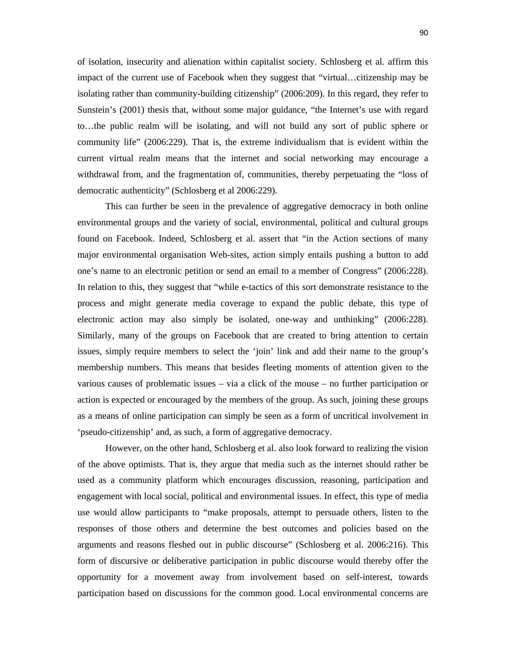of isolation, insecurity and alienation within capitalist society. Schlosberg et al. affirm this impact of the current use of Facebook when they suggest that "virtual…citizenship may be isolating rather than community-building citizenship" (2006:209). In this regard, they refer to Sunstein's (2001) thesis that, without some major guidance, "the Internet's use with regard to…the public realm will be isolating, and will not build any sort of public sphere or community life" (2006:229). That is, the extreme individualism that is evident within the current virtual realm means that the internet and social networking may encourage a withdrawal from, and the fragmentation of, communities, thereby perpetuating the "loss of democratic authenticity" (Schlosberg et al 2006:229).

This can further be seen in the prevalence of aggregative democracy in both online environmental groups and the variety of social, environmental, political and cultural groups found on Facebook. Indeed, Schlosberg et al. assert that "in the Action sections of many major environmental organisation Web-sites, action simply entails pushing a button to add one's name to an electronic petition or send an email to a member of Congress" (2006:228). In relation to this, they suggest that "while e-tactics of this sort demonstrate resistance to the process and might generate media coverage to expand the public debate, this type of electronic action may also simply be isolated, one-way and unthinking" (2006:228). Similarly, many of the groups on Facebook that are created to bring attention to certain issues, simply require members to select the 'join' link and add their name to the group's membership numbers. This means that besides fleeting moments of attention given to the various causes of problematic issues – via a click of the mouse – no further participation or action is expected or encouraged by the members of the group. As such, joining these groups as a means of online participation can simply be seen as a form of uncritical involvement in 'pseudo-citizenship' and, as such, a form of aggregative democracy.

However, on the other hand, Schlosberg et al. also look forward to realizing the vision of the above optimists. That is, they argue that media such as the internet should rather be used as a community platform which encourages discussion, reasoning, participation and engagement with local social, political and environmental issues. In effect, this type of media use would allow participants to "make proposals, attempt to persuade others, listen to the responses of those others and determine the best outcomes and policies based on the arguments and reasons fleshed out in public discourse" (Schlosberg et al. 2006:216). This form of discursive or deliberative participation in public discourse would thereby offer the opportunity for a movement away from involvement based on self-interest, towards participation based on discussions for the common good. Local environmental concerns are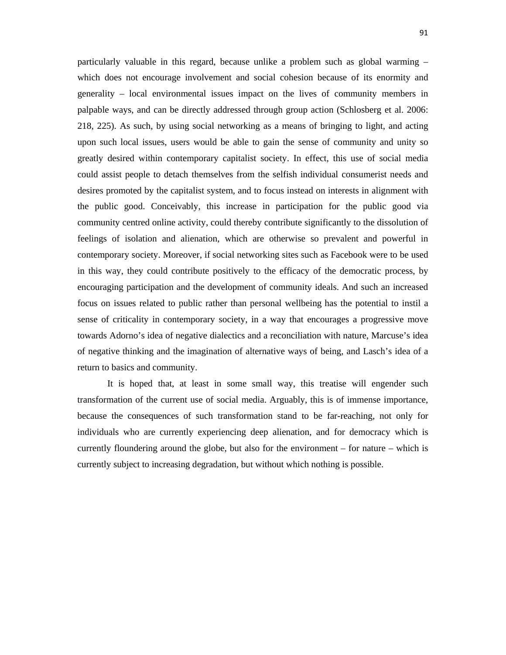particularly valuable in this regard, because unlike a problem such as global warming – which does not encourage involvement and social cohesion because of its enormity and generality – local environmental issues impact on the lives of community members in palpable ways, and can be directly addressed through group action (Schlosberg et al. 2006: 218, 225). As such, by using social networking as a means of bringing to light, and acting upon such local issues, users would be able to gain the sense of community and unity so greatly desired within contemporary capitalist society. In effect, this use of social media could assist people to detach themselves from the selfish individual consumerist needs and desires promoted by the capitalist system, and to focus instead on interests in alignment with the public good. Conceivably, this increase in participation for the public good via community centred online activity, could thereby contribute significantly to the dissolution of feelings of isolation and alienation, which are otherwise so prevalent and powerful in contemporary society. Moreover, if social networking sites such as Facebook were to be used in this way, they could contribute positively to the efficacy of the democratic process, by encouraging participation and the development of community ideals. And such an increased focus on issues related to public rather than personal wellbeing has the potential to instil a sense of criticality in contemporary society, in a way that encourages a progressive move towards Adorno's idea of negative dialectics and a reconciliation with nature, Marcuse's idea of negative thinking and the imagination of alternative ways of being, and Lasch's idea of a return to basics and community.

It is hoped that, at least in some small way, this treatise will engender such transformation of the current use of social media. Arguably, this is of immense importance, because the consequences of such transformation stand to be far-reaching, not only for individuals who are currently experiencing deep alienation, and for democracy which is currently floundering around the globe, but also for the environment – for nature – which is currently subject to increasing degradation, but without which nothing is possible.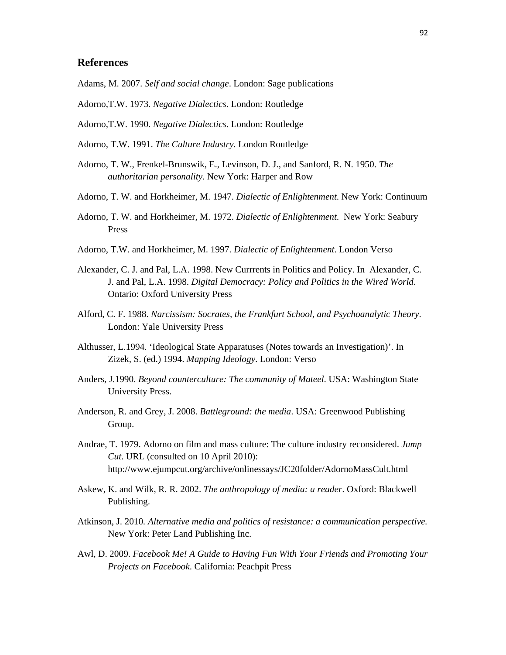## **References**

- Adams, M. 2007. *Self and social change*. London: Sage publications
- Adorno,T.W. 1973. *Negative Dialectics*. London: Routledge
- Adorno,T.W. 1990. *Negative Dialectics*. London: Routledge
- Adorno, T.W. 1991. *The Culture Industry*. London Routledge
- Adorno, T. W., Frenkel-Brunswik, E., Levinson, D. J., and Sanford, R. N. 1950. *The authoritarian personality*. New York: Harper and Row
- Adorno, T. W. and Horkheimer, M. 1947. *Dialectic of Enlightenment*. New York: Continuum
- Adorno, T. W. and Horkheimer, M. 1972. *Dialectic of Enlightenment*. New York: Seabury Press
- Adorno, T.W. and Horkheimer, M. 1997. *Dialectic of Enlightenment*. London Verso
- Alexander, C. J. and Pal, L.A. 1998. New Currrents in Politics and Policy. In Alexander, C. J. and Pal, L.A. 1998. *Digital Democracy: Policy and Politics in the Wired World*. Ontario: Oxford University Press
- Alford, C. F. 1988. *Narcissism: Socrates, the Frankfurt School, and Psychoanalytic Theory*. London: Yale University Press
- Althusser, L.1994. 'Ideological State Apparatuses (Notes towards an Investigation)'. In Zizek, S. (ed.) 1994. *Mapping Ideology*. London: Verso
- Anders, J.1990. *Beyond counterculture: The community of Mateel*. USA: Washington State University Press.
- Anderson, R. and Grey, J. 2008. *Battleground: the media*. USA: Greenwood Publishing Group.
- Andrae, T. 1979. Adorno on film and mass culture: The culture industry reconsidered. *Jump Cut*. URL (consulted on 10 April 2010): http://www.ejumpcut.org/archive/onlinessays/JC20folder/AdornoMassCult.html
- Askew, K. and Wilk, R. R. 2002. *The anthropology of media: a reader*. Oxford: Blackwell Publishing.
- Atkinson, J. 2010*. Alternative media and politics of resistance: a communication perspective*. New York: Peter Land Publishing Inc.
- Awl, D. 2009. *Facebook Me! A Guide to Having Fun With Your Friends and Promoting Your Projects on Facebook*. California: Peachpit Press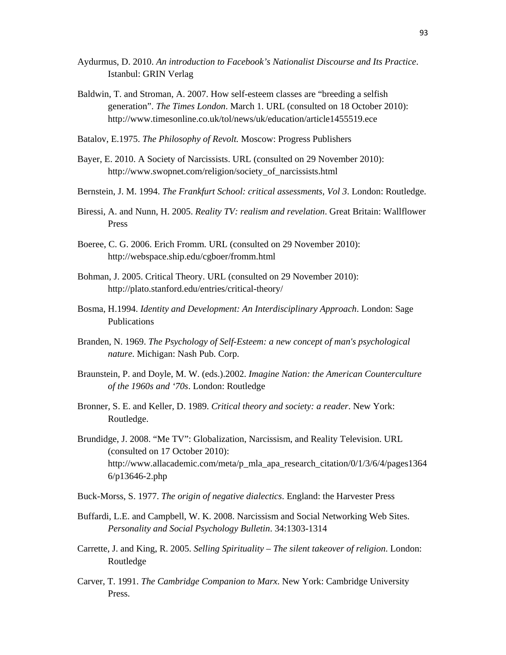- Aydurmus, D. 2010. *An introduction to Facebook's Nationalist Discourse and Its Practice*. Istanbul: GRIN Verlag
- Baldwin, T. and Stroman, A. 2007. How self-esteem classes are "breeding a selfish generation". *The Times London*. March 1. URL (consulted on 18 October 2010): http://www.timesonline.co.uk/tol/news/uk/education/article1455519.ece
- Batalov, E.1975. *The Philosophy of Revolt.* Moscow: Progress Publishers
- Bayer, E. 2010. A Society of Narcissists. URL (consulted on 29 November 2010): http://www.swopnet.com/religion/society\_of\_narcissists.html
- Bernstein, J. M. 1994. *The Frankfurt School: critical assessments, Vol 3*. London: Routledge.
- Biressi, A. and Nunn, H. 2005. *Reality TV: realism and revelation*. Great Britain: Wallflower Press
- Boeree, C. G. 2006. Erich Fromm. URL (consulted on 29 November 2010): http://webspace.ship.edu/cgboer/fromm.html
- Bohman, J. 2005. Critical Theory. URL (consulted on 29 November 2010): http://plato.stanford.edu/entries/critical-theory/
- Bosma, H.1994. *Identity and Development: An Interdisciplinary Approach*. London: Sage Publications
- Branden, N. 1969. *The Psychology of Self-Esteem: a new concept of man's psychological nature*. Michigan: Nash Pub. Corp.
- Braunstein, P. and Doyle, M. W. (eds.).2002. *Imagine Nation: the American Counterculture of the 1960s and '70s*. London: Routledge
- Bronner, S. E. and Keller, D. 1989. *Critical theory and society: a reader*. New York: Routledge.
- Brundidge, J. 2008. "Me TV": Globalization, Narcissism, and Reality Television. URL (consulted on 17 October 2010): http://www.allacademic.com/meta/p\_mla\_apa\_research\_citation/0/1/3/6/4/pages1364 6/p13646-2.php
- Buck-Morss, S. 1977. *The origin of negative dialectics*. England: the Harvester Press
- Buffardi, L.E. and Campbell, W. K. 2008. Narcissism and Social Networking Web Sites. *Personality and Social Psychology Bulletin*. 34:1303-1314
- Carrette, J. and King, R. 2005. *Selling Spirituality The silent takeover of religion*. London: Routledge
- Carver, T. 1991. *The Cambridge Companion to Marx*. New York: Cambridge University Press.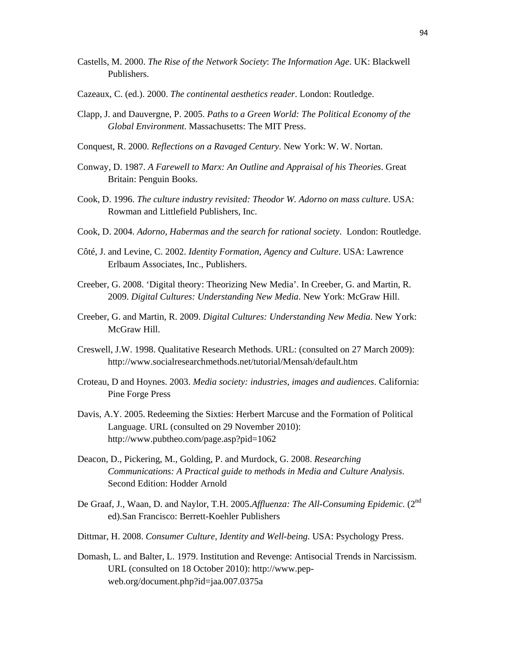- Castells, M. 2000. *The Rise of the Network Society*: *The Information Age*. UK: Blackwell Publishers.
- Cazeaux, C. (ed.). 2000. *The continental aesthetics reader*. London: Routledge.
- Clapp, J. and Dauvergne, P. 2005. *Paths to a Green World: The Political Economy of the Global Environment*. Massachusetts: The MIT Press.
- Conquest, R. 2000. *Reflections on a Ravaged Century*. New York: W. W. Nortan.
- Conway, D. 1987. *A Farewell to Marx: An Outline and Appraisal of his Theories*. Great Britain: Penguin Books.
- Cook, D. 1996. *The culture industry revisited: Theodor W. Adorno on mass culture*. USA: Rowman and Littlefield Publishers, Inc.
- Cook, D. 2004. *Adorno, Habermas and the search for rational society*. London: Routledge.
- Côté, J. and Levine, C. 2002. *Identity Formation, Agency and Culture*. USA: Lawrence Erlbaum Associates, Inc., Publishers.
- Creeber, G. 2008. 'Digital theory: Theorizing New Media'. In Creeber, G. and Martin, R. 2009. *Digital Cultures: Understanding New Media*. New York: McGraw Hill.
- Creeber, G. and Martin, R. 2009. *Digital Cultures: Understanding New Media*. New York: McGraw Hill.
- Creswell, J.W. 1998. Qualitative Research Methods. URL: (consulted on 27 March 2009): http://www.socialresearchmethods.net/tutorial/Mensah/default.htm
- Croteau, D and Hoynes. 2003. *Media society: industries, images and audiences*. California: Pine Forge Press
- Davis, A.Y. 2005. Redeeming the Sixties: Herbert Marcuse and the Formation of Political Language. URL (consulted on 29 November 2010): http://www.pubtheo.com/page.asp?pid=1062
- Deacon, D., Pickering, M., Golding, P. and Murdock, G. 2008. *Researching Communications: A Practical guide to methods in Media and Culture Analysis*. Second Edition: Hodder Arnold
- De Graaf, J., Waan, D. and Naylor, T.H. 2005.Affluenza: The All-Consuming Epidemic. (2<sup>nd</sup> ed).San Francisco: Berrett-Koehler Publishers
- Dittmar, H. 2008. *Consumer Culture, Identity and Well-being*. USA: Psychology Press.
- Domash, L. and Balter, L. 1979. Institution and Revenge: Antisocial Trends in Narcissism. URL (consulted on 18 October 2010): http://www.pepweb.org/document.php?id=jaa.007.0375a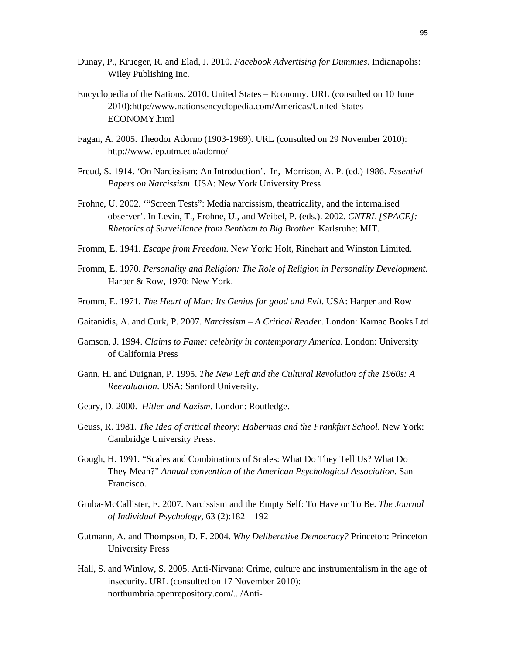- Dunay, P., Krueger, R. and Elad, J. 2010. *Facebook Advertising for Dummies*. Indianapolis: Wiley Publishing Inc.
- Encyclopedia of the Nations. 2010. United States Economy. URL (consulted on 10 June 2010):http://www.nationsencyclopedia.com/Americas/United-States-ECONOMY.html
- Fagan, A. 2005. Theodor Adorno (1903-1969). URL (consulted on 29 November 2010): http://www.iep.utm.edu/adorno/
- Freud, S. 1914. 'On Narcissism: An Introduction'. In, Morrison, A. P. (ed.) 1986. *Essential Papers on Narcissism*. USA: New York University Press
- Frohne, U. 2002. '"Screen Tests": Media narcissism, theatricality, and the internalised observer'. In Levin, T., Frohne, U., and Weibel, P. (eds.). 2002. *CNTRL [SPACE]: Rhetorics of Surveillance from Bentham to Big Brother*. Karlsruhe: MIT.
- Fromm, E. 1941. *Escape from Freedom*. New York: Holt, Rinehart and Winston Limited.
- Fromm, E. 1970. *Personality and Religion: The Role of Religion in Personality Development*. Harper & Row, 1970: New York.
- Fromm, E. 1971. *The Heart of Man: Its Genius for good and Evil*. USA: Harper and Row
- Gaitanidis, A. and Curk, P. 2007. *Narcissism A Critical Reader*. London: Karnac Books Ltd
- Gamson, J. 1994. *Claims to Fame: celebrity in contemporary America*. London: University of California Press
- Gann, H. and Duignan, P. 1995. *The New Left and the Cultural Revolution of the 1960s: A Reevaluation*. USA: Sanford University.
- Geary, D. 2000. *Hitler and Nazism*. London: Routledge.
- Geuss, R. 1981. *The Idea of critical theory: Habermas and the Frankfurt School*. New York: Cambridge University Press.
- Gough, H. 1991. "Scales and Combinations of Scales: What Do They Tell Us? What Do They Mean?" *Annual convention of the American Psychological Association*. San Francisco.
- Gruba-McCallister, F. 2007. Narcissism and the Empty Self: To Have or To Be. *The Journal of Individual Psychology*, 63 (2):182 – 192
- Gutmann, A. and Thompson, D. F. 2004. *Why Deliberative Democracy?* Princeton: Princeton University Press
- Hall, S. and Winlow, S. 2005. Anti-Nirvana: Crime, culture and instrumentalism in the age of insecurity. URL (consulted on 17 November 2010): northumbria.openrepository.com/.../Anti-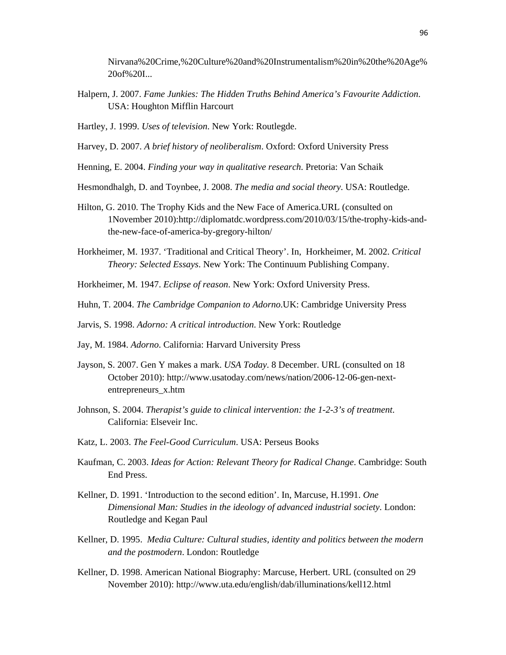Nirvana%20Crime,%20Culture%20and%20Instrumentalism%20in%20the%20Age% 20of%20I...

Halpern, J. 2007. *Fame Junkies: The Hidden Truths Behind America's Favourite Addiction*. USA: Houghton Mifflin Harcourt

Hartley, J. 1999. *Uses of television*. New York: Routlegde.

- Harvey, D. 2007. *A brief history of neoliberalism*. Oxford: Oxford University Press
- Henning, E. 2004. *Finding your way in qualitative research*. Pretoria: Van Schaik
- Hesmondhalgh, D. and Toynbee, J. 2008. *The media and social theory*. USA: Routledge.
- Hilton, G. 2010. The Trophy Kids and the New Face of America.URL (consulted on 1November 2010):http://diplomatdc.wordpress.com/2010/03/15/the-trophy-kids-andthe-new-face-of-america-by-gregory-hilton/
- Horkheimer, M. 1937. 'Traditional and Critical Theory'. In, Horkheimer, M. 2002. *Critical Theory: Selected Essays*. New York: The Continuum Publishing Company.
- Horkheimer, M. 1947. *Eclipse of reason*. New York: Oxford University Press.
- Huhn, T. 2004. *The Cambridge Companion to Adorno*.UK: Cambridge University Press
- Jarvis, S. 1998. *Adorno: A critical introduction*. New York: Routledge
- Jay, M. 1984. *Adorno*. California: Harvard University Press
- Jayson, S. 2007. Gen Y makes a mark. *USA Today*. 8 December. URL (consulted on 18 October 2010): http://www.usatoday.com/news/nation/2006-12-06-gen-nextentrepreneurs\_x.htm
- Johnson, S. 2004. *Therapist's guide to clinical intervention: the 1-2-3's of treatment*. California: Elseveir Inc.
- Katz, L. 2003. *The Feel-Good Curriculum*. USA: Perseus Books
- Kaufman, C. 2003. *Ideas for Action: Relevant Theory for Radical Change*. Cambridge: South End Press.
- Kellner, D. 1991. 'Introduction to the second edition'. In, Marcuse, H.1991. *One Dimensional Man: Studies in the ideology of advanced industrial society*. London: Routledge and Kegan Paul
- Kellner, D. 1995. *Media Culture: Cultural studies, identity and politics between the modern and the postmodern*. London: Routledge
- Kellner, D. 1998. American National Biography: Marcuse, Herbert. URL (consulted on 29 November 2010): http://www.uta.edu/english/dab/illuminations/kell12.html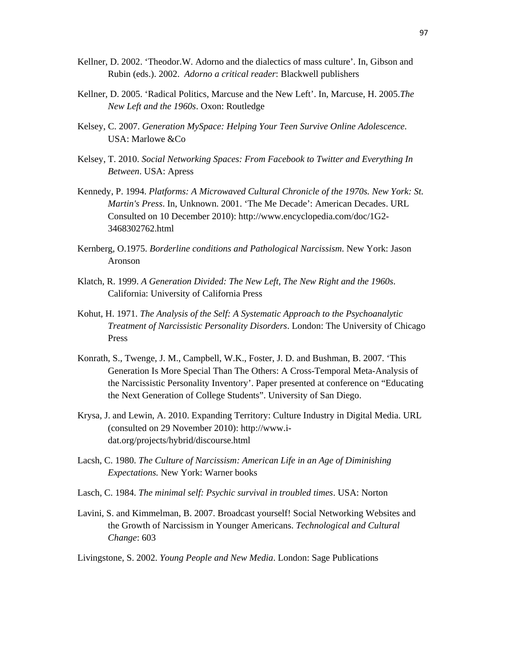- Kellner, D. 2002. 'Theodor.W. Adorno and the dialectics of mass culture'. In, Gibson and Rubin (eds.). 2002. *Adorno a critical reader*: Blackwell publishers
- Kellner, D. 2005. 'Radical Politics, Marcuse and the New Left'. In, Marcuse, H. 2005.*The New Left and the 1960s*. Oxon: Routledge
- Kelsey, C. 2007. *Generation MySpace: Helping Your Teen Survive Online Adolescence*. USA: Marlowe &Co
- Kelsey, T. 2010. *Social Networking Spaces: From Facebook to Twitter and Everything In Between*. USA: Apress
- Kennedy, P. 1994. *Platforms: A Microwaved Cultural Chronicle of the 1970s. New York: St. Martin's Press*. In, Unknown. 2001. 'The Me Decade': American Decades. URL Consulted on 10 December 2010): http://www.encyclopedia.com/doc/1G2- 3468302762.html
- Kernberg, O.1975. *Borderline conditions and Pathological Narcissism*. New York: Jason Aronson
- Klatch, R. 1999. *A Generation Divided: The New Left, The New Right and the 1960s*. California: University of California Press
- Kohut, H. 1971. *The Analysis of the Self: A Systematic Approach to the Psychoanalytic Treatment of Narcissistic Personality Disorders*. London: The University of Chicago Press
- Konrath, S., Twenge, J. M., Campbell, W.K., Foster, J. D. and Bushman, B. 2007. 'This Generation Is More Special Than The Others: A Cross-Temporal Meta-Analysis of the Narcissistic Personality Inventory'. Paper presented at conference on "Educating the Next Generation of College Students". University of San Diego.
- Krysa, J. and Lewin, A. 2010. Expanding Territory: Culture Industry in Digital Media. URL (consulted on 29 November 2010): http://www.idat.org/projects/hybrid/discourse.html
- Lacsh, C. 1980. *The Culture of Narcissism: American Life in an Age of Diminishing Expectations.* New York: Warner books
- Lasch, C. 1984. *The minimal self: Psychic survival in troubled times*. USA: Norton
- Lavini, S. and Kimmelman, B. 2007. Broadcast yourself! Social Networking Websites and the Growth of Narcissism in Younger Americans. *Technological and Cultural Change*: 603
- Livingstone, S. 2002. *Young People and New Media*. London: Sage Publications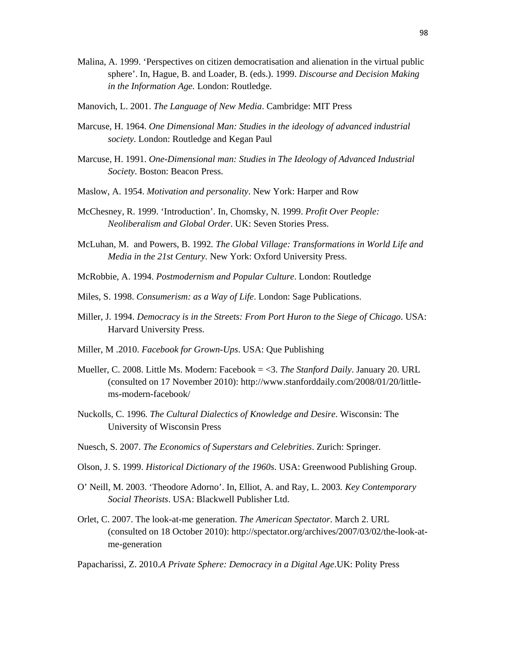- Malina, A. 1999. 'Perspectives on citizen democratisation and alienation in the virtual public sphere'. In, Hague, B. and Loader, B. (eds.). 1999. *Discourse and Decision Making in the Information Age.* London: Routledge.
- Manovich, L. 2001. *The Language of New Media*. Cambridge: MIT Press
- Marcuse, H. 1964. *One Dimensional Man: Studies in the ideology of advanced industrial society*. London: Routledge and Kegan Paul
- Marcuse, H. 1991. *One-Dimensional man: Studies in The Ideology of Advanced Industrial Society*. Boston: Beacon Press.
- Maslow, A. 1954. *Motivation and personality*. New York: Harper and Row
- McChesney, R. 1999. 'Introduction'. In, Chomsky, N. 1999. *Profit Over People: Neoliberalism and Global Order*. UK: Seven Stories Press.
- McLuhan, M. and Powers, B. 1992*. The Global Village: Transformations in World Life and Media in the 21st Century.* New York: Oxford University Press.
- McRobbie, A. 1994. *Postmodernism and Popular Culture*. London: Routledge
- Miles, S. 1998. *Consumerism: as a Way of Life*. London: Sage Publications.
- Miller, J. 1994. *Democracy is in the Streets: From Port Huron to the Siege of Chicago*. USA: Harvard University Press.
- Miller, M .2010. *Facebook for Grown-Ups*. USA: Que Publishing
- Mueller, C. 2008. Little Ms. Modern: Facebook = <3. *The Stanford Daily*. January 20. URL (consulted on 17 November 2010): http://www.stanforddaily.com/2008/01/20/littlems-modern-facebook/
- Nuckolls, C. 1996. *The Cultural Dialectics of Knowledge and Desire*. Wisconsin: The University of Wisconsin Press
- Nuesch, S. 2007. *The Economics of Superstars and Celebrities*. Zurich: Springer.
- Olson, J. S. 1999. *Historical Dictionary of the 1960s*. USA: Greenwood Publishing Group.
- O' Neill, M. 2003. 'Theodore Adorno'. In, Elliot, A. and Ray, L. 2003*. Key Contemporary Social Theorists*. USA: Blackwell Publisher Ltd.
- Orlet, C. 2007. The look-at-me generation. *The American Spectator*. March 2. URL (consulted on 18 October 2010): http://spectator.org/archives/2007/03/02/the-look-atme-generation

Papacharissi, Z. 2010.*A Private Sphere: Democracy in a Digital Age*.UK: Polity Press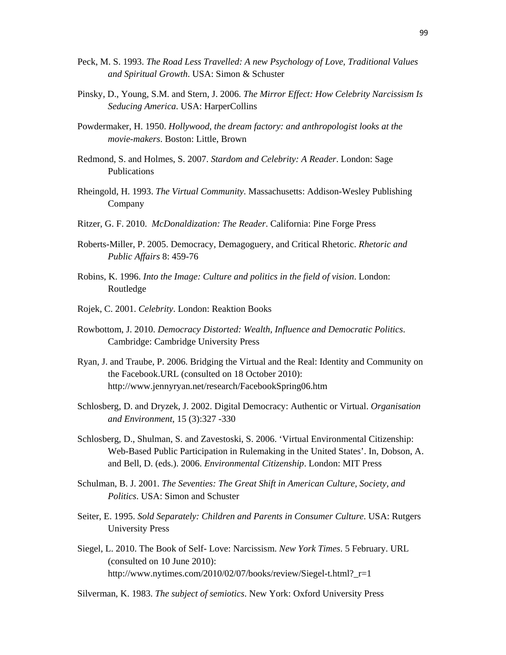- Peck, M. S. 1993. *The Road Less Travelled: A new Psychology of Love, Traditional Values and Spiritual Growth*. USA: Simon & Schuster
- Pinsky, D., Young, S.M. and Stern, J. 2006. *The Mirror Effect: How Celebrity Narcissism Is Seducing America*. USA: HarperCollins
- Powdermaker, H. 1950. *Hollywood, the dream factory: and anthropologist looks at the movie-makers*. Boston: Little, Brown
- Redmond, S. and Holmes, S. 2007. *Stardom and Celebrity: A Reader*. London: Sage Publications
- Rheingold, H. 1993. *The Virtual Community*. Massachusetts: Addison-Wesley Publishing Company
- Ritzer, G. F. 2010. *McDonaldization: The Reader*. California: Pine Forge Press
- Roberts-Miller, P. 2005. Democracy, Demagoguery, and Critical Rhetoric. *Rhetoric and Public Affairs* 8: 459-76
- Robins, K. 1996. *Into the Image: Culture and politics in the field of vision*. London: Routledge
- Rojek, C. 2001. *Celebrity*. London: Reaktion Books
- Rowbottom, J. 2010. *Democracy Distorted: Wealth, Influence and Democratic Politics*. Cambridge: Cambridge University Press
- Ryan, J. and Traube, P. 2006. Bridging the Virtual and the Real: Identity and Community on the Facebook.URL (consulted on 18 October 2010): http://www.jennyryan.net/research/FacebookSpring06.htm
- Schlosberg, D. and Dryzek, J. 2002. Digital Democracy: Authentic or Virtual. *Organisation and Environment*, 15 (3):327 -330
- Schlosberg, D., Shulman, S. and Zavestoski, S. 2006. 'Virtual Environmental Citizenship: Web-Based Public Participation in Rulemaking in the United States'. In, Dobson, A. and Bell, D. (eds.). 2006. *Environmental Citizenship*. London: MIT Press
- Schulman, B. J. 2001. *The Seventies: The Great Shift in American Culture, Society, and Politics*. USA: Simon and Schuster
- Seiter, E. 1995. *Sold Separately: Children and Parents in Consumer Culture*. USA: Rutgers University Press
- Siegel, L. 2010. The Book of Self- Love: Narcissism. *New York Times*. 5 February. URL (consulted on 10 June 2010): http://www.nytimes.com/2010/02/07/books/review/Siegel-t.html?\_r=1

Silverman, K. 1983. *The subject of semiotics*. New York: Oxford University Press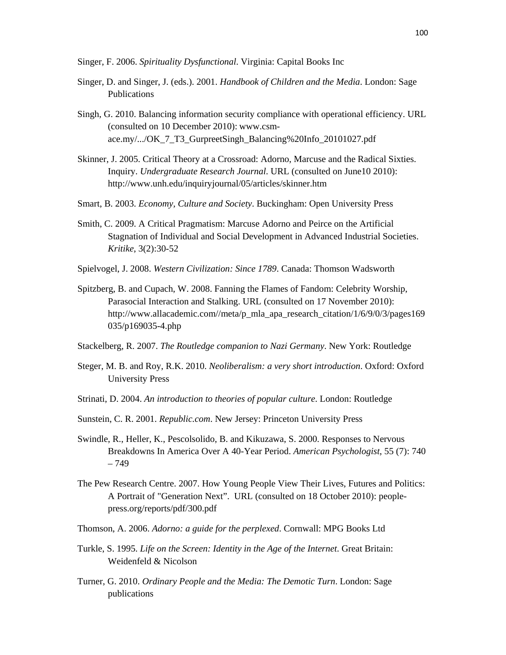Singer, F. 2006. *Spirituality Dysfunctional*. Virginia: Capital Books Inc

- Singer, D. and Singer, J. (eds.). 2001. *Handbook of Children and the Media*. London: Sage Publications
- Singh, G. 2010. Balancing information security compliance with operational efficiency. URL (consulted on 10 December 2010): www.csmace.my/.../OK\_7\_T3\_GurpreetSingh\_Balancing%20Info\_20101027.pdf
- Skinner, J. 2005. Critical Theory at a Crossroad: Adorno, Marcuse and the Radical Sixties. Inquiry. *Undergraduate Research Journal*. URL (consulted on June10 2010): http://www.unh.edu/inquiryjournal/05/articles/skinner.htm
- Smart, B. 2003. *Economy, Culture and Society*. Buckingham: Open University Press
- Smith, C. 2009. A Critical Pragmatism: Marcuse Adorno and Peirce on the Artificial Stagnation of Individual and Social Development in Advanced Industrial Societies. *Kritike*, 3(2):30-52
- Spielvogel, J. 2008. *Western Civilization: Since 1789*. Canada: Thomson Wadsworth
- Spitzberg, B. and Cupach, W. 2008. Fanning the Flames of Fandom: Celebrity Worship, Parasocial Interaction and Stalking. URL (consulted on 17 November 2010): http://www.allacademic.com//meta/p\_mla\_apa\_research\_citation/1/6/9/0/3/pages169 035/p169035-4.php
- Stackelberg, R. 2007. *The Routledge companion to Nazi Germany*. New York: Routledge
- Steger, M. B. and Roy, R.K. 2010. *Neoliberalism: a very short introduction*. Oxford: Oxford University Press
- Strinati, D. 2004. *An introduction to theories of popular culture*. London: Routledge
- Sunstein, C. R. 2001. *Republic.com*. New Jersey: Princeton University Press
- Swindle, R., Heller, K., Pescolsolido, B. and Kikuzawa, S. 2000. Responses to Nervous Breakdowns In America Over A 40-Year Period. *American Psychologist*, 55 (7): 740 – 749
- The Pew Research Centre. 2007. How Young People View Their Lives, Futures and Politics: A Portrait of "Generation Next". URL (consulted on 18 October 2010): peoplepress.org/reports/pdf/300.pdf
- Thomson, A. 2006. *Adorno: a guide for the perplexed*. Cornwall: MPG Books Ltd
- Turkle, S. 1995. *Life on the Screen: Identity in the Age of the Internet*. Great Britain: Weidenfeld & Nicolson
- Turner, G. 2010. *Ordinary People and the Media: The Demotic Turn*. London: Sage publications